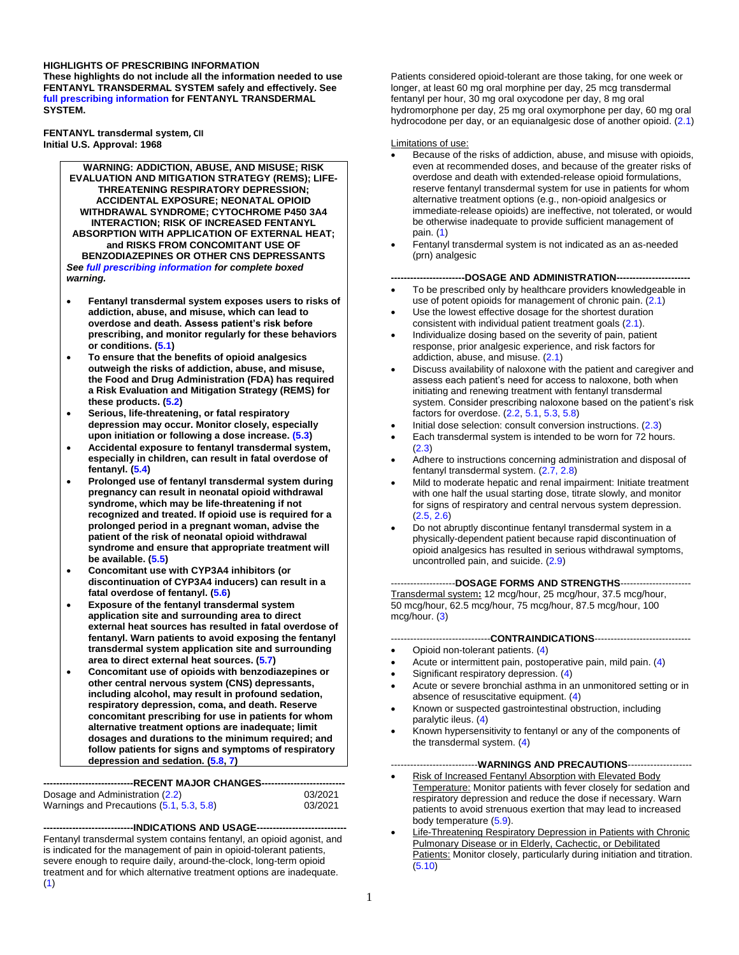#### **HIGHLIGHTS OF PRESCRIBING INFORMATION**

**These highlights do not include all the information needed to use FENTANYL TRANSDERMAL SYSTEM safely and effectively. See [full prescribing information](#page-3-0) for FENTANYL TRANSDERMAL SYSTEM.**

**FENTANYL transdermal system, CII Initial U.S. Approval: 1968**

> **WARNING: ADDICTION, ABUSE, AND MISUSE; RISK EVALUATION AND MITIGATION STRATEGY (REMS); LIFE-THREATENING RESPIRATORY DEPRESSION; ACCIDENTAL EXPOSURE; NEONATAL OPIOID WITHDRAWAL SYNDROME; CYTOCHROME P450 3A4 INTERACTION; RISK OF INCREASED FENTANYL ABSORPTION WITH APPLICATION OF EXTERNAL HEAT; and RISKS FROM CONCOMITANT USE OF BENZODIAZEPINES OR OTHER CNS DEPRESSANTS** *Se[e full prescribing information](#page-3-0) for complete boxed warning.*

- **Fentanyl transdermal system exposes users to risks of addiction, abuse, and misuse, which can lead to overdose and death. Assess patient's risk before prescribing, and monitor regularly for these behaviors or conditions. [\(5.1\)](#page-12-0)**
- **To ensure that the benefits of opioid analgesics outweigh the risks of addiction, abuse, and misuse, the Food and Drug Administration (FDA) has required a Risk Evaluation and Mitigation Strategy (REMS) for these products. [\(5.2\)](#page-13-0)**
- **Serious, life-threatening, or fatal respiratory depression may occur. Monitor closely, especially upon initiation or following a dose increase[. \(5.3\)](#page-13-1)**
- **Accidental exposure to fentanyl transdermal system, especially in children, can result in fatal overdose of fentanyl. [\(5.4\)](#page-14-0)**
- **Prolonged use of fentanyl transdermal system during pregnancy can result in neonatal opioid withdrawal syndrome, which may be life-threatening if not recognized and treated. If opioid use is required for a prolonged period in a pregnant woman, advise the patient of the risk of neonatal opioid withdrawal syndrome and ensure that appropriate treatment will be available. [\(5.5\)](#page-14-1)**
- **Concomitant use with CYP3A4 inhibitors (or discontinuation of CYP3A4 inducers) can result in a fatal overdose of fentanyl. [\(5.6\)](#page-15-0)**
- **Exposure of the fentanyl transdermal system application site and surrounding area to direct external heat sources has resulted in fatal overdose of fentanyl. Warn patients to avoid exposing the fentanyl transdermal system application site and surrounding area to direct external heat sources. [\(5.7\)](#page-15-1)**
- **Concomitant use of opioids with benzodiazepines or other central nervous system (CNS) depressants, including alcohol, may result in profound sedation, respiratory depression, coma, and death. Reserve concomitant prescribing for use in patients for whom alternative treatment options are inadequate; limit dosages and durations to the minimum required; and follow patients for signs and symptoms of respiratory depression and sedation. [\(5.8,](#page-15-2) [7\)](#page-23-0)**

| ---------------------------RECENT MAJOR CHANGES-------------------------- |         |  |  |
|---------------------------------------------------------------------------|---------|--|--|
|                                                                           |         |  |  |
| Dosage and Administration (2.2)                                           | 03/2021 |  |  |
| Warnings and Precautions (5.1, 5.3, 5.8)                                  | 03/2021 |  |  |

#### **----------------------------INDICATIONS AND USAGE----------------------------**

Fentanyl transdermal system contains fentanyl, an opioid agonist, and is indicated for the management of pain in opioid-tolerant patients, severe enough to require daily, around-the-clock, long-term opioid treatment and for which alternative treatment options are inadequate. [\(1\)](#page-4-0)

Patients considered opioid-tolerant are those taking, for one week or longer, at least 60 mg oral morphine per day, 25 mcg transdermal fentanyl per hour, 30 mg oral oxycodone per day, 8 mg oral hydromorphone per day, 25 mg oral oxymorphone per day, 60 mg oral hydrocodone per day, or an equianalgesic dose of another opioid. [\(2.1\)](#page-5-1)

Limitations of use:

- Because of the risks of addiction, abuse, and misuse with opioids, even at recommended doses, and because of the greater risks of overdose and death with extended-release opioid formulations, reserve fentanyl transdermal system for use in patients for whom alternative treatment options (e.g., non-opioid analgesics or immediate-release opioids) are ineffective, not tolerated, or would be otherwise inadequate to provide sufficient management of pain. [\(1\)](#page-4-0)
- Fentanyl transdermal system is not indicated as an as-needed (prn) analgesic

#### --DOSAGE AND ADMINISTRATION---

- To be prescribed only by healthcare providers knowledgeable in use of potent opioids for management of chronic pain. [\(2.1\)](#page-5-1)
- Use the lowest effective dosage for the shortest duration consistent with individual patient treatment goals [\(2.1\)](#page-5-1).
- Individualize dosing based on the severity of pain, patient response, prior analgesic experience, and risk factors for addiction, abuse, and misuse. [\(2.1\)](#page-5-1)
- Discuss availability of naloxone with the patient and caregiver and assess each patient's need for access to naloxone, both when initiating and renewing treatment with fentanyl transdermal system. Consider prescribing naloxone based on the patient's risk factors for overdose. [\(2.2,](#page-5-2) [5.1,](#page-12-0) [5.3,](#page-13-1) [5.8\)](#page-15-2)
- Initial dose selection: consult conversion instructions. [\(2.3\)](#page-6-0)
- Each transdermal system is intended to be worn for 72 hours. [\(2.3\)](#page-6-0)
- Adhere to instructions concerning administration and disposal of fentanyl transdermal system. [\(2.7,](#page-10-0) 2.8)
- Mild to moderate hepatic and renal impairment: Initiate treatment with one half the usual starting dose, titrate slowly, and monitor for signs of respiratory and central nervous system depression. [\(2.5,](#page-9-0) 2.6)
- Do not abruptly discontinue fentanyl transdermal system in a physically-dependent patient because rapid discontinuation of opioid analgesics has resulted in serious withdrawal symptoms, uncontrolled pain, and suicide. [\(2.9\)](#page-10-1)

#### --------------------**DOSAGE FORMS AND STRENGTHS**---------------------- Transdermal system**:** 12 mcg/hour, 25 mcg/hour, 37.5 mcg/hour, 50 mcg/hour, 62.5 mcg/hour, 75 mcg/hour, 87.5 mcg/hour, 100 mcg/hour. [\(3\)](#page-11-0)

-------------------------------**CONTRAINDICATIONS**------------------------------

- Opioid non-tolerant patients. [\(4\)](#page-11-1)
- Acute or intermittent pain, postoperative pain, mild pain. [\(4\)](#page-11-1)
- Significant respiratory depression. [\(4\)](#page-11-1)
- Acute or severe bronchial asthma in an unmonitored setting or in absence of resuscitative equipment. [\(4\)](#page-11-1)
- Known or suspected gastrointestinal obstruction, including paralytic ileus. [\(4\)](#page-11-1)
- Known hypersensitivity to fentanyl or any of the components of the transdermal system. [\(4\)](#page-11-1)

#### ---------------------------**WARNINGS AND PRECAUTIONS**--------------------

- Risk of Increased Fentanyl Absorption with Elevated Body Temperature: Monitor patients with fever closely for sedation and respiratory depression and reduce the dose if necessary. Warn patients to avoid strenuous exertion that may lead to increased body temperature [\(5.9\)](#page-16-0).
- Life-Threatening Respiratory Depression in Patients with Chronic Pulmonary Disease or in Elderly, Cachectic, or Debilitated Patients: Monitor closely, particularly during initiation and titration. [\(5.10\)](#page-16-0)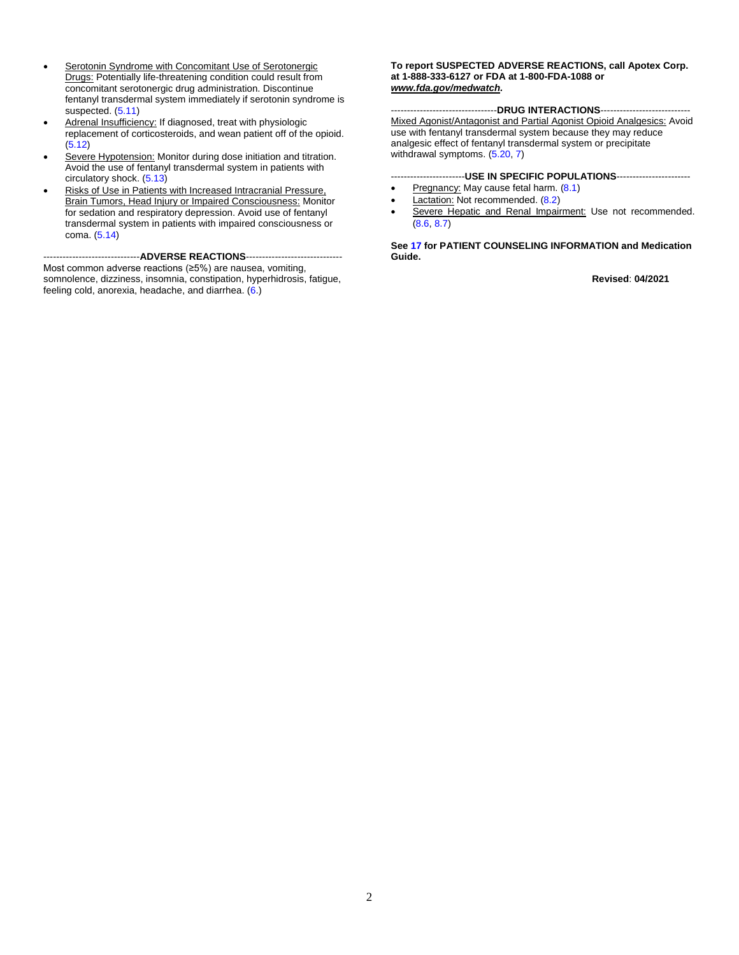- Serotonin Syndrome with Concomitant Use of Serotonergic Drugs: Potentially life-threatening condition could result from concomitant serotonergic drug administration. Discontinue fentanyl transdermal system immediately if serotonin syndrome is suspected. [\(5.11\)](#page-17-0)
- Adrenal Insufficiency: If diagnosed, treat with physiologic replacement of corticosteroids, and wean patient off of the opioid. [\(5.12\)](#page-17-1)
- Severe Hypotension: Monitor during dose initiation and titration. Avoid the use of fentanyl transdermal system in patients with circulatory shock. [\(5.13\)](#page-17-2)
- Risks of Use in Patients with Increased Intracranial Pressure, Brain Tumors, Head Injury or Impaired Consciousness: Monitor for sedation and respiratory depression. Avoid use of fentanyl transdermal system in patients with impaired consciousness or coma. [\(5.14\)](#page-17-3)

------------------------------**ADVERSE REACTIONS**------------------------------ Most common adverse reactions (≥5%) are nausea, vomiting, somnolence, dizziness, insomnia, constipation, hyperhidrosis, fatigue, feeling cold, anorexia, headache, and diarrhea. [\(6.](#page-19-0))

**To report SUSPECTED ADVERSE REACTIONS, call Apotex Corp. at 1-888-333-6127 or FDA at 1-800-FDA-1088 or**  *www.fda.gov/medwatch.*

#### ---------------------------------**DRUG INTERACTIONS**----------------------------

Mixed Agonist/Antagonist and Partial Agonist Opioid Analgesics: Avoid use with fentanyl transdermal system because they may reduce analgesic effect of fentanyl transdermal system or precipitate withdrawal symptoms. [\(5.20,](#page-18-0) [7\)](#page-23-0)

- -----------------------**USE IN SPECIFIC POPULATIONS**-----------------------
- Pregnancy: May cause fetal harm. [\(8.1\)](#page-25-0)
- Lactation: Not recommended. [\(8.2\)](#page-27-0)
- Severe Hepatic and Renal Impairment: Use not recommended. [\(8.6,](#page-28-0) [8.7\)](#page-28-1)

**Se[e 17](#page-39-0) for PATIENT COUNSELING INFORMATION and Medication Guide.**

 **Revised**: **04/2021**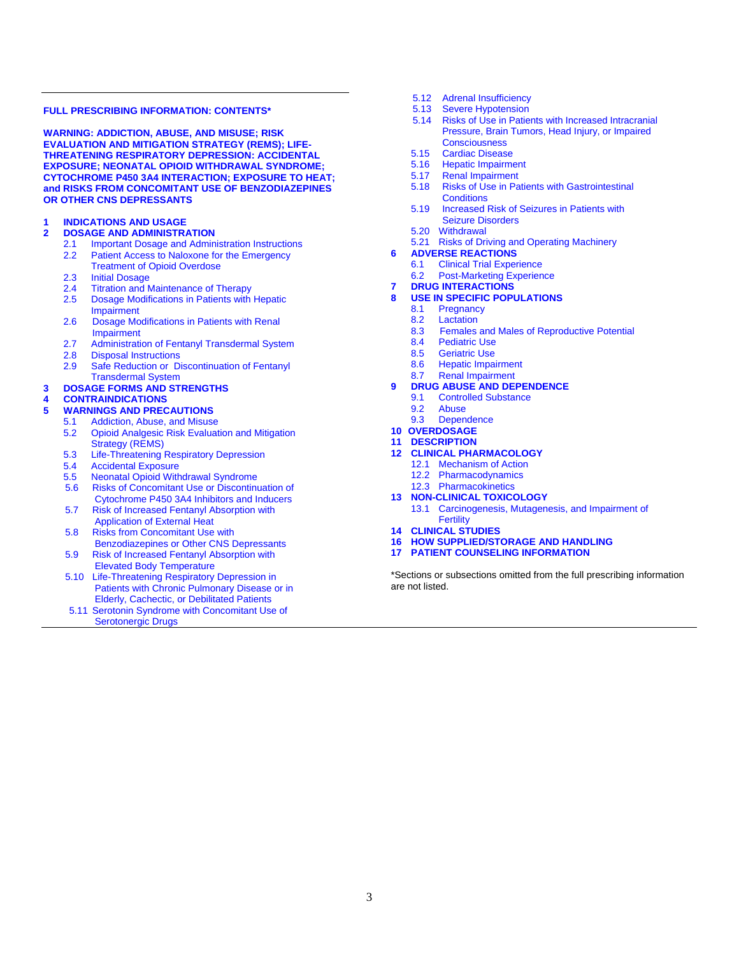#### **FULL PRESCRIBING INFORMATION: CONTENTS\***

**[WARNING: ADDICTION, ABUSE,](#page-3-1) AND MISUSE; RISK [EVALUATION AND MITIGATION STRATEGY \(REMS\);](#page-3-1) LIFE-THREATENING [RESPIRATORY DEPRESSION:](#page-3-1) ACCIDENTAL EXPOSURE; [NEONATAL OPIOID WITHDRAWAL SYNDROME;](#page-3-1)  CYTOCHROME P450 3A4 INTERACTION; [EXPOSURE TO HEAT;](#page-3-1)  and [RISKS FROM CONCOMITANT USE OF BENZODIAZEPINES](#page-3-1)  [OR OTHER CNS DEPRESSANTS](#page-3-1)**

# **1 [INDICATIONS AND USAGE](#page-4-0)**

- **2 [DOSAGE AND ADMINISTRATION](#page-5-0)**
- 2.1 [Important Dosage and Administration Instructions](#page-5-1)<br>2.2 Patient Access to Naloxone for the Emergency
- Patient Access to Naloxone for the Emergency [Treatment of Opioid Overdose](#page-6-0)
- 2.3 Initial Dosage
- 2.4 [Titration and Maintenance of Therapy](#page-8-0)<br>2.5 Dosage Modifications in Patients with
- [Dosage Modifications in Patients with Hepatic](#page-9-1) [Impairment](#page-9-1)
- 2.6 [Dosage Modifications in Patients with Renal](#page-9-0)  [Impairment](#page-9-0)
- 2.7 [Administration of Fentanyl Transdermal System](#page-9-2)<br>2.8 Disposal Instructions
- 2.8 [Disposal Instructions](#page-10-0)<br>2.9 Safe Reduction or Di
- Safe Reduction or Discontinuation of Fentanyl
- [Transdermal System](#page-10-1)

# **3 [DOSAGE FORMS AND STRENGTHS](#page-11-0)**

**4 [CONTRAINDICATIONS](#page-11-1)**

# **5 [WARNINGS AND PRECAUTIONS](#page-12-1)**

- 5.1 [Addiction, Abuse,](#page-12-0) and Misuse<br>5.2 Opioid Analgesic Risk Evaluat 5.2 Opioid Analgesic Risk Evaluation and Mitigation Strategy (REMS)
- 5.3 [Life-Threatening Respiratory Depression](#page-13-1)
- 5.4 [Accidental Exposure](#page-14-0)<br>5.5 Neonatal Opioid With
- 5.5 [Neonatal Opioid Withdrawal Syndrome](#page-14-1)<br>5.6 Risks of Concomitant Use or Discontinu
- Risks of Concomitant Use or Discontinuation of [Cytochrome P450 3A4 Inhibitors and Inducers](#page-15-0)
- 5.7 [Risk of Increased Fentanyl Absorption with](#page-15-1)  [Application of External Heat](#page-15-1)
- 5.8 [Risks from Concomitant Use with](#page-15-2)
- [Benzodiazepines or Other CNS Depressants](#page-15-2) 5.9 [Risk of Increased Fentanyl Absorption with](#page-16-1)
- [Elevated Body Temperature](#page-16-1) 5.10 [Life-Threatening Respiratory Depression in](#page-16-0)  [Patients with Chronic Pulmonary Disease or in](#page-16-0)
- [Elderly, Cachectic, or Debilitated Patients](#page-16-0) 5.11 [Serotonin Syndrome with Concomitant Use of](#page-17-0)  [Serotonergic Drugs](#page-17-0)
- 5.12 [Adrenal Insufficiency](#page-17-1)
- 5.13 [Severe Hypotension](#page-17-2)
- 5.14 Risks of Use in Patients with [Increased Intracranial](#page-17-3) Pressure, Brain Tumors, [Head Injury, or Impaired](#page-17-3)  **[Consciousness](#page-17-3)**
- 5.15 [Cardiac Disease](#page-18-1)<br>5.16 Hepatic Impairme
- **[Hepatic Impairment](#page-18-2)**
- 5.17 [Renal Impairment](#page-18-3)<br>5.18 Risks of Use in Pa Risks of Use in Patients with Gastrointestinal **[Conditions](#page-18-4)**
- 5.19 [Increased Risk of Seizures in Patients with](#page-18-5)  [Seizure Disorders](#page-18-5)
- 5.20 [Withdrawal](#page-18-0)
- 5.21 [Risks of Driving and Operating Machinery](#page-19-1)
- **6 4DVERSE REACTIONS**<br>6.1 Clinical Trial Exper
	- **[Clinical Trial Experience](#page-19-2)**
	- 6.2 [Post-Marketing Experience](#page-23-1)
- **7 [DRUG INTERACTIONS](#page-23-0)**
- **8 [USE IN SPECIFIC POPULATIONS](#page-25-1)**
	- 8.1 [Pregnancy](#page-25-0)
	- 8.2 [Lactation](#page-27-0)<br>8.3 Females
	- 8.3 [Females and Males of Reproductive Potential](#page-27-1)
	- 8.4 [Pediatric Use](#page-27-2)<br>8.5 Geriatric Use
	- 8.5 [Geriatric Use](#page-27-3)<br>8.6 Hepatic Impa
	- [Hepatic Impairment](#page-28-0)
	- 8.7 [Renal Impairment](#page-28-1)
- **9 [DRUG ABUSE AND DEPENDENCE](#page-28-2)**<br>9.1 Controlled Substance
	- **[Controlled Substance](#page-28-3)**
	- 9.2 [Abuse](#page-28-4)
	- 9.3 [Dependence](#page-30-0)
- **10 [OVERDOSAGE](#page-30-1)**
- **11 [DESCRIPTION](#page-31-0)**
- **12 [CLINICAL PHARMACOLOGY](#page-32-0)**
	- 12.1 [Mechanism of Action](#page-32-1)
	- 12.2 [Pharmacodynamics](#page-32-2)
	- 12.3 [Pharmacokinetics](#page-34-0)
- **13 [NON-CLINICAL TOXICOLOGY](#page-38-0)** 13.1 [Carcinogenesis, Mutagenesis, and Impairment of](#page-38-1)  **[Fertility](#page-38-1)**
- **14 [CLINICAL STUDIES](#page-38-2)**
- **16 [HOW SUPPLIED/STORAGE](#page-38-3) AND HANDLING**
- **17 [PATIENT COUNSELING INFORMATION](#page-39-0)**

\*Sections or subsections omitted from the full prescribing information are not listed.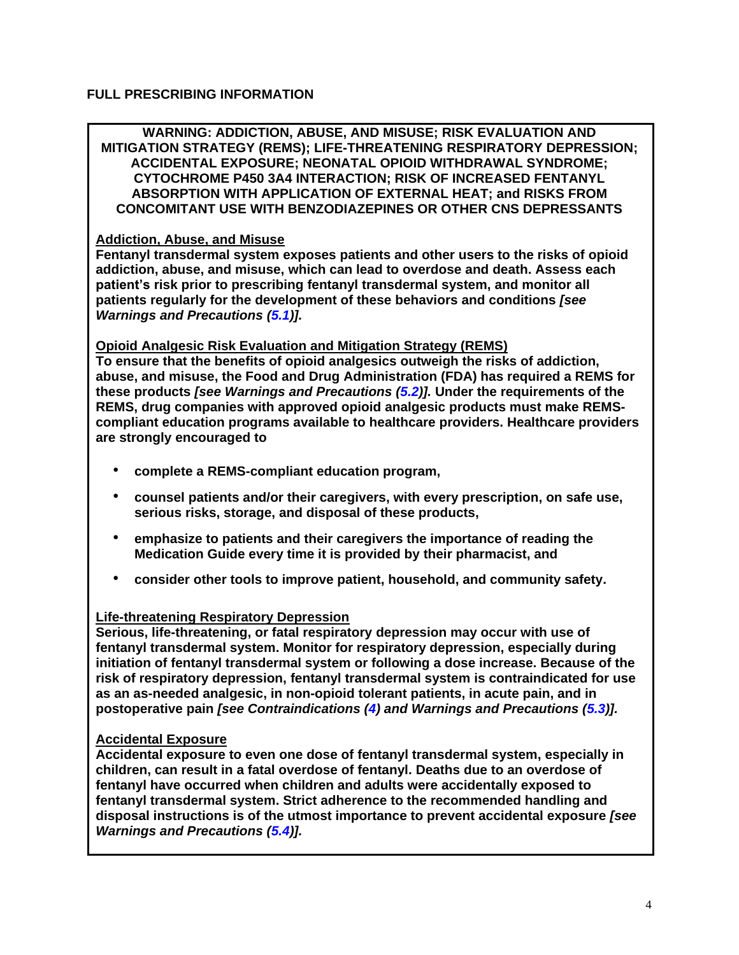# <span id="page-3-0"></span>**FULL PRESCRIBING INFORMATION**

<span id="page-3-1"></span>**WARNING: ADDICTION, ABUSE, AND MISUSE; RISK EVALUATION AND MITIGATION STRATEGY (REMS); LIFE-THREATENING RESPIRATORY DEPRESSION; ACCIDENTAL EXPOSURE; NEONATAL OPIOID WITHDRAWAL SYNDROME; CYTOCHROME P450 3A4 INTERACTION; RISK OF INCREASED FENTANYL ABSORPTION WITH APPLICATION OF EXTERNAL HEAT; and RISKS FROM CONCOMITANT USE WITH BENZODIAZEPINES OR OTHER CNS DEPRESSANTS**

### **Addiction, Abuse, and Misuse**

**Fentanyl transdermal system exposes patients and other users to the risks of opioid addiction, abuse, and misuse, which can lead to overdose and death. Assess each patient's risk prior to prescribing fentanyl transdermal system, and monitor all patients regularly for the development of these behaviors and conditions** *[see Warnings and Precautions [\(5.1\)](#page-12-0)].*

#### **Opioid Analgesic Risk Evaluation and Mitigation Strategy (REMS)**

**To ensure that the benefits of opioid analgesics outweigh the risks of addiction, abuse, and misuse, the Food and Drug Administration (FDA) has required a REMS for these products** *[see Warnings and Precautions [\(5.2\)](#page-13-0)].* **Under the requirements of the REMS, drug companies with approved opioid analgesic products must make REMScompliant education programs available to healthcare providers. Healthcare providers are strongly encouraged to**

- **complete a REMS-compliant education program,**
- **counsel patients and/or their caregivers, with every prescription, on safe use, serious risks, storage, and disposal of these products,**
- **emphasize to patients and their caregivers the importance of reading the Medication Guide every time it is provided by their pharmacist, and**
- **consider other tools to improve patient, household, and community safety.**

# **Life-threatening Respiratory Depression**

**Serious, life-threatening, or fatal respiratory depression may occur with use of fentanyl transdermal system. Monitor for respiratory depression, especially during initiation of fentanyl transdermal system or following a dose increase. Because of the risk of respiratory depression, fentanyl transdermal system is contraindicated for use as an as-needed analgesic, in non-opioid tolerant patients, in acute pain, and in postoperative pain** *[see Contraindications [\(4\)](#page-11-1) and Warnings and Precautions [\(5.3\)](#page-13-1)].*

# **Accidental Exposure**

**Accidental exposure to even one dose of fentanyl transdermal system, especially in children, can result in a fatal overdose of fentanyl. Deaths due to an overdose of fentanyl have occurred when children and adults were accidentally exposed to fentanyl transdermal system. Strict adherence to the recommended handling and disposal instructions is of the utmost importance to prevent accidental exposure** *[see Warnings and Precautions [\(5.4\)](#page-14-0)].*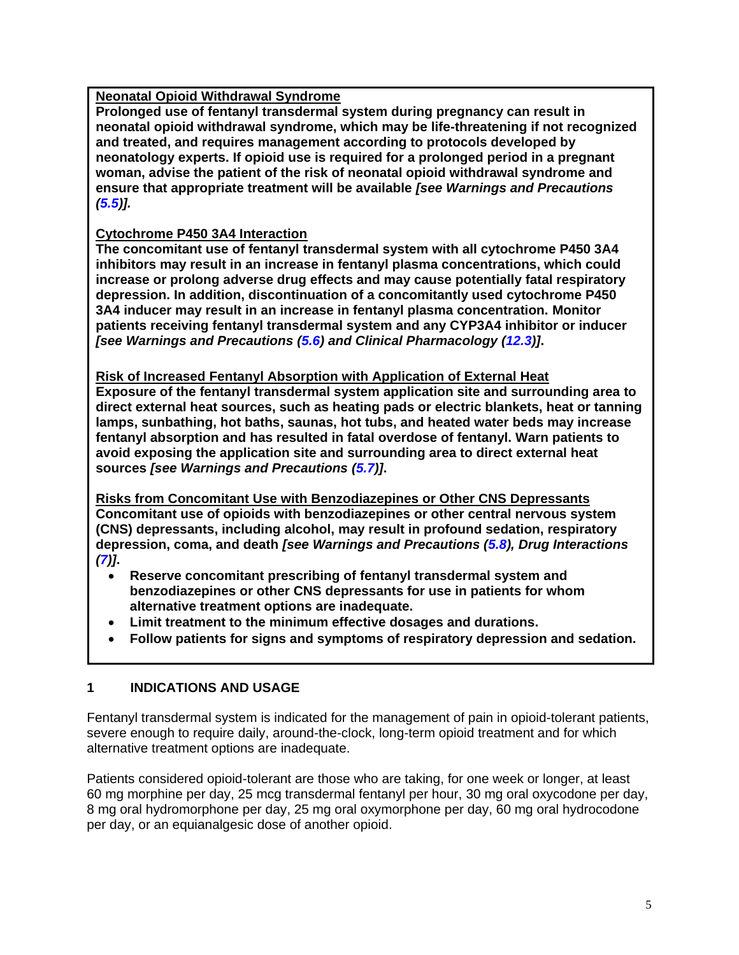# **Neonatal Opioid Withdrawal Syndrome**

**Prolonged use of fentanyl transdermal system during pregnancy can result in neonatal opioid withdrawal syndrome, which may be life-threatening if not recognized and treated, and requires management according to protocols developed by neonatology experts. If opioid use is required for a prolonged period in a pregnant woman, advise the patient of the risk of neonatal opioid withdrawal syndrome and ensure that appropriate treatment will be available** *[see Warnings and Precautions [\(5.5\)](#page-14-1)].*

# **Cytochrome P450 3A4 Interaction**

**The concomitant use of fentanyl transdermal system with all cytochrome P450 3A4 inhibitors may result in an increase in fentanyl plasma concentrations, which could increase or prolong adverse drug effects and may cause potentially fatal respiratory depression. In addition, discontinuation of a concomitantly used cytochrome P450 3A4 inducer may result in an increase in fentanyl plasma concentration. Monitor patients receiving fentanyl transdermal system and any CYP3A4 inhibitor or inducer**  *[see Warnings and Precautions [\(5.6\)](#page-15-0) and Clinical Pharmacology [\(12.3\)](#page-34-0)]***.**

**Risk of Increased Fentanyl Absorption with Application of External Heat Exposure of the fentanyl transdermal system application site and surrounding area to direct external heat sources, such as heating pads or electric blankets, heat or tanning lamps, sunbathing, hot baths, saunas, hot tubs, and heated water beds may increase fentanyl absorption and has resulted in fatal overdose of fentanyl. Warn patients to avoid exposing the application site and surrounding area to direct external heat sources** *[see Warnings and Precautions [\(5.7\)](#page-15-1)]***.**

**Risks from Concomitant Use with Benzodiazepines or Other CNS Depressants Concomitant use of opioids with benzodiazepines or other central nervous system (CNS) depressants, including alcohol, may result in profound sedation, respiratory depression, coma, and death** *[see Warnings and Precautions [\(5.8\)](#page-15-2), Drug Interactions [\(7\)](#page-23-0)]***.**

- **Reserve concomitant prescribing of fentanyl transdermal system and benzodiazepines or other CNS depressants for use in patients for whom alternative treatment options are inadequate.**
- **Limit treatment to the minimum effective dosages and durations.**
- **Follow patients for signs and symptoms of respiratory depression and sedation.**

# <span id="page-4-0"></span>**1 INDICATIONS AND USAGE**

Fentanyl transdermal system is indicated for the management of pain in opioid-tolerant patients, severe enough to require daily, around-the-clock, long-term opioid treatment and for which alternative treatment options are inadequate.

Patients considered opioid-tolerant are those who are taking, for one week or longer, at least 60 mg morphine per day, 25 mcg transdermal fentanyl per hour, 30 mg oral oxycodone per day, 8 mg oral hydromorphone per day, 25 mg oral oxymorphone per day, 60 mg oral hydrocodone per day, or an equianalgesic dose of another opioid.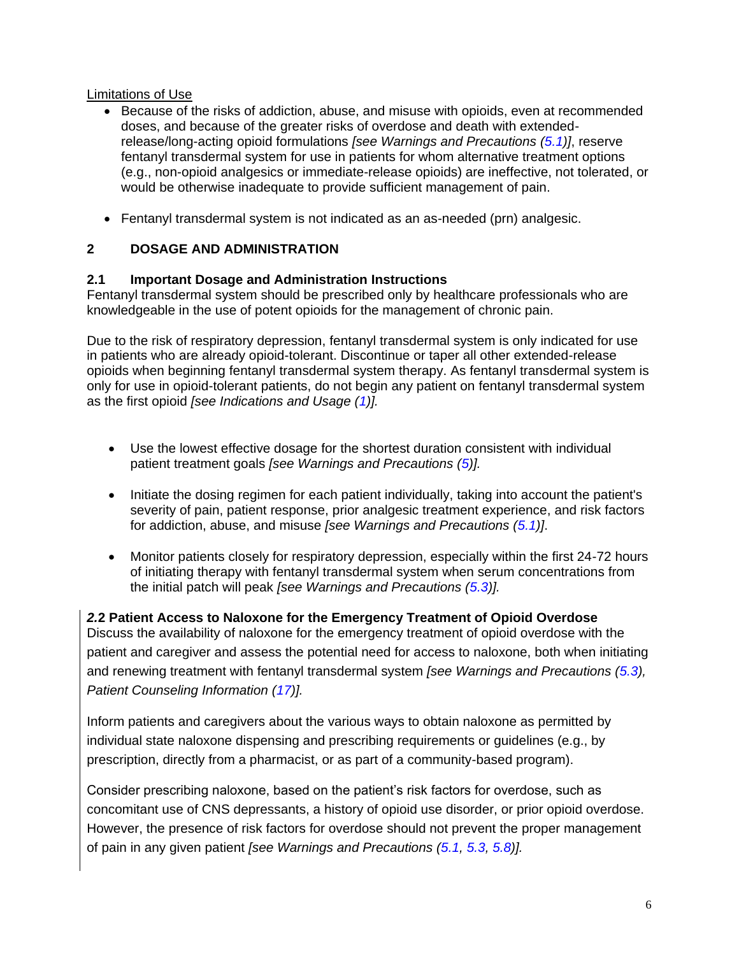# Limitations of Use

- Because of the risks of addiction, abuse, and misuse with opioids, even at recommended doses, and because of the greater risks of overdose and death with extendedrelease/long-acting opioid formulations *[see Warnings and Precautions [\(5.1\)](#page-12-0)]*, reserve fentanyl transdermal system for use in patients for whom alternative treatment options (e.g., non-opioid analgesics or immediate-release opioids) are ineffective, not tolerated, or would be otherwise inadequate to provide sufficient management of pain.
- Fentanyl transdermal system is not indicated as an as-needed (prn) analgesic.

# <span id="page-5-0"></span>**2 DOSAGE AND ADMINISTRATION**

# <span id="page-5-1"></span>**2.1 Important Dosage and Administration Instructions**

Fentanyl transdermal system should be prescribed only by healthcare professionals who are knowledgeable in the use of potent opioids for the management of chronic pain.

Due to the risk of respiratory depression, fentanyl transdermal system is only indicated for use in patients who are already opioid-tolerant. Discontinue or taper all other extended-release opioids when beginning fentanyl transdermal system therapy. As fentanyl transdermal system is only for use in opioid-tolerant patients, do not begin any patient on fentanyl transdermal system as the first opioid *[see Indications and Usage [\(1\)](#page-4-0)].*

- Use the lowest effective dosage for the shortest duration consistent with individual patient treatment goals *[see Warnings and Precautions [\(5\)](#page-12-1)].*
- Initiate the dosing regimen for each patient individually, taking into account the patient's severity of pain, patient response, prior analgesic treatment experience, and risk factors for addiction, abuse, and misuse *[see Warnings and Precautions [\(5.1\)](#page-12-0)]*.
- Monitor patients closely for respiratory depression, especially within the first 24-72 hours of initiating therapy with fentanyl transdermal system when serum concentrations from the initial patch will peak *[see Warnings and Precautions [\(5.3\)](#page-13-1)].*

<span id="page-5-2"></span>*2.***2 Patient Access to Naloxone for the Emergency Treatment of Opioid Overdose** Discuss the availability of naloxone for the emergency treatment of opioid overdose with the patient and caregiver and assess the potential need for access to naloxone, both when initiating and renewing treatment with fentanyl transdermal system *[see Warnings and Precautions [\(5.3\)](#page-13-1), Patient Counseling Information [\(17\)](#page-39-0)].*

Inform patients and caregivers about the various ways to obtain naloxone as permitted by individual state naloxone dispensing and prescribing requirements or guidelines (e.g., by prescription, directly from a pharmacist, or as part of a community-based program).

Consider prescribing naloxone, based on the patient's risk factors for overdose, such as concomitant use of CNS depressants, a history of opioid use disorder, or prior opioid overdose. However, the presence of risk factors for overdose should not prevent the proper management of pain in any given patient *[see Warnings and Precautions [\(5.1,](#page-12-0) [5.3,](#page-13-1) [5.8\)](#page-15-2)].*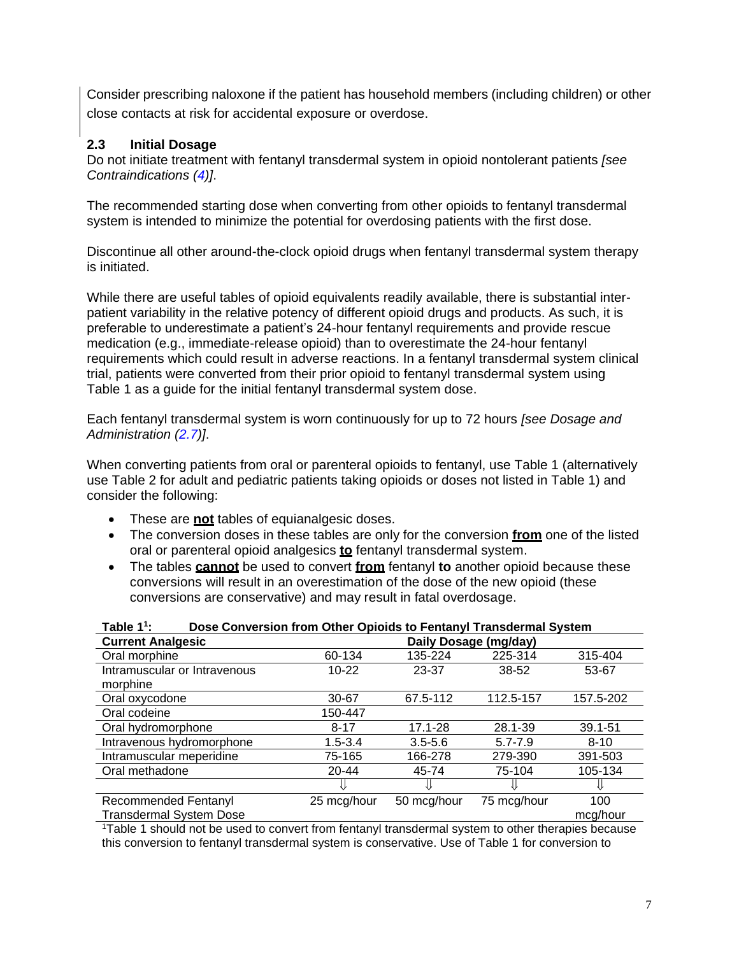Consider prescribing naloxone if the patient has household members (including children) or other close contacts at risk for accidental exposure or overdose.

# <span id="page-6-0"></span>**2.3 Initial Dosage**

Do not initiate treatment with fentanyl transdermal system in opioid nontolerant patients *[see Contraindications [\(4\)](#page-11-1)]*.

The recommended starting dose when converting from other opioids to fentanyl transdermal system is intended to minimize the potential for overdosing patients with the first dose.

Discontinue all other around-the-clock opioid drugs when fentanyl transdermal system therapy is initiated.

While there are useful tables of opioid equivalents readily available, there is substantial interpatient variability in the relative potency of different opioid drugs and products. As such, it is preferable to underestimate a patient's 24-hour fentanyl requirements and provide rescue medication (e.g., immediate-release opioid) than to overestimate the 24-hour fentanyl requirements which could result in adverse reactions. In a fentanyl transdermal system clinical trial, patients were converted from their prior opioid to fentanyl transdermal system using Table 1 as a guide for the initial fentanyl transdermal system dose.

Each fentanyl transdermal system is worn continuously for up to 72 hours *[see Dosage and Administration [\(2.7\)](#page-9-2)]*.

When converting patients from oral or parenteral opioids to fentanyl, use Table 1 (alternatively use Table 2 for adult and pediatric patients taking opioids or doses not listed in Table 1) and consider the following:

- These are **not** tables of equianalgesic doses.
- The conversion doses in these tables are only for the conversion **from** one of the listed oral or parenteral opioid analgesics **to** fentanyl transdermal system.
- The tables **cannot** be used to convert **from** fentanyl **to** another opioid because these conversions will result in an overestimation of the dose of the new opioid (these conversions are conservative) and may result in fatal overdosage.

| Table $1^1$ :<br>Dose Conversion from Other Opioids to Fentanyl Transdermal System |                       |             |             |             |
|------------------------------------------------------------------------------------|-----------------------|-------------|-------------|-------------|
| <b>Current Analgesic</b>                                                           | Daily Dosage (mg/day) |             |             |             |
| Oral morphine                                                                      | 60-134                | 135-224     | 225-314     | 315-404     |
| Intramuscular or Intravenous                                                       | $10 - 22$             | 23-37       | 38-52       | 53-67       |
| morphine                                                                           |                       |             |             |             |
| Oral oxycodone                                                                     | 30-67                 | 67.5-112    | 112.5-157   | 157.5-202   |
| Oral codeine                                                                       | 150-447               |             |             |             |
| Oral hydromorphone                                                                 | $8 - 17$              | 17.1-28     | 28.1-39     | $39.1 - 51$ |
| Intravenous hydromorphone                                                          | $1.5 - 3.4$           | $3.5 - 5.6$ | $5.7 - 7.9$ | $8 - 10$    |
| Intramuscular meperidine                                                           | 75-165                | 166-278     | 279-390     | 391-503     |
| Oral methadone                                                                     | 20-44                 | 45-74       | 75-104      | 105-134     |
|                                                                                    |                       |             |             |             |
| Recommended Fentanyl                                                               | 25 mcg/hour           | 50 mcg/hour | 75 mcg/hour | 100         |
| <b>Transdermal System Dose</b>                                                     |                       |             |             | mcg/hour    |

<sup>1</sup>Table 1 should not be used to convert from fentanyl transdermal system to other therapies because this conversion to fentanyl transdermal system is conservative. Use of Table 1 for conversion to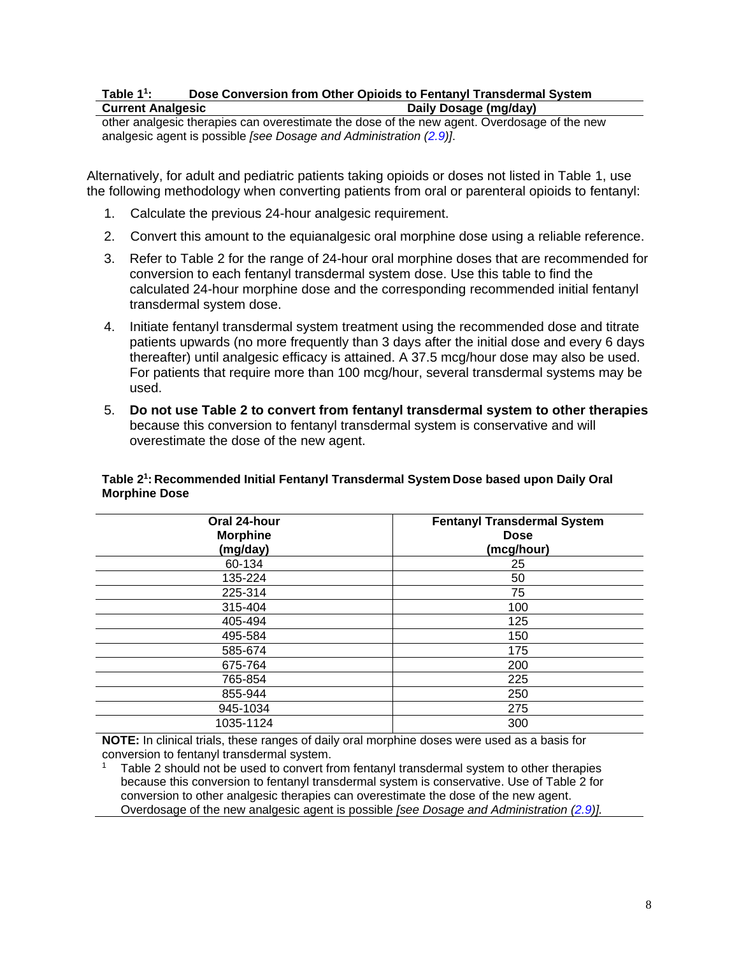#### **Table 1 1 : Dose Conversion from Other Opioids to Fentanyl Transdermal System Current Analgesic Current Analgesic Daily Dosage (mg/day)**

other analgesic therapies can overestimate the dose of the new agent. Overdosage of the new analgesic agent is possible *[see Dosage and Administration [\(2.9\)](#page-10-1)]*.

Alternatively, for adult and pediatric patients taking opioids or doses not listed in Table 1, use the following methodology when converting patients from oral or parenteral opioids to fentanyl:

- 1. Calculate the previous 24-hour analgesic requirement.
- 2. Convert this amount to the equianalgesic oral morphine dose using a reliable reference.
- 3. Refer to Table 2 for the range of 24-hour oral morphine doses that are recommended for conversion to each fentanyl transdermal system dose. Use this table to find the calculated 24-hour morphine dose and the corresponding recommended initial fentanyl transdermal system dose.
- 4. Initiate fentanyl transdermal system treatment using the recommended dose and titrate patients upwards (no more frequently than 3 days after the initial dose and every 6 days thereafter) until analgesic efficacy is attained. A 37.5 mcg/hour dose may also be used. For patients that require more than 100 mcg/hour, several transdermal systems may be used.
- 5. **Do not use Table 2 to convert from fentanyl transdermal system to other therapies**  because this conversion to fentanyl transdermal system is conservative and will overestimate the dose of the new agent.

| Oral 24-hour<br><b>Morphine</b><br>(mg/day) | <b>Fentanyl Transdermal System</b><br><b>Dose</b><br>(mcg/hour) |
|---------------------------------------------|-----------------------------------------------------------------|
| 60-134                                      | 25                                                              |
| 135-224                                     | 50                                                              |
| 225-314                                     | 75                                                              |
| 315-404                                     | 100                                                             |
| 405-494                                     | 125                                                             |
| 495-584                                     | 150                                                             |
| 585-674                                     | 175                                                             |
| 675-764                                     | 200                                                             |
| 765-854                                     | 225                                                             |
| 855-944                                     | 250                                                             |
| 945-1034                                    | 275                                                             |
| 1035-1124                                   | 300                                                             |

#### **Table 2 1 : Recommended Initial Fentanyl Transdermal System Dose based upon Daily Oral Morphine Dose**

**NOTE:** In clinical trials, these ranges of daily oral morphine doses were used as a basis for conversion to fentanyl transdermal system.

<sup>1</sup> Table 2 should not be used to convert from fentanyl transdermal system to other therapies because this conversion to fentanyl transdermal system is conservative. Use of Table 2 for conversion to other analgesic therapies can overestimate the dose of the new agent. Overdosage of the new analgesic agent is possible *[see Dosage and Administration [\(2.9\)](#page-10-1)].*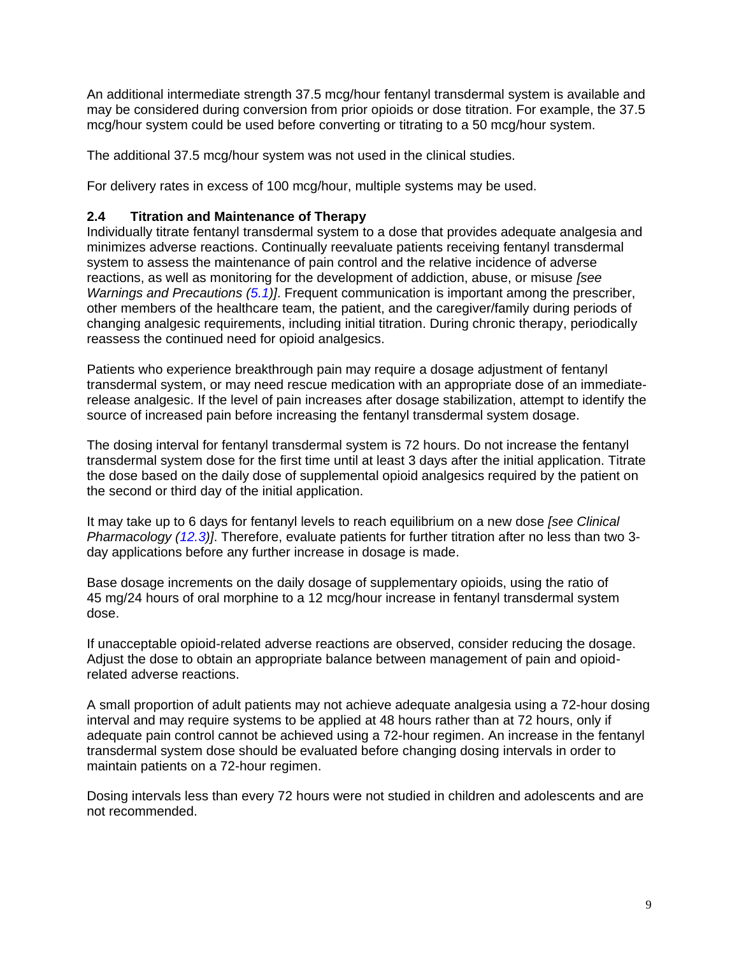An additional intermediate strength 37.5 mcg/hour fentanyl transdermal system is available and may be considered during conversion from prior opioids or dose titration. For example, the 37.5 mcg/hour system could be used before converting or titrating to a 50 mcg/hour system.

The additional 37.5 mcg/hour system was not used in the clinical studies.

For delivery rates in excess of 100 mcg/hour, multiple systems may be used.

# <span id="page-8-0"></span>**2.4 Titration and Maintenance of Therapy**

Individually titrate fentanyl transdermal system to a dose that provides adequate analgesia and minimizes adverse reactions. Continually reevaluate patients receiving fentanyl transdermal system to assess the maintenance of pain control and the relative incidence of adverse reactions, as well as monitoring for the development of addiction, abuse, or misuse *[see Warnings and Precautions [\(5.1\)](#page-12-0)]*. Frequent communication is important among the prescriber, other members of the healthcare team, the patient, and the caregiver/family during periods of changing analgesic requirements, including initial titration. During chronic therapy, periodically reassess the continued need for opioid analgesics.

Patients who experience breakthrough pain may require a dosage adjustment of fentanyl transdermal system, or may need rescue medication with an appropriate dose of an immediaterelease analgesic. If the level of pain increases after dosage stabilization, attempt to identify the source of increased pain before increasing the fentanyl transdermal system dosage.

The dosing interval for fentanyl transdermal system is 72 hours. Do not increase the fentanyl transdermal system dose for the first time until at least 3 days after the initial application. Titrate the dose based on the daily dose of supplemental opioid analgesics required by the patient on the second or third day of the initial application.

It may take up to 6 days for fentanyl levels to reach equilibrium on a new dose *[see Clinical Pharmacology [\(12.3\)](#page-34-0)]*. Therefore, evaluate patients for further titration after no less than two 3 day applications before any further increase in dosage is made.

Base dosage increments on the daily dosage of supplementary opioids, using the ratio of 45 mg/24 hours of oral morphine to a 12 mcg/hour increase in fentanyl transdermal system dose.

If unacceptable opioid-related adverse reactions are observed, consider reducing the dosage. Adjust the dose to obtain an appropriate balance between management of pain and opioidrelated adverse reactions.

A small proportion of adult patients may not achieve adequate analgesia using a 72-hour dosing interval and may require systems to be applied at 48 hours rather than at 72 hours, only if adequate pain control cannot be achieved using a 72-hour regimen. An increase in the fentanyl transdermal system dose should be evaluated before changing dosing intervals in order to maintain patients on a 72-hour regimen.

Dosing intervals less than every 72 hours were not studied in children and adolescents and are not recommended.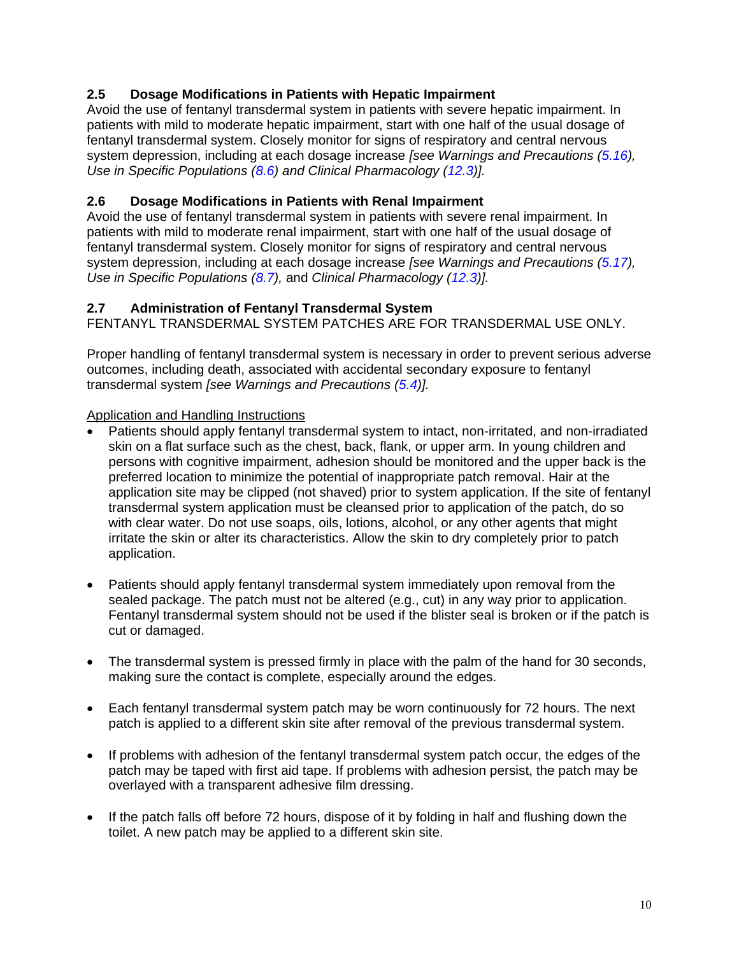# <span id="page-9-1"></span>**2.5 Dosage Modifications in Patients with Hepatic Impairment**

Avoid the use of fentanyl transdermal system in patients with severe hepatic impairment. In patients with mild to moderate hepatic impairment, start with one half of the usual dosage of fentanyl transdermal system. Closely monitor for signs of respiratory and central nervous system depression, including at each dosage increase *[see Warnings and Precautions [\(5.16\)](#page-18-2), Use in Specific Populations [\(8.6\)](#page-28-0) and Clinical Pharmacology [\(12.3\)](#page-34-0)].*

# <span id="page-9-0"></span>**2.6 Dosage Modifications in Patients with Renal Impairment**

Avoid the use of fentanyl transdermal system in patients with severe renal impairment. In patients with mild to moderate renal impairment, start with one half of the usual dosage of fentanyl transdermal system. Closely monitor for signs of respiratory and central nervous system depression, including at each dosage increase *[see Warnings and Precautions [\(5.17\)](#page-18-3), Use in Specific Populations [\(8.7\)](#page-28-1),* and *Clinical Pharmacology [\(12.3\)](#page-34-0)].*

# <span id="page-9-2"></span>**2.7 Administration of Fentanyl Transdermal System**

FENTANYL TRANSDERMAL SYSTEM PATCHES ARE FOR TRANSDERMAL USE ONLY.

Proper handling of fentanyl transdermal system is necessary in order to prevent serious adverse outcomes, including death, associated with accidental secondary exposure to fentanyl transdermal system *[see Warnings and Precautions [\(5.4\)](#page-14-0)].*

Application and Handling Instructions

- Patients should apply fentanyl transdermal system to intact, non-irritated, and non-irradiated skin on a flat surface such as the chest, back, flank, or upper arm. In young children and persons with cognitive impairment, adhesion should be monitored and the upper back is the preferred location to minimize the potential of inappropriate patch removal. Hair at the application site may be clipped (not shaved) prior to system application. If the site of fentanyl transdermal system application must be cleansed prior to application of the patch, do so with clear water. Do not use soaps, oils, lotions, alcohol, or any other agents that might irritate the skin or alter its characteristics. Allow the skin to dry completely prior to patch application.
- Patients should apply fentanyl transdermal system immediately upon removal from the sealed package. The patch must not be altered (e.g., cut) in any way prior to application. Fentanyl transdermal system should not be used if the blister seal is broken or if the patch is cut or damaged.
- The transdermal system is pressed firmly in place with the palm of the hand for 30 seconds, making sure the contact is complete, especially around the edges.
- Each fentanyl transdermal system patch may be worn continuously for 72 hours. The next patch is applied to a different skin site after removal of the previous transdermal system.
- If problems with adhesion of the fentanyl transdermal system patch occur, the edges of the patch may be taped with first aid tape. If problems with adhesion persist, the patch may be overlayed with a transparent adhesive film dressing.
- If the patch falls off before 72 hours, dispose of it by folding in half and flushing down the toilet. A new patch may be applied to a different skin site.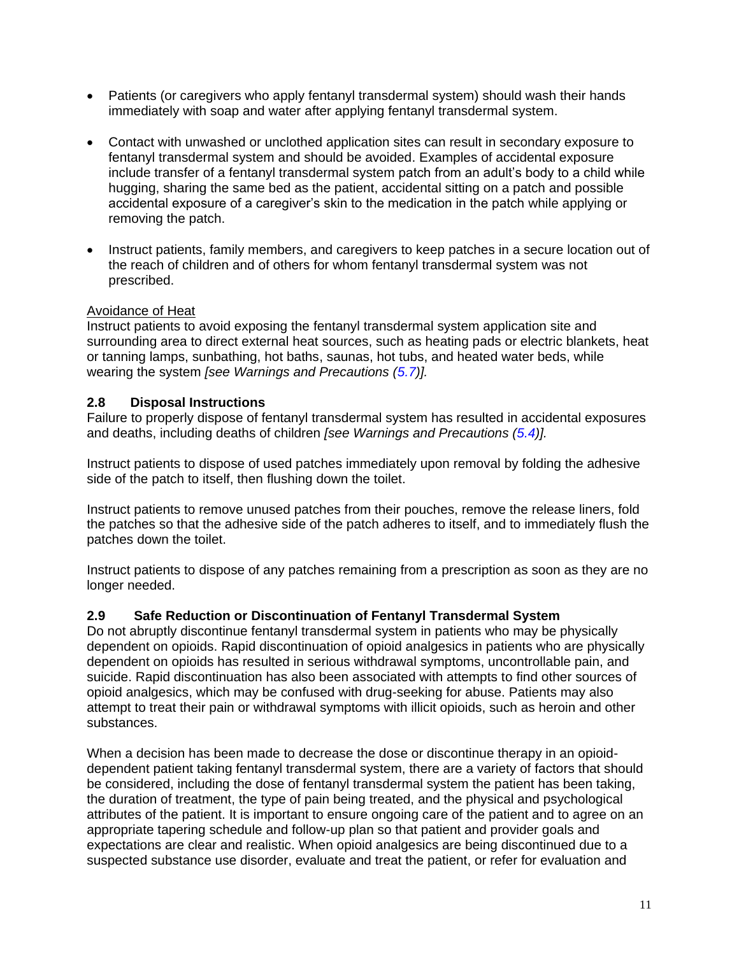- Patients (or caregivers who apply fentanyl transdermal system) should wash their hands immediately with soap and water after applying fentanyl transdermal system.
- Contact with unwashed or unclothed application sites can result in secondary exposure to fentanyl transdermal system and should be avoided. Examples of accidental exposure include transfer of a fentanyl transdermal system patch from an adult's body to a child while hugging, sharing the same bed as the patient, accidental sitting on a patch and possible accidental exposure of a caregiver's skin to the medication in the patch while applying or removing the patch.
- Instruct patients, family members, and caregivers to keep patches in a secure location out of the reach of children and of others for whom fentanyl transdermal system was not prescribed.

# Avoidance of Heat

Instruct patients to avoid exposing the fentanyl transdermal system application site and surrounding area to direct external heat sources, such as heating pads or electric blankets, heat or tanning lamps, sunbathing, hot baths, saunas, hot tubs, and heated water beds, while wearing the system *[see Warnings and Precautions [\(5.7\)](#page-15-1)].*

# <span id="page-10-0"></span>**2.8 Disposal Instructions**

Failure to properly dispose of fentanyl transdermal system has resulted in accidental exposures and deaths, including deaths of children *[see Warnings and Precautions [\(5.4\)](#page-14-0)].*

Instruct patients to dispose of used patches immediately upon removal by folding the adhesive side of the patch to itself, then flushing down the toilet.

Instruct patients to remove unused patches from their pouches, remove the release liners, fold the patches so that the adhesive side of the patch adheres to itself, and to immediately flush the patches down the toilet.

Instruct patients to dispose of any patches remaining from a prescription as soon as they are no longer needed.

# <span id="page-10-1"></span>**2.9 Safe Reduction or Discontinuation of Fentanyl Transdermal System**

Do not abruptly discontinue fentanyl transdermal system in patients who may be physically dependent on opioids. Rapid discontinuation of opioid analgesics in patients who are physically dependent on opioids has resulted in serious withdrawal symptoms, uncontrollable pain, and suicide. Rapid discontinuation has also been associated with attempts to find other sources of opioid analgesics, which may be confused with drug-seeking for abuse. Patients may also attempt to treat their pain or withdrawal symptoms with illicit opioids, such as heroin and other substances.

When a decision has been made to decrease the dose or discontinue therapy in an opioiddependent patient taking fentanyl transdermal system, there are a variety of factors that should be considered, including the dose of fentanyl transdermal system the patient has been taking, the duration of treatment, the type of pain being treated, and the physical and psychological attributes of the patient. It is important to ensure ongoing care of the patient and to agree on an appropriate tapering schedule and follow-up plan so that patient and provider goals and expectations are clear and realistic. When opioid analgesics are being discontinued due to a suspected substance use disorder, evaluate and treat the patient, or refer for evaluation and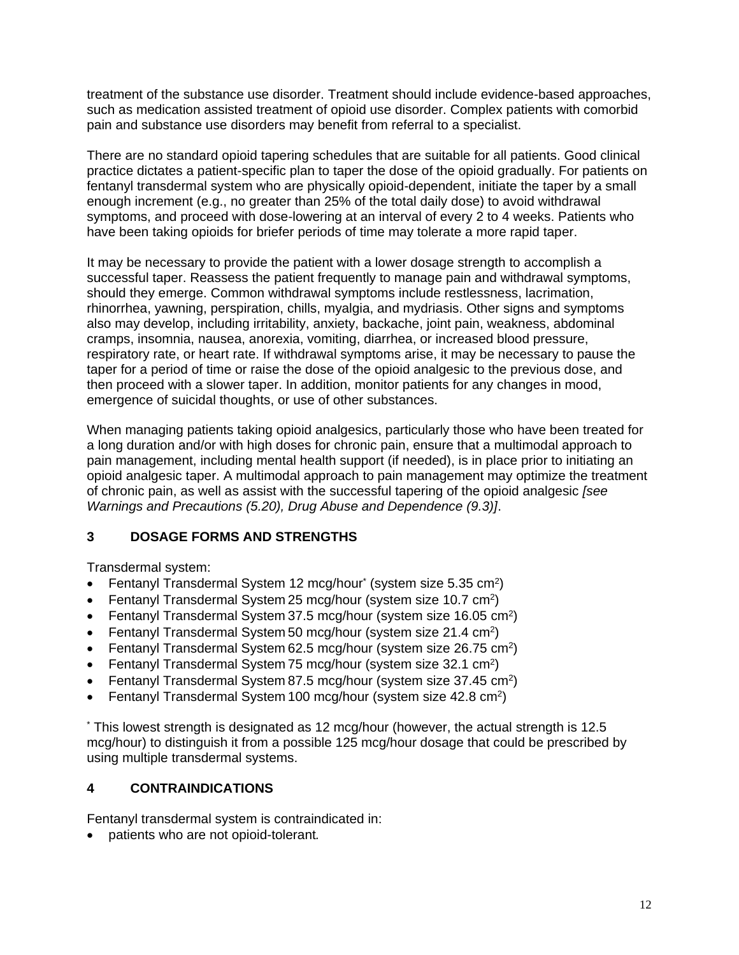treatment of the substance use disorder. Treatment should include evidence-based approaches, such as medication assisted treatment of opioid use disorder. Complex patients with comorbid pain and substance use disorders may benefit from referral to a specialist.

There are no standard opioid tapering schedules that are suitable for all patients. Good clinical practice dictates a patient-specific plan to taper the dose of the opioid gradually. For patients on fentanyl transdermal system who are physically opioid-dependent, initiate the taper by a small enough increment (e.g., no greater than 25% of the total daily dose) to avoid withdrawal symptoms, and proceed with dose-lowering at an interval of every 2 to 4 weeks. Patients who have been taking opioids for briefer periods of time may tolerate a more rapid taper.

It may be necessary to provide the patient with a lower dosage strength to accomplish a successful taper. Reassess the patient frequently to manage pain and withdrawal symptoms, should they emerge. Common withdrawal symptoms include restlessness, lacrimation, rhinorrhea, yawning, perspiration, chills, myalgia, and mydriasis. Other signs and symptoms also may develop, including irritability, anxiety, backache, joint pain, weakness, abdominal cramps, insomnia, nausea, anorexia, vomiting, diarrhea, or increased blood pressure, respiratory rate, or heart rate. If withdrawal symptoms arise, it may be necessary to pause the taper for a period of time or raise the dose of the opioid analgesic to the previous dose, and then proceed with a slower taper. In addition, monitor patients for any changes in mood, emergence of suicidal thoughts, or use of other substances.

When managing patients taking opioid analgesics, particularly those who have been treated for a long duration and/or with high doses for chronic pain, ensure that a multimodal approach to pain management, including mental health support (if needed), is in place prior to initiating an opioid analgesic taper. A multimodal approach to pain management may optimize the treatment of chronic pain, as well as assist with the successful tapering of the opioid analgesic *[see Warnings and Precautions (5.20), Drug Abuse and Dependence (9.3)]*.

# <span id="page-11-0"></span>**3 DOSAGE FORMS AND STRENGTHS**

Transdermal system:

- Fentanyl Transdermal System 12 mcg/hour\* (system size 5.35 cm<sup>2</sup>)
- Fentanyl Transdermal System 25 mcg/hour (system size 10.7  $\text{cm}^2$ )
- Fentanyl Transdermal System 37.5 mcg/hour (system size 16.05 cm<sup>2</sup>)
- Fentanyl Transdermal System 50 mcg/hour (system size 21.4  $cm<sup>2</sup>$ )
- Fentanyl Transdermal System 62.5 mcg/hour (system size 26.75 cm<sup>2</sup>)
- Fentanyl Transdermal System 75 mcg/hour (system size 32.1 cm<sup>2</sup>)
- Fentanyl Transdermal System 87.5 mcg/hour (system size 37.45 cm<sup>2</sup>)
- Fentanyl Transdermal System 100 mcg/hour (system size 42.8 cm<sup>2</sup>)

\* This lowest strength is designated as 12 mcg/hour (however, the actual strength is 12.5 mcg/hour) to distinguish it from a possible 125 mcg/hour dosage that could be prescribed by using multiple transdermal systems.

# <span id="page-11-1"></span>**4 CONTRAINDICATIONS**

Fentanyl transdermal system is contraindicated in:

• patients who are not opioid-tolerant*.*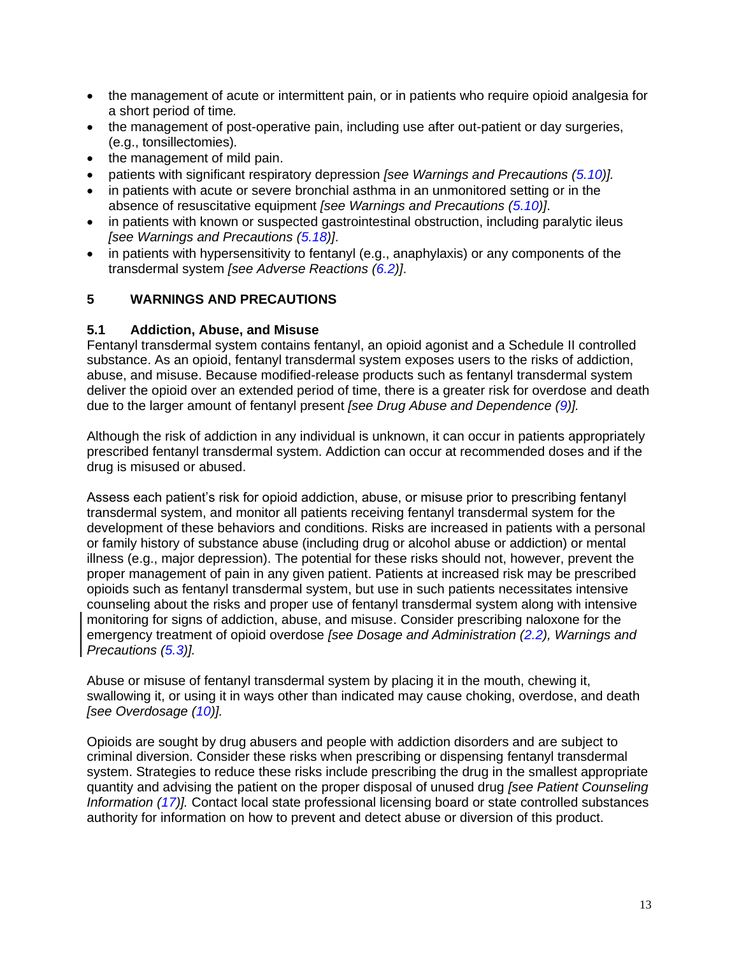- the management of acute or intermittent pain, or in patients who require opioid analgesia for a short period of time*.*
- the management of post-operative pain, including use after out-patient or day surgeries, (e.g., tonsillectomies)*.*
- the management of mild pain.
- patients with significant respiratory depression *[see Warnings and Precautions [\(5.10\)](#page-16-0)].*
- in patients with acute or severe bronchial asthma in an unmonitored setting or in the absence of resuscitative equipment *[see Warnings and Precautions [\(5.10\)](#page-16-0)]*.
- in patients with known or suspected gastrointestinal obstruction, including paralytic ileus *[see Warnings and Precautions [\(5.18\)](#page-18-4)]*.
- in patients with hypersensitivity to fentanyl (e.g., anaphylaxis) or any components of the transdermal system *[see Adverse Reactions [\(6.2\)](#page-23-1)]*.

# <span id="page-12-1"></span>**5 WARNINGS AND PRECAUTIONS**

# <span id="page-12-0"></span>**5.1 Addiction, Abuse, and Misuse**

Fentanyl transdermal system contains fentanyl, an opioid agonist and a Schedule II controlled substance. As an opioid, fentanyl transdermal system exposes users to the risks of addiction, abuse, and misuse. Because modified-release products such as fentanyl transdermal system deliver the opioid over an extended period of time, there is a greater risk for overdose and death due to the larger amount of fentanyl present *[see Drug Abuse and Dependence [\(9\)](#page-28-2)].*

Although the risk of addiction in any individual is unknown, it can occur in patients appropriately prescribed fentanyl transdermal system. Addiction can occur at recommended doses and if the drug is misused or abused.

Assess each patient's risk for opioid addiction, abuse, or misuse prior to prescribing fentanyl transdermal system, and monitor all patients receiving fentanyl transdermal system for the development of these behaviors and conditions. Risks are increased in patients with a personal or family history of substance abuse (including drug or alcohol abuse or addiction) or mental illness (e.g., major depression). The potential for these risks should not, however, prevent the proper management of pain in any given patient. Patients at increased risk may be prescribed opioids such as fentanyl transdermal system, but use in such patients necessitates intensive counseling about the risks and proper use of fentanyl transdermal system along with intensive monitoring for signs of addiction, abuse, and misuse. Consider prescribing naloxone for the emergency treatment of opioid overdose *[see Dosage and Administration [\(2.2\)](#page-5-2), Warnings and Precautions [\(5.3\)](#page-13-1)].*

Abuse or misuse of fentanyl transdermal system by placing it in the mouth, chewing it, swallowing it, or using it in ways other than indicated may cause choking, overdose, and death *[see Overdosage [\(10\)](#page-30-1)].*

Opioids are sought by drug abusers and people with addiction disorders and are subject to criminal diversion. Consider these risks when prescribing or dispensing fentanyl transdermal system. Strategies to reduce these risks include prescribing the drug in the smallest appropriate quantity and advising the patient on the proper disposal of unused drug *[see Patient Counseling Information [\(17\)](#page-39-0)].* Contact local state professional licensing board or state controlled substances authority for information on how to prevent and detect abuse or diversion of this product.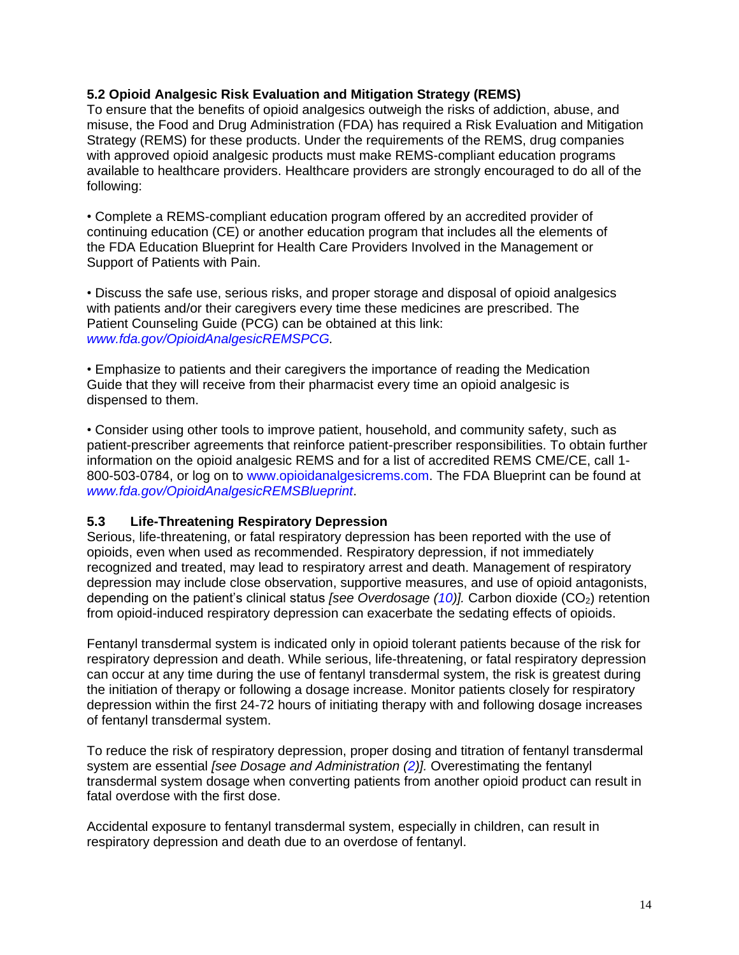# <span id="page-13-0"></span>**5.2 Opioid Analgesic Risk Evaluation and Mitigation Strategy (REMS)**

To ensure that the benefits of opioid analgesics outweigh the risks of addiction, abuse, and misuse, the Food and Drug Administration (FDA) has required a Risk Evaluation and Mitigation Strategy (REMS) for these products. Under the requirements of the REMS, drug companies with approved opioid analgesic products must make REMS-compliant education programs available to healthcare providers. Healthcare providers are strongly encouraged to do all of the following:

• Complete a REMS-compliant education program offered by an accredited provider of continuing education (CE) or another education program that includes all the elements of the FDA Education Blueprint for Health Care Providers Involved in the Management or Support of Patients with Pain.

• Discuss the safe use, serious risks, and proper storage and disposal of opioid analgesics with patients and/or their caregivers every time these medicines are prescribed. The Patient Counseling Guide (PCG) can be obtained at this link: *[www.fda.gov/OpioidAnalgesicREMSPCG.](http://www.fda.gov/OpioidAnalgesicREMSPCG)*

• Emphasize to patients and their caregivers the importance of reading the Medication Guide that they will receive from their pharmacist every time an opioid analgesic is dispensed to them.

• Consider using other tools to improve patient, household, and community safety, such as patient-prescriber agreements that reinforce patient-prescriber responsibilities. To obtain further information on the opioid analgesic REMS and for a list of accredited REMS CME/CE, call 1- 800-503-0784, or log on to [www.opioidanalgesicrems.com.](http://www.opioidanalgesicrems.com/) The FDA Blueprint can be found at *[www.fda.gov/OpioidAnalgesicREMSBlueprint](file://///fla-file-04/groups/Regulatory%20Affairs/RLD%20Labeling/RLD%20updates/Aveva/Fentanyl/RLD%20updates/October%202019%20-%20RLD%20update/www.fda.gov/OpioidAnalgesicREMSBlueprint)*.

# <span id="page-13-1"></span>**5.3 Life-Threatening Respiratory Depression**

Serious, life-threatening, or fatal respiratory depression has been reported with the use of opioids, even when used as recommended. Respiratory depression, if not immediately recognized and treated, may lead to respiratory arrest and death. Management of respiratory depression may include close observation, supportive measures, and use of opioid antagonists, depending on the patient's clinical status *[see Overdosage [\(10\)](#page-30-1)].* Carbon dioxide (CO2) retention from opioid-induced respiratory depression can exacerbate the sedating effects of opioids.

Fentanyl transdermal system is indicated only in opioid tolerant patients because of the risk for respiratory depression and death. While serious, life-threatening, or fatal respiratory depression can occur at any time during the use of fentanyl transdermal system, the risk is greatest during the initiation of therapy or following a dosage increase. Monitor patients closely for respiratory depression within the first 24-72 hours of initiating therapy with and following dosage increases of fentanyl transdermal system.

To reduce the risk of respiratory depression, proper dosing and titration of fentanyl transdermal system are essential *[see Dosage and Administration [\(2\)](#page-5-0)].* Overestimating the fentanyl transdermal system dosage when converting patients from another opioid product can result in fatal overdose with the first dose.

Accidental exposure to fentanyl transdermal system, especially in children, can result in respiratory depression and death due to an overdose of fentanyl.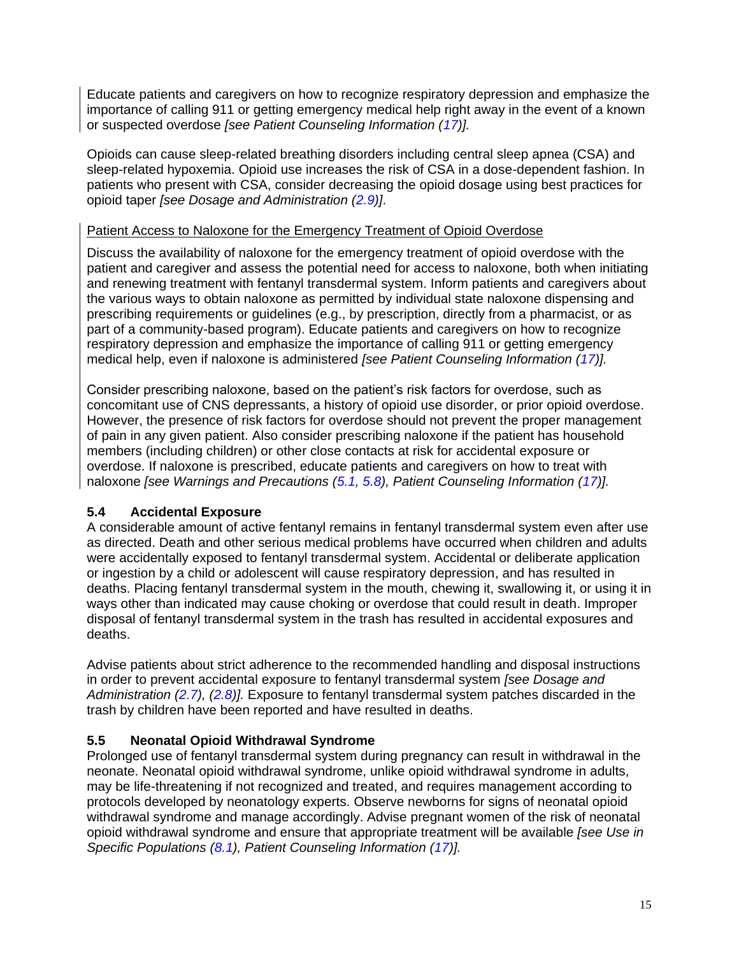Educate patients and caregivers on how to recognize respiratory depression and emphasize the importance of calling 911 or getting emergency medical help right away in the event of a known or suspected overdose *[see Patient Counseling Information [\(17\)](#page-39-0)].*

Opioids can cause sleep-related breathing disorders including central sleep apnea (CSA) and sleep-related hypoxemia. Opioid use increases the risk of CSA in a dose-dependent fashion. In patients who present with CSA, consider decreasing the opioid dosage using best practices for opioid taper *[see Dosage and Administration [\(2.9\)](#page-10-1)]*.

# Patient Access to Naloxone for the Emergency Treatment of Opioid Overdose

Discuss the availability of naloxone for the emergency treatment of opioid overdose with the patient and caregiver and assess the potential need for access to naloxone, both when initiating and renewing treatment with fentanyl transdermal system. Inform patients and caregivers about the various ways to obtain naloxone as permitted by individual state naloxone dispensing and prescribing requirements or guidelines (e.g., by prescription, directly from a pharmacist, or as part of a community-based program). Educate patients and caregivers on how to recognize respiratory depression and emphasize the importance of calling 911 or getting emergency medical help, even if naloxone is administered *[see Patient Counseling Information [\(17\)](#page-39-0)].*

Consider prescribing naloxone, based on the patient's risk factors for overdose, such as concomitant use of CNS depressants, a history of opioid use disorder, or prior opioid overdose. However, the presence of risk factors for overdose should not prevent the proper management of pain in any given patient. Also consider prescribing naloxone if the patient has household members (including children) or other close contacts at risk for accidental exposure or overdose. If naloxone is prescribed, educate patients and caregivers on how to treat with naloxone *[see Warnings and Precautions [\(5.1,](#page-12-0) [5.8\)](#page-15-2), Patient Counseling Information [\(17\)](#page-39-0)].*

# <span id="page-14-0"></span>**5.4 Accidental Exposure**

A considerable amount of active fentanyl remains in fentanyl transdermal system even after use as directed. Death and other serious medical problems have occurred when children and adults were accidentally exposed to fentanyl transdermal system. Accidental or deliberate application or ingestion by a child or adolescent will cause respiratory depression, and has resulted in deaths. Placing fentanyl transdermal system in the mouth, chewing it, swallowing it, or using it in ways other than indicated may cause choking or overdose that could result in death. Improper disposal of fentanyl transdermal system in the trash has resulted in accidental exposures and deaths.

Advise patients about strict adherence to the recommended handling and disposal instructions in order to prevent accidental exposure to fentanyl transdermal system *[see Dosage and Administration [\(2.7\)](#page-9-2), [\(2.8\)](#page-10-0)].* Exposure to fentanyl transdermal system patches discarded in the trash by children have been reported and have resulted in deaths.

# <span id="page-14-1"></span>**5.5 Neonatal Opioid Withdrawal Syndrome**

Prolonged use of fentanyl transdermal system during pregnancy can result in withdrawal in the neonate. Neonatal opioid withdrawal syndrome, unlike opioid withdrawal syndrome in adults, may be life-threatening if not recognized and treated, and requires management according to protocols developed by neonatology experts. Observe newborns for signs of neonatal opioid withdrawal syndrome and manage accordingly. Advise pregnant women of the risk of neonatal opioid withdrawal syndrome and ensure that appropriate treatment will be available *[see Use in Specific Populations [\(8.1\)](#page-25-0), Patient Counseling Information [\(17\)](#page-39-0)].*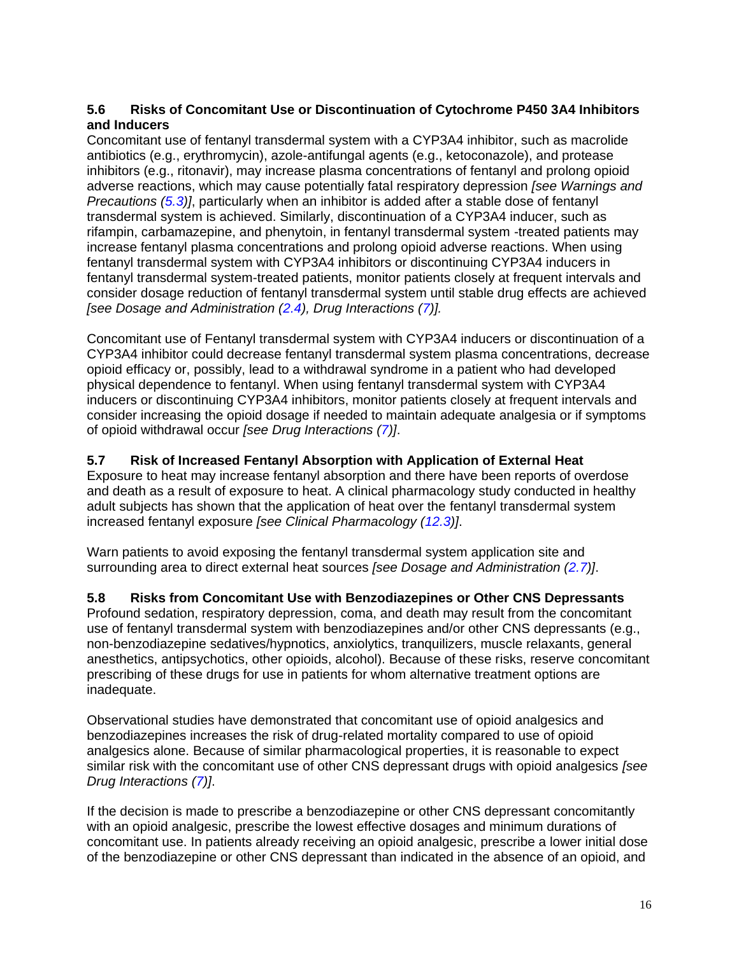# <span id="page-15-0"></span>**5.6 Risks of Concomitant Use or Discontinuation of Cytochrome P450 3A4 Inhibitors and Inducers**

Concomitant use of fentanyl transdermal system with a CYP3A4 inhibitor, such as macrolide antibiotics (e.g., erythromycin), azole-antifungal agents (e.g., ketoconazole), and protease inhibitors (e.g., ritonavir), may increase plasma concentrations of fentanyl and prolong opioid adverse reactions, which may cause potentially fatal respiratory depression *[see Warnings and Precautions [\(5.3\)](#page-13-1)]*, particularly when an inhibitor is added after a stable dose of fentanyl transdermal system is achieved. Similarly, discontinuation of a CYP3A4 inducer, such as rifampin, carbamazepine, and phenytoin, in fentanyl transdermal system -treated patients may increase fentanyl plasma concentrations and prolong opioid adverse reactions. When using fentanyl transdermal system with CYP3A4 inhibitors or discontinuing CYP3A4 inducers in fentanyl transdermal system-treated patients, monitor patients closely at frequent intervals and consider dosage reduction of fentanyl transdermal system until stable drug effects are achieved *[see Dosage and Administration [\(2.4\)](#page-8-0), Drug Interactions [\(7\)](#page-23-0)].*

Concomitant use of Fentanyl transdermal system with CYP3A4 inducers or discontinuation of a CYP3A4 inhibitor could decrease fentanyl transdermal system plasma concentrations, decrease opioid efficacy or, possibly, lead to a withdrawal syndrome in a patient who had developed physical dependence to fentanyl. When using fentanyl transdermal system with CYP3A4 inducers or discontinuing CYP3A4 inhibitors, monitor patients closely at frequent intervals and consider increasing the opioid dosage if needed to maintain adequate analgesia or if symptoms of opioid withdrawal occur *[see Drug Interactions [\(7\)](#page-23-0)]*.

# <span id="page-15-1"></span>**5.7 Risk of Increased Fentanyl Absorption with Application of External Heat**

Exposure to heat may increase fentanyl absorption and there have been reports of overdose and death as a result of exposure to heat. A clinical pharmacology study conducted in healthy adult subjects has shown that the application of heat over the fentanyl transdermal system increased fentanyl exposure *[see Clinical Pharmacology [\(12.3\)](#page-34-0)]*.

Warn patients to avoid exposing the fentanyl transdermal system application site and surrounding area to direct external heat sources *[see Dosage and Administration [\(2.7\)](#page-9-2)]*.

<span id="page-15-2"></span>**5.8 Risks from Concomitant Use with Benzodiazepines or Other CNS Depressants** Profound sedation, respiratory depression, coma, and death may result from the concomitant use of fentanyl transdermal system with benzodiazepines and/or other CNS depressants (e.g., non-benzodiazepine sedatives/hypnotics, anxiolytics, tranquilizers, muscle relaxants, general anesthetics, antipsychotics, other opioids, alcohol). Because of these risks, reserve concomitant prescribing of these drugs for use in patients for whom alternative treatment options are inadequate.

Observational studies have demonstrated that concomitant use of opioid analgesics and benzodiazepines increases the risk of drug-related mortality compared to use of opioid analgesics alone. Because of similar pharmacological properties, it is reasonable to expect similar risk with the concomitant use of other CNS depressant drugs with opioid analgesics *[see Drug Interactions [\(7\)](#page-23-0)]*.

If the decision is made to prescribe a benzodiazepine or other CNS depressant concomitantly with an opioid analgesic, prescribe the lowest effective dosages and minimum durations of concomitant use. In patients already receiving an opioid analgesic, prescribe a lower initial dose of the benzodiazepine or other CNS depressant than indicated in the absence of an opioid, and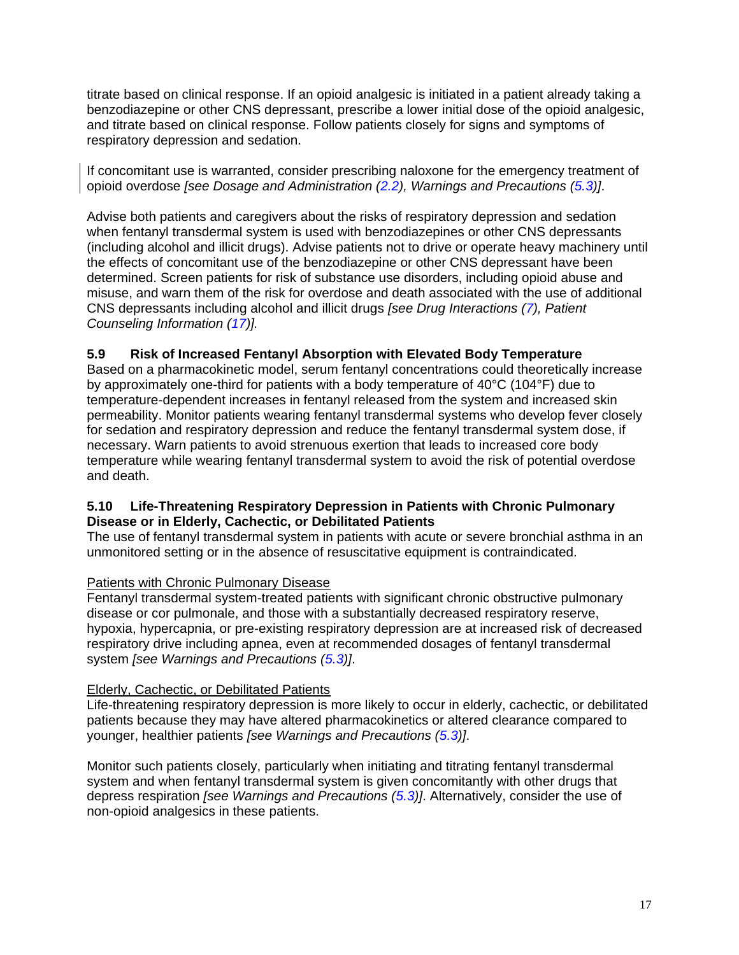titrate based on clinical response. If an opioid analgesic is initiated in a patient already taking a benzodiazepine or other CNS depressant, prescribe a lower initial dose of the opioid analgesic, and titrate based on clinical response. Follow patients closely for signs and symptoms of respiratory depression and sedation.

If concomitant use is warranted, consider prescribing naloxone for the emergency treatment of opioid overdose *[see Dosage and Administration [\(2.2\)](#page-5-2), Warnings and Precautions [\(5.3\)](#page-13-1)]*.

Advise both patients and caregivers about the risks of respiratory depression and sedation when fentanyl transdermal system is used with benzodiazepines or other CNS depressants (including alcohol and illicit drugs). Advise patients not to drive or operate heavy machinery until the effects of concomitant use of the benzodiazepine or other CNS depressant have been determined. Screen patients for risk of substance use disorders, including opioid abuse and misuse, and warn them of the risk for overdose and death associated with the use of additional CNS depressants including alcohol and illicit drugs *[see Drug Interactions [\(7\)](#page-23-0), Patient Counseling Information [\(17\)](#page-39-0)].*

# <span id="page-16-1"></span>**5.9 Risk of Increased Fentanyl Absorption with Elevated Body Temperature**

Based on a pharmacokinetic model, serum fentanyl concentrations could theoretically increase by approximately one-third for patients with a body temperature of 40°C (104°F) due to temperature-dependent increases in fentanyl released from the system and increased skin permeability. Monitor patients wearing fentanyl transdermal systems who develop fever closely for sedation and respiratory depression and reduce the fentanyl transdermal system dose, if necessary. Warn patients to avoid strenuous exertion that leads to increased core body temperature while wearing fentanyl transdermal system to avoid the risk of potential overdose and death.

#### <span id="page-16-0"></span>**5.10 Life-Threatening Respiratory Depression in Patients with Chronic Pulmonary Disease or in Elderly, Cachectic, or Debilitated Patients**

The use of fentanyl transdermal system in patients with acute or severe bronchial asthma in an unmonitored setting or in the absence of resuscitative equipment is contraindicated.

# Patients with Chronic Pulmonary Disease

Fentanyl transdermal system-treated patients with significant chronic obstructive pulmonary disease or cor pulmonale, and those with a substantially decreased respiratory reserve, hypoxia, hypercapnia, or pre-existing respiratory depression are at increased risk of decreased respiratory drive including apnea, even at recommended dosages of fentanyl transdermal system *[see Warnings and Precautions [\(5.3\)](#page-13-1)]*.

# Elderly, Cachectic, or Debilitated Patients

Life-threatening respiratory depression is more likely to occur in elderly, cachectic, or debilitated patients because they may have altered pharmacokinetics or altered clearance compared to younger, healthier patients *[see Warnings and Precautions [\(5.3\)](#page-13-1)]*.

Monitor such patients closely, particularly when initiating and titrating fentanyl transdermal system and when fentanyl transdermal system is given concomitantly with other drugs that depress respiration *[see Warnings and Precautions [\(5.3\)](#page-13-1)]*. Alternatively, consider the use of non-opioid analgesics in these patients.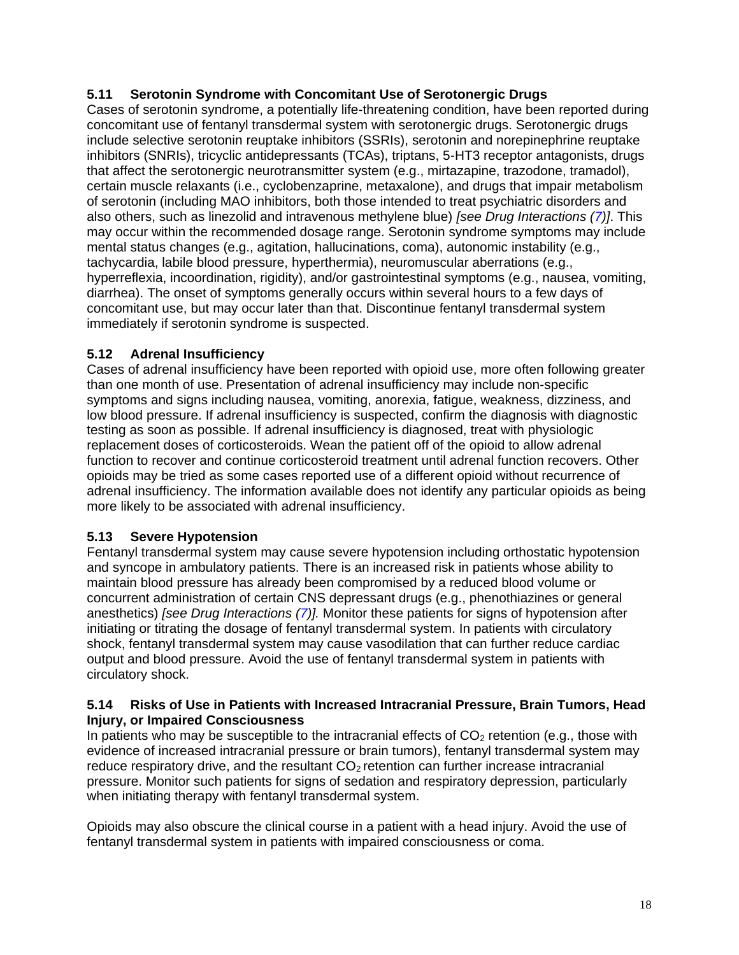# <span id="page-17-0"></span>**5.11 Serotonin Syndrome with Concomitant Use of Serotonergic Drugs**

Cases of serotonin syndrome, a potentially life-threatening condition, have been reported during concomitant use of fentanyl transdermal system with serotonergic drugs. Serotonergic drugs include selective serotonin reuptake inhibitors (SSRIs), serotonin and norepinephrine reuptake inhibitors (SNRIs), tricyclic antidepressants (TCAs), triptans, 5-HT3 receptor antagonists, drugs that affect the serotonergic neurotransmitter system (e.g., mirtazapine, trazodone, tramadol), certain muscle relaxants (i.e., cyclobenzaprine, metaxalone), and drugs that impair metabolism of serotonin (including MAO inhibitors, both those intended to treat psychiatric disorders and also others, such as linezolid and intravenous methylene blue) *[see Drug Interactions [\(7\)](#page-23-0)]*. This may occur within the recommended dosage range. Serotonin syndrome symptoms may include mental status changes (e.g., agitation, hallucinations, coma), autonomic instability (e.g., tachycardia, labile blood pressure, hyperthermia), neuromuscular aberrations (e.g., hyperreflexia, incoordination, rigidity), and/or gastrointestinal symptoms (e.g., nausea, vomiting, diarrhea). The onset of symptoms generally occurs within several hours to a few days of concomitant use, but may occur later than that. Discontinue fentanyl transdermal system immediately if serotonin syndrome is suspected.

# <span id="page-17-1"></span>**5.12 Adrenal Insufficiency**

Cases of adrenal insufficiency have been reported with opioid use, more often following greater than one month of use. Presentation of adrenal insufficiency may include non-specific symptoms and signs including nausea, vomiting, anorexia, fatigue, weakness, dizziness, and low blood pressure. If adrenal insufficiency is suspected, confirm the diagnosis with diagnostic testing as soon as possible. If adrenal insufficiency is diagnosed, treat with physiologic replacement doses of corticosteroids. Wean the patient off of the opioid to allow adrenal function to recover and continue corticosteroid treatment until adrenal function recovers. Other opioids may be tried as some cases reported use of a different opioid without recurrence of adrenal insufficiency. The information available does not identify any particular opioids as being more likely to be associated with adrenal insufficiency.

# <span id="page-17-2"></span>**5.13 Severe Hypotension**

Fentanyl transdermal system may cause severe hypotension including orthostatic hypotension and syncope in ambulatory patients. There is an increased risk in patients whose ability to maintain blood pressure has already been compromised by a reduced blood volume or concurrent administration of certain CNS depressant drugs (e.g., phenothiazines or general anesthetics) *[see Drug Interactions [\(7\)](#page-23-0)].* Monitor these patients for signs of hypotension after initiating or titrating the dosage of fentanyl transdermal system. In patients with circulatory shock, fentanyl transdermal system may cause vasodilation that can further reduce cardiac output and blood pressure. Avoid the use of fentanyl transdermal system in patients with circulatory shock.

# <span id="page-17-3"></span>**5.14 Risks of Use in Patients with Increased Intracranial Pressure, Brain Tumors, Head Injury, or Impaired Consciousness**

In patients who may be susceptible to the intracranial effects of  $CO<sub>2</sub>$  retention (e.g., those with evidence of increased intracranial pressure or brain tumors), fentanyl transdermal system may reduce respiratory drive, and the resultant  $CO<sub>2</sub>$  retention can further increase intracranial pressure. Monitor such patients for signs of sedation and respiratory depression, particularly when initiating therapy with fentanyl transdermal system.

Opioids may also obscure the clinical course in a patient with a head injury. Avoid the use of fentanyl transdermal system in patients with impaired consciousness or coma.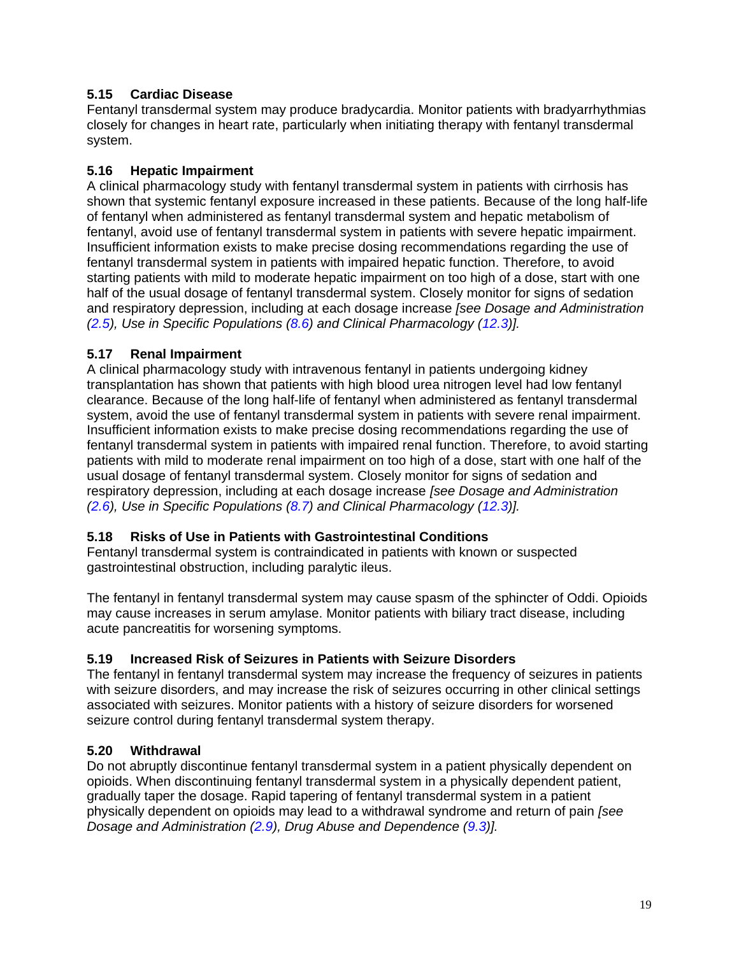# <span id="page-18-1"></span>**5.15 Cardiac Disease**

Fentanyl transdermal system may produce bradycardia. Monitor patients with bradyarrhythmias closely for changes in heart rate, particularly when initiating therapy with fentanyl transdermal system.

# <span id="page-18-2"></span>**5.16 Hepatic Impairment**

A clinical pharmacology study with fentanyl transdermal system in patients with cirrhosis has shown that systemic fentanyl exposure increased in these patients. Because of the long half-life of fentanyl when administered as fentanyl transdermal system and hepatic metabolism of fentanyl, avoid use of fentanyl transdermal system in patients with severe hepatic impairment. Insufficient information exists to make precise dosing recommendations regarding the use of fentanyl transdermal system in patients with impaired hepatic function. Therefore, to avoid starting patients with mild to moderate hepatic impairment on too high of a dose, start with one half of the usual dosage of fentanyl transdermal system. Closely monitor for signs of sedation and respiratory depression, including at each dosage increase *[see Dosage and Administration [\(2.5\)](#page-9-1), Use in Specific Populations [\(8.6\)](#page-28-0) and Clinical Pharmacology [\(12.3\)](#page-34-0)].*

# <span id="page-18-3"></span>**5.17 Renal Impairment**

A clinical pharmacology study with intravenous fentanyl in patients undergoing kidney transplantation has shown that patients with high blood urea nitrogen level had low fentanyl clearance. Because of the long half-life of fentanyl when administered as fentanyl transdermal system, avoid the use of fentanyl transdermal system in patients with severe renal impairment. Insufficient information exists to make precise dosing recommendations regarding the use of fentanyl transdermal system in patients with impaired renal function. Therefore, to avoid starting patients with mild to moderate renal impairment on too high of a dose, start with one half of the usual dosage of fentanyl transdermal system. Closely monitor for signs of sedation and respiratory depression, including at each dosage increase *[see Dosage and Administration [\(2.6\)](#page-9-0), Use in Specific Populations [\(8.7\)](#page-28-1) and Clinical Pharmacology [\(12.3\)](#page-34-0)].*

# <span id="page-18-4"></span>**5.18 Risks of Use in Patients with Gastrointestinal Conditions**

Fentanyl transdermal system is contraindicated in patients with known or suspected gastrointestinal obstruction, including paralytic ileus.

The fentanyl in fentanyl transdermal system may cause spasm of the sphincter of Oddi. Opioids may cause increases in serum amylase. Monitor patients with biliary tract disease, including acute pancreatitis for worsening symptoms.

# <span id="page-18-5"></span>**5.19 Increased Risk of Seizures in Patients with Seizure Disorders**

The fentanyl in fentanyl transdermal system may increase the frequency of seizures in patients with seizure disorders, and may increase the risk of seizures occurring in other clinical settings associated with seizures. Monitor patients with a history of seizure disorders for worsened seizure control during fentanyl transdermal system therapy.

# <span id="page-18-0"></span>**5.20 Withdrawal**

Do not abruptly discontinue fentanyl transdermal system in a patient physically dependent on opioids. When discontinuing fentanyl transdermal system in a physically dependent patient, gradually taper the dosage. Rapid tapering of fentanyl transdermal system in a patient physically dependent on opioids may lead to a withdrawal syndrome and return of pain *[see Dosage and Administration [\(2.9\)](#page-10-1), Drug Abuse and Dependence [\(9.3\)](#page-30-0)].*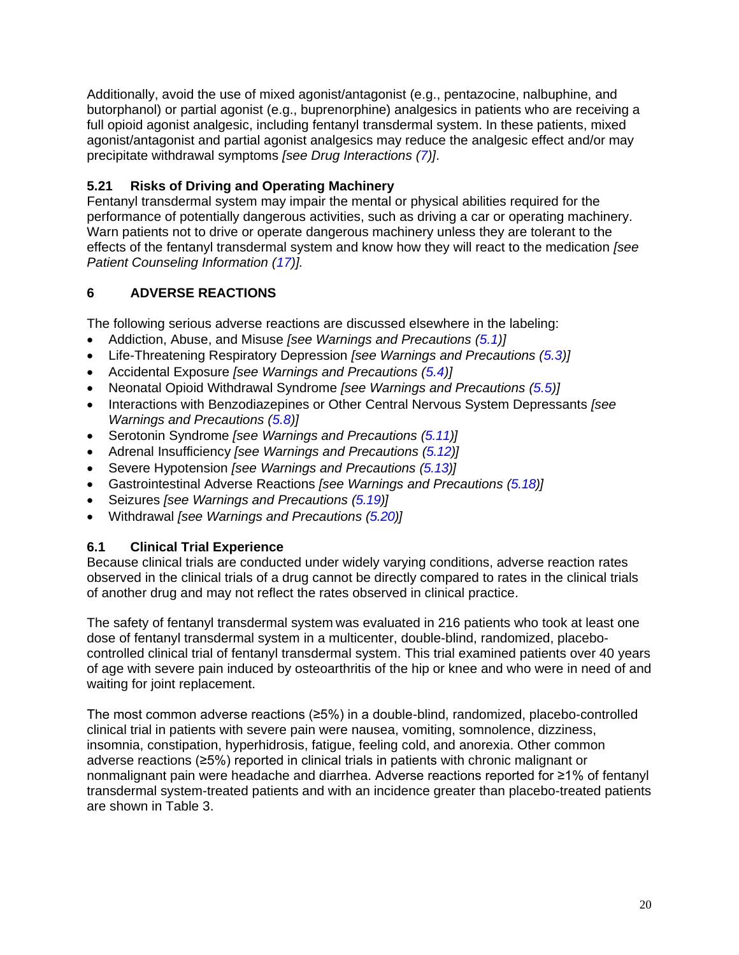Additionally, avoid the use of mixed agonist/antagonist (e.g., pentazocine, nalbuphine, and butorphanol) or partial agonist (e.g., buprenorphine) analgesics in patients who are receiving a full opioid agonist analgesic, including fentanyl transdermal system. In these patients, mixed agonist/antagonist and partial agonist analgesics may reduce the analgesic effect and/or may precipitate withdrawal symptoms *[see Drug Interactions [\(7\)](#page-23-0)]*.

# <span id="page-19-1"></span>**5.21 Risks of Driving and Operating Machinery**

Fentanyl transdermal system may impair the mental or physical abilities required for the performance of potentially dangerous activities, such as driving a car or operating machinery. Warn patients not to drive or operate dangerous machinery unless they are tolerant to the effects of the fentanyl transdermal system and know how they will react to the medication *[see Patient Counseling Information [\(17\)](#page-39-0)].*

# <span id="page-19-0"></span>**6 ADVERSE REACTIONS**

The following serious adverse reactions are discussed elsewhere in the labeling:

- Addiction, Abuse, and Misuse *[see Warnings and Precautions [\(5.1\)](#page-12-0)]*
- Life-Threatening Respiratory Depression *[see Warnings and Precautions [\(5.3\)](#page-13-1)]*
- Accidental Exposure *[see Warnings and Precautions [\(5.4\)](#page-14-0)]*
- Neonatal Opioid Withdrawal Syndrome *[see Warnings and Precautions [\(5.5\)](#page-14-1)]*
- Interactions with Benzodiazepines or Other Central Nervous System Depressants *[see Warnings and Precautions [\(5.8\)](#page-15-2)]*
- Serotonin Syndrome *[see Warnings and Precautions [\(5.11\)](#page-17-0)]*
- Adrenal Insufficiency *[see Warnings and Precautions [\(5.12\)](#page-17-1)]*
- Severe Hypotension *[see Warnings and Precautions [\(5.13\)](#page-17-2)]*
- Gastrointestinal Adverse Reactions *[see Warnings and Precautions [\(5.18\)](#page-18-4)]*
- Seizures *[see Warnings and Precautions [\(5.19\)](#page-18-5)]*
- Withdrawal *[see Warnings and Precautions [\(5.20\)](#page-18-0)]*

# <span id="page-19-2"></span>**6.1 Clinical Trial Experience**

Because clinical trials are conducted under widely varying conditions, adverse reaction rates observed in the clinical trials of a drug cannot be directly compared to rates in the clinical trials of another drug and may not reflect the rates observed in clinical practice.

The safety of fentanyl transdermal system was evaluated in 216 patients who took at least one dose of fentanyl transdermal system in a multicenter, double-blind, randomized, placebocontrolled clinical trial of fentanyl transdermal system. This trial examined patients over 40 years of age with severe pain induced by osteoarthritis of the hip or knee and who were in need of and waiting for joint replacement.

The most common adverse reactions (≥5%) in a double-blind, randomized, placebo-controlled clinical trial in patients with severe pain were nausea, vomiting, somnolence, dizziness, insomnia, constipation, hyperhidrosis, fatigue, feeling cold, and anorexia. Other common adverse reactions (≥5%) reported in clinical trials in patients with chronic malignant or nonmalignant pain were headache and diarrhea. Adverse reactions reported for ≥1% of fentanyl transdermal system-treated patients and with an incidence greater than placebo-treated patients are shown in Table 3.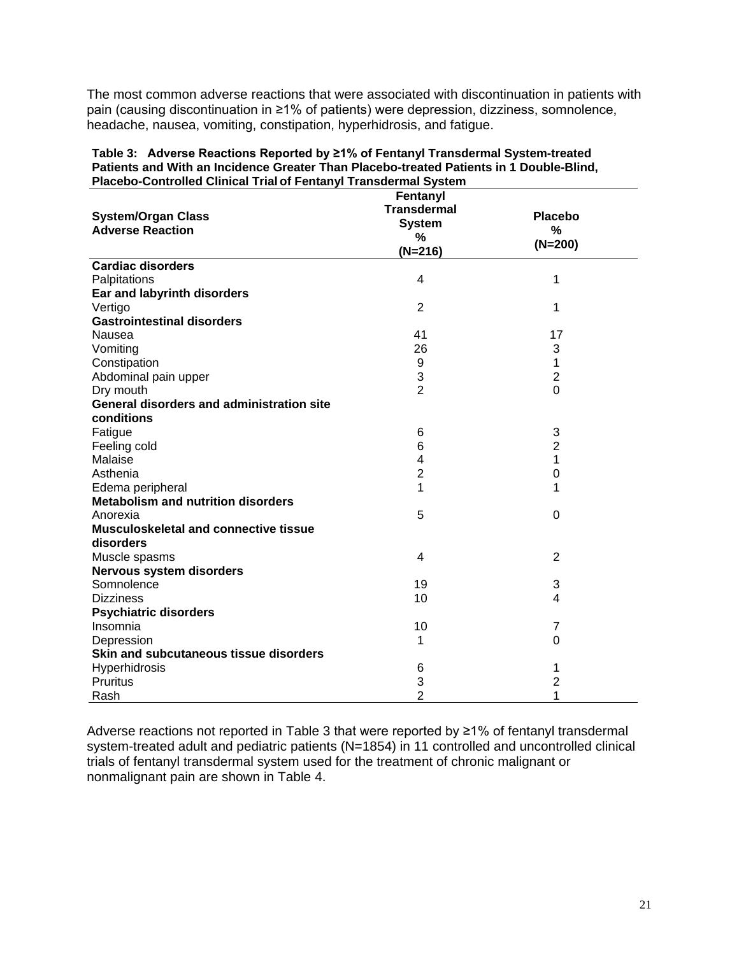The most common adverse reactions that were associated with discontinuation in patients with pain (causing discontinuation in ≥1% of patients) were depression, dizziness, somnolence, headache, nausea, vomiting, constipation, hyperhidrosis, and fatigue.

| <b>RESPONSE OF REAL PROPERTY IN SERVICE IN A SERVICE OF A SERVICE IN A SERVICE IN A SERVICE IN A SERVICE IN A SERVICE I</b> | Fentanyl                                    |                     |
|-----------------------------------------------------------------------------------------------------------------------------|---------------------------------------------|---------------------|
| <b>System/Organ Class</b><br><b>Adverse Reaction</b>                                                                        | <b>Transdermal</b><br><b>System</b><br>$\%$ | <b>Placebo</b><br>% |
|                                                                                                                             | $(N=216)$                                   | $(N=200)$           |
| <b>Cardiac disorders</b>                                                                                                    |                                             |                     |
| Palpitations                                                                                                                | 4                                           | 1                   |
| Ear and labyrinth disorders                                                                                                 |                                             |                     |
| Vertigo                                                                                                                     | $\overline{2}$                              | 1                   |
| <b>Gastrointestinal disorders</b>                                                                                           |                                             |                     |
| Nausea                                                                                                                      | 41                                          | 17                  |
| Vomiting                                                                                                                    | 26                                          | 3                   |
| Constipation                                                                                                                | 9                                           | 1                   |
| Abdominal pain upper                                                                                                        | $\mathbf{3}$                                | $\overline{2}$      |
| Dry mouth                                                                                                                   | $\overline{2}$                              | $\overline{0}$      |
| <b>General disorders and administration site</b>                                                                            |                                             |                     |
| conditions                                                                                                                  |                                             |                     |
| Fatigue                                                                                                                     | 6                                           | 3                   |
| Feeling cold                                                                                                                | 6                                           | $\overline{2}$      |
| Malaise                                                                                                                     | 4                                           | 1                   |
| Asthenia                                                                                                                    | $\overline{2}$                              | 0                   |
| Edema peripheral                                                                                                            | 1                                           | 1                   |
| <b>Metabolism and nutrition disorders</b>                                                                                   |                                             |                     |
| Anorexia                                                                                                                    | 5                                           | $\overline{0}$      |
| <b>Musculoskeletal and connective tissue</b>                                                                                |                                             |                     |
| disorders                                                                                                                   |                                             |                     |
| Muscle spasms                                                                                                               | 4                                           | $\overline{2}$      |
| <b>Nervous system disorders</b>                                                                                             |                                             |                     |
| Somnolence                                                                                                                  | 19                                          | 3                   |
| <b>Dizziness</b>                                                                                                            | 10                                          | 4                   |
| <b>Psychiatric disorders</b>                                                                                                |                                             |                     |
| Insomnia                                                                                                                    | 10                                          | 7                   |
| Depression                                                                                                                  | 1                                           | 0                   |
| Skin and subcutaneous tissue disorders                                                                                      |                                             |                     |
| Hyperhidrosis                                                                                                               | 6                                           | 1                   |
| Pruritus                                                                                                                    | 3                                           | $\overline{c}$      |
| Rash                                                                                                                        | $\overline{2}$                              | 1                   |

#### **Table 3: Adverse Reactions Reported by ≥1% of Fentanyl Transdermal System-treated Patients and With an Incidence Greater Than Placebo-treated Patients in 1 Double-Blind, Placebo-Controlled Clinical Trial of Fentanyl Transdermal System**

Adverse reactions not reported in Table 3 that were reported by ≥1% of fentanyl transdermal system-treated adult and pediatric patients (N=1854) in 11 controlled and uncontrolled clinical trials of fentanyl transdermal system used for the treatment of chronic malignant or nonmalignant pain are shown in Table 4.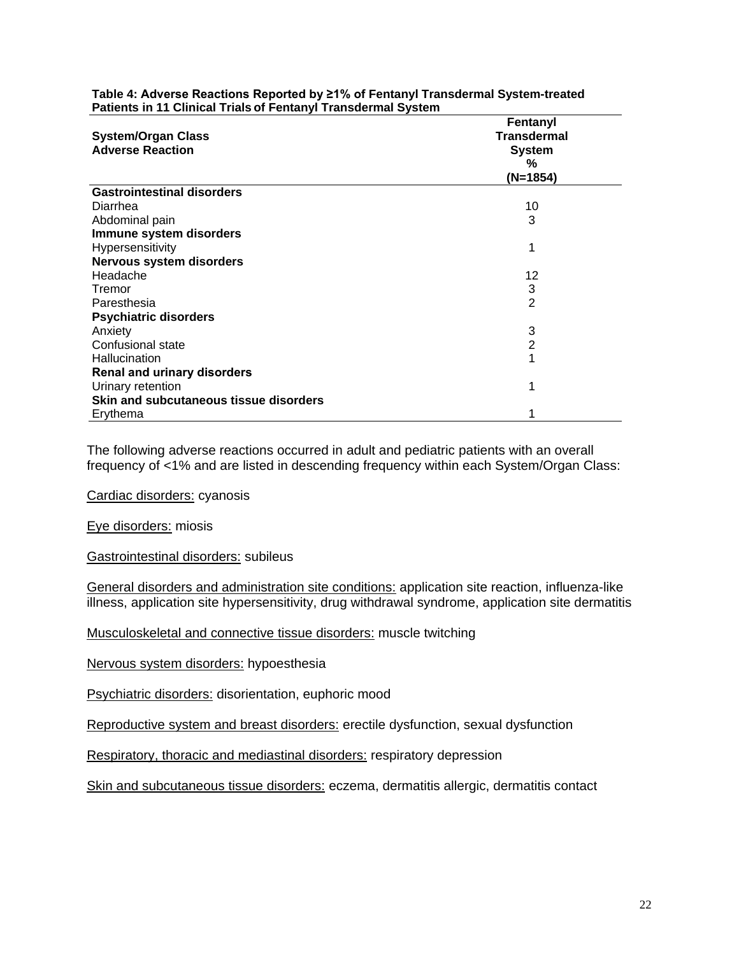| <b>System/Organ Class</b><br><b>Adverse Reaction</b> | Fentanyl<br><b>Transdermal</b><br><b>System</b><br>%<br>(N=1854) |
|------------------------------------------------------|------------------------------------------------------------------|
| <b>Gastrointestinal disorders</b>                    |                                                                  |
| Diarrhea                                             | 10                                                               |
| Abdominal pain                                       | 3                                                                |
| Immune system disorders                              |                                                                  |
| Hypersensitivity                                     | 1                                                                |
| Nervous system disorders                             |                                                                  |
| Headache                                             | 12                                                               |
| Tremor                                               | 3                                                                |
| Paresthesia                                          | $\overline{2}$                                                   |
| <b>Psychiatric disorders</b>                         |                                                                  |
| Anxiety                                              | 3                                                                |
| Confusional state                                    | 2                                                                |
| <b>Hallucination</b>                                 |                                                                  |
| <b>Renal and urinary disorders</b>                   |                                                                  |
| Urinary retention                                    | 1                                                                |
| Skin and subcutaneous tissue disorders               |                                                                  |
| Erythema                                             |                                                                  |

**Table 4: Adverse Reactions Reported by ≥1% of Fentanyl Transdermal System-treated Patients in 11 Clinical Trials of Fentanyl Transdermal System**

The following adverse reactions occurred in adult and pediatric patients with an overall frequency of <1% and are listed in descending frequency within each System/Organ Class:

Cardiac disorders: cyanosis

Eye disorders: miosis

Gastrointestinal disorders: subileus

General disorders and administration site conditions: application site reaction, influenza-like illness, application site hypersensitivity, drug withdrawal syndrome, application site dermatitis

Musculoskeletal and connective tissue disorders: muscle twitching

Nervous system disorders: hypoesthesia

Psychiatric disorders: disorientation, euphoric mood

Reproductive system and breast disorders: erectile dysfunction, sexual dysfunction

Respiratory, thoracic and mediastinal disorders: respiratory depression

Skin and subcutaneous tissue disorders: eczema, dermatitis allergic, dermatitis contact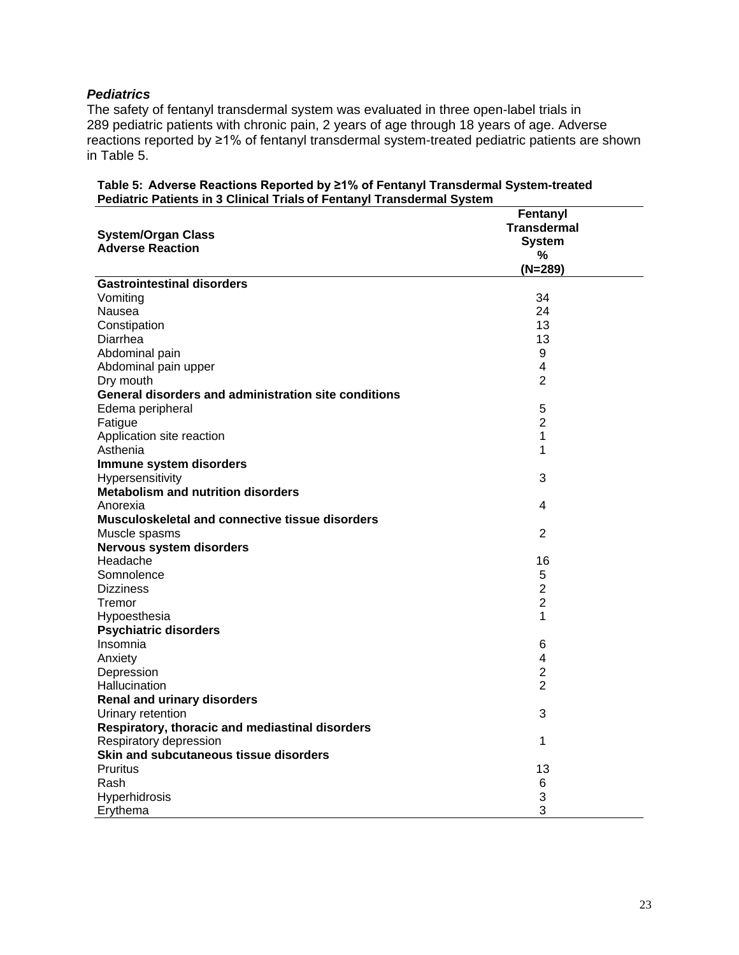# *Pediatrics*

The safety of fentanyl transdermal system was evaluated in three open-label trials in 289 pediatric patients with chronic pain, 2 years of age through 18 years of age. Adverse reactions reported by ≥1% of fentanyl transdermal system-treated pediatric patients are shown in Table 5.

|                                                      | Fentanyl                |
|------------------------------------------------------|-------------------------|
| <b>System/Organ Class</b>                            | <b>Transdermal</b>      |
| <b>Adverse Reaction</b>                              | <b>System</b>           |
|                                                      | %                       |
|                                                      | $(N=289)$               |
| <b>Gastrointestinal disorders</b>                    |                         |
| Vomiting                                             | 34                      |
| Nausea                                               | 24                      |
| Constipation                                         | 13                      |
| Diarrhea                                             | 13                      |
| Abdominal pain                                       | 9                       |
| Abdominal pain upper                                 | $\overline{\mathbf{4}}$ |
| Dry mouth                                            | $\overline{2}$          |
| General disorders and administration site conditions |                         |
| Edema peripheral                                     | 5                       |
| Fatigue                                              | $\overline{2}$          |
| Application site reaction                            | 1                       |
| Asthenia                                             | 1                       |
| Immune system disorders                              |                         |
| Hypersensitivity                                     | 3                       |
| <b>Metabolism and nutrition disorders</b>            |                         |
| Anorexia                                             | 4                       |
| Musculoskeletal and connective tissue disorders      |                         |
| Muscle spasms                                        | 2                       |
| Nervous system disorders                             |                         |
| Headache                                             | 16                      |
| Somnolence                                           | 5                       |
| <b>Dizziness</b>                                     | $\overline{2}$          |
| Tremor                                               | $\overline{2}$          |
| Hypoesthesia                                         | 1                       |
| <b>Psychiatric disorders</b>                         |                         |
| Insomnia                                             | 6                       |
| Anxiety                                              | $\overline{\mathbf{4}}$ |
| Depression                                           | $\overline{c}$          |
| Hallucination                                        | $\overline{2}$          |
| <b>Renal and urinary disorders</b>                   |                         |
| Urinary retention                                    | 3                       |
| Respiratory, thoracic and mediastinal disorders      |                         |
| Respiratory depression                               | 1                       |
| Skin and subcutaneous tissue disorders               |                         |
| Pruritus                                             | 13                      |
| Rash                                                 | 6                       |
| Hyperhidrosis                                        | 3                       |
| Erythema                                             | 3                       |

#### **Table 5: Adverse Reactions Reported by ≥1% of Fentanyl Transdermal System-treated Pediatric Patients in 3 Clinical Trials of Fentanyl Transdermal System**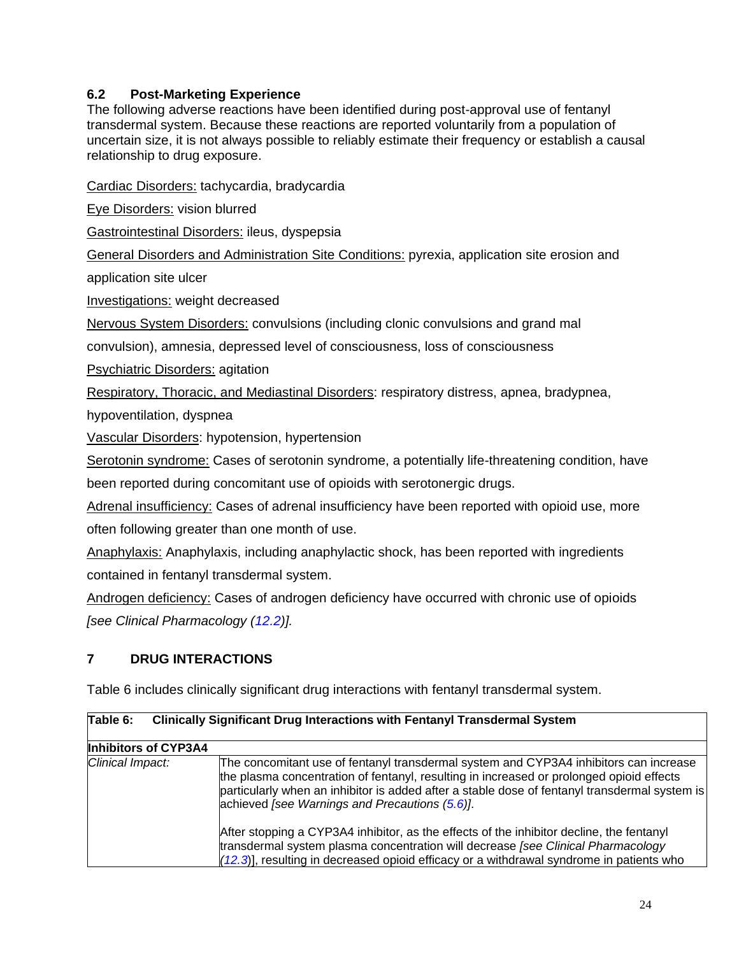# <span id="page-23-1"></span>**6.2 Post-Marketing Experience**

The following adverse reactions have been identified during post-approval use of fentanyl transdermal system. Because these reactions are reported voluntarily from a population of uncertain size, it is not always possible to reliably estimate their frequency or establish a causal relationship to drug exposure.

Cardiac Disorders: tachycardia, bradycardia

Eye Disorders: vision blurred

Gastrointestinal Disorders: ileus, dyspepsia

General Disorders and Administration Site Conditions: pyrexia, application site erosion and

application site ulcer

Investigations: weight decreased

Nervous System Disorders: convulsions (including clonic convulsions and grand mal

convulsion), amnesia, depressed level of consciousness, loss of consciousness

Psychiatric Disorders: agitation

Respiratory, Thoracic, and Mediastinal Disorders: respiratory distress, apnea, bradypnea,

hypoventilation, dyspnea

Vascular Disorders: hypotension, hypertension

Serotonin syndrome: Cases of serotonin syndrome, a potentially life-threatening condition, have been reported during concomitant use of opioids with serotonergic drugs.

Adrenal insufficiency: Cases of adrenal insufficiency have been reported with opioid use, more often following greater than one month of use.

Anaphylaxis: Anaphylaxis, including anaphylactic shock, has been reported with ingredients contained in fentanyl transdermal system.

Androgen deficiency: Cases of androgen deficiency have occurred with chronic use of opioids *[see Clinical Pharmacology [\(12.2\)](#page-32-2)].*

# <span id="page-23-0"></span>**7 DRUG INTERACTIONS**

Table 6 includes clinically significant drug interactions with fentanyl transdermal system.

# **Table 6: Clinically Significant Drug Interactions with Fentanyl Transdermal System**

| Inhibitors of CYP3A4 |                                                                                                                                                                                                                                                                                                                                      |
|----------------------|--------------------------------------------------------------------------------------------------------------------------------------------------------------------------------------------------------------------------------------------------------------------------------------------------------------------------------------|
| Clinical Impact:     | The concomitant use of fentanyl transdermal system and CYP3A4 inhibitors can increase<br>the plasma concentration of fentanyl, resulting in increased or prolonged opioid effects<br>particularly when an inhibitor is added after a stable dose of fentanyl transdermal system is<br>achieved [see Warnings and Precautions (5.6)]. |
|                      | After stopping a CYP3A4 inhibitor, as the effects of the inhibitor decline, the fentanyl<br>transdermal system plasma concentration will decrease [see Clinical Pharmacology<br>$(12.3)$ , resulting in decreased opioid efficacy or a withdrawal syndrome in patients who                                                           |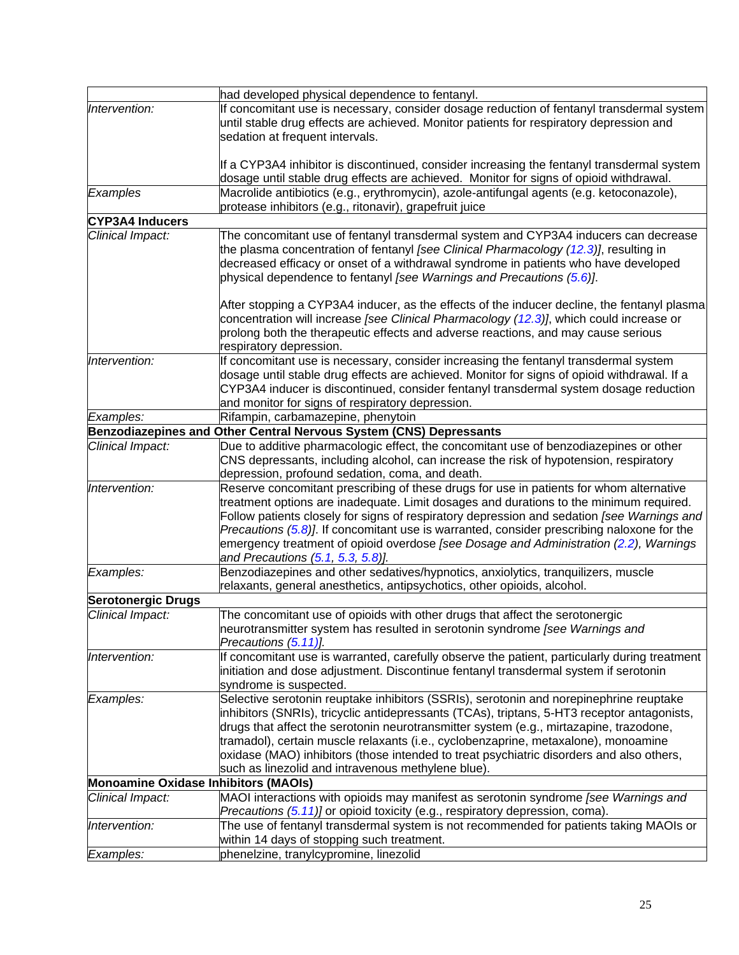|                                             | had developed physical dependence to fentanyl.                                                |
|---------------------------------------------|-----------------------------------------------------------------------------------------------|
| Intervention:                               | If concomitant use is necessary, consider dosage reduction of fentanyl transdermal system     |
|                                             | until stable drug effects are achieved. Monitor patients for respiratory depression and       |
|                                             | sedation at frequent intervals.                                                               |
|                                             |                                                                                               |
|                                             | If a CYP3A4 inhibitor is discontinued, consider increasing the fentanyl transdermal system    |
|                                             | dosage until stable drug effects are achieved. Monitor for signs of opioid withdrawal.        |
| Examples                                    | Macrolide antibiotics (e.g., erythromycin), azole-antifungal agents (e.g. ketoconazole),      |
|                                             | protease inhibitors (e.g., ritonavir), grapefruit juice                                       |
| <b>CYP3A4 Inducers</b>                      |                                                                                               |
| Clinical Impact:                            | The concomitant use of fentanyl transdermal system and CYP3A4 inducers can decrease           |
|                                             | the plasma concentration of fentanyl [see Clinical Pharmacology (12.3)], resulting in         |
|                                             | decreased efficacy or onset of a withdrawal syndrome in patients who have developed           |
|                                             | physical dependence to fentanyl [see Warnings and Precautions (5.6)].                         |
|                                             |                                                                                               |
|                                             | After stopping a CYP3A4 inducer, as the effects of the inducer decline, the fentanyl plasma   |
|                                             | concentration will increase [see Clinical Pharmacology (12.3)], which could increase or       |
|                                             | prolong both the therapeutic effects and adverse reactions, and may cause serious             |
|                                             | respiratory depression.                                                                       |
| Intervention:                               | If concomitant use is necessary, consider increasing the fentanyl transdermal system          |
|                                             | dosage until stable drug effects are achieved. Monitor for signs of opioid withdrawal. If a   |
|                                             | CYP3A4 inducer is discontinued, consider fentanyl transdermal system dosage reduction         |
|                                             | and monitor for signs of respiratory depression.                                              |
| Examples:                                   | Rifampin, carbamazepine, phenytoin                                                            |
|                                             | Benzodiazepines and Other Central Nervous System (CNS) Depressants                            |
| Clinical Impact:                            | Due to additive pharmacologic effect, the concomitant use of benzodiazepines or other         |
|                                             | CNS depressants, including alcohol, can increase the risk of hypotension, respiratory         |
|                                             | depression, profound sedation, coma, and death.                                               |
| Intervention:                               | Reserve concomitant prescribing of these drugs for use in patients for whom alternative       |
|                                             | treatment options are inadequate. Limit dosages and durations to the minimum required.        |
|                                             | Follow patients closely for signs of respiratory depression and sedation [see Warnings and    |
|                                             | Precautions (5.8)]. If concomitant use is warranted, consider prescribing naloxone for the    |
|                                             | emergency treatment of opioid overdose [see Dosage and Administration (2.2), Warnings         |
|                                             | and Precautions (5.1, 5.3, 5.8)].                                                             |
| Examples:                                   | Benzodiazepines and other sedatives/hypnotics, anxiolytics, tranquilizers, muscle             |
|                                             | relaxants, general anesthetics, antipsychotics, other opioids, alcohol.                       |
| <b>Serotonergic Drugs</b>                   |                                                                                               |
| Clinical Impact:                            | The concomitant use of opioids with other drugs that affect the serotonergic                  |
|                                             | neurotransmitter system has resulted in serotonin syndrome [see Warnings and                  |
|                                             | Precautions (5.11)].                                                                          |
| Intervention:                               | If concomitant use is warranted, carefully observe the patient, particularly during treatment |
|                                             | initiation and dose adjustment. Discontinue fentanyl transdermal system if serotonin          |
|                                             | syndrome is suspected.                                                                        |
| Examples:                                   | Selective serotonin reuptake inhibitors (SSRIs), serotonin and norepinephrine reuptake        |
|                                             | inhibitors (SNRIs), tricyclic antidepressants (TCAs), triptans, 5-HT3 receptor antagonists,   |
|                                             | drugs that affect the serotonin neurotransmitter system (e.g., mirtazapine, trazodone,        |
|                                             | tramadol), certain muscle relaxants (i.e., cyclobenzaprine, metaxalone), monoamine            |
|                                             | oxidase (MAO) inhibitors (those intended to treat psychiatric disorders and also others,      |
|                                             | such as linezolid and intravenous methylene blue).                                            |
| <b>Monoamine Oxidase Inhibitors (MAOIs)</b> |                                                                                               |
| Clinical Impact:                            | MAOI interactions with opioids may manifest as serotonin syndrome [see Warnings and           |
|                                             |                                                                                               |
|                                             | Precautions (5.11)] or opioid toxicity (e.g., respiratory depression, coma).                  |
| Intervention:                               | The use of fentanyl transdermal system is not recommended for patients taking MAOIs or        |
|                                             | within 14 days of stopping such treatment.                                                    |
| Examples:                                   | phenelzine, tranylcypromine, linezolid                                                        |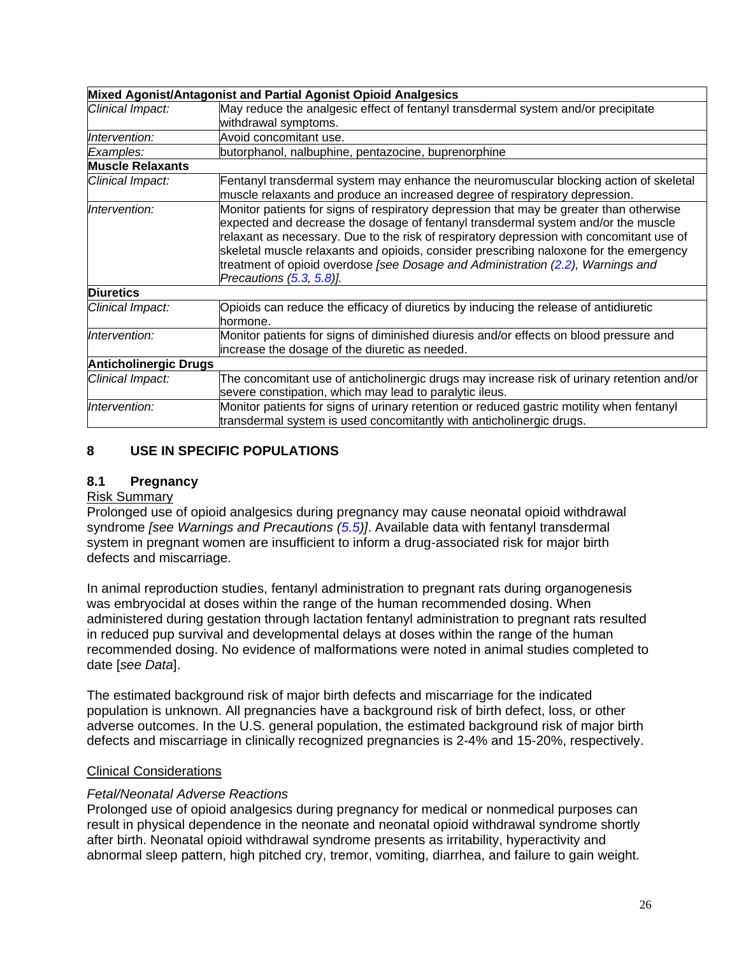|                              | Mixed Agonist/Antagonist and Partial Agonist Opioid Analgesics                                                                                                                                                                                                                                                                                                                                                                                                                       |
|------------------------------|--------------------------------------------------------------------------------------------------------------------------------------------------------------------------------------------------------------------------------------------------------------------------------------------------------------------------------------------------------------------------------------------------------------------------------------------------------------------------------------|
| Clinical Impact:             | May reduce the analgesic effect of fentanyl transdermal system and/or precipitate                                                                                                                                                                                                                                                                                                                                                                                                    |
|                              | withdrawal symptoms.                                                                                                                                                                                                                                                                                                                                                                                                                                                                 |
| Intervention:                | Avoid concomitant use.                                                                                                                                                                                                                                                                                                                                                                                                                                                               |
| Examples:                    | butorphanol, nalbuphine, pentazocine, buprenorphine                                                                                                                                                                                                                                                                                                                                                                                                                                  |
| <b>Muscle Relaxants</b>      |                                                                                                                                                                                                                                                                                                                                                                                                                                                                                      |
| Clinical Impact:             | Fentanyl transdermal system may enhance the neuromuscular blocking action of skeletal<br>muscle relaxants and produce an increased degree of respiratory depression.                                                                                                                                                                                                                                                                                                                 |
| Intervention:                | Monitor patients for signs of respiratory depression that may be greater than otherwise<br>expected and decrease the dosage of fentanyl transdermal system and/or the muscle<br>relaxant as necessary. Due to the risk of respiratory depression with concomitant use of<br>skeletal muscle relaxants and opioids, consider prescribing naloxone for the emergency<br>treatment of opioid overdose [see Dosage and Administration (2.2), Warnings and<br>Precautions $(5.3, 5.8)$ ]. |
| <b>Diuretics</b>             |                                                                                                                                                                                                                                                                                                                                                                                                                                                                                      |
| Clinical Impact:             | Opioids can reduce the efficacy of diuretics by inducing the release of antidiuretic<br>hormone.                                                                                                                                                                                                                                                                                                                                                                                     |
| Intervention:                | Monitor patients for signs of diminished diuresis and/or effects on blood pressure and<br>increase the dosage of the diuretic as needed.                                                                                                                                                                                                                                                                                                                                             |
| <b>Anticholinergic Drugs</b> |                                                                                                                                                                                                                                                                                                                                                                                                                                                                                      |
| Clinical Impact:             | The concomitant use of anticholinergic drugs may increase risk of urinary retention and/or<br>severe constipation, which may lead to paralytic ileus.                                                                                                                                                                                                                                                                                                                                |
| Intervention:                | Monitor patients for signs of urinary retention or reduced gastric motility when fentanyl<br>transdermal system is used concomitantly with anticholinergic drugs.                                                                                                                                                                                                                                                                                                                    |

# <span id="page-25-1"></span>**8 USE IN SPECIFIC POPULATIONS**

# <span id="page-25-0"></span>**8.1 Pregnancy**

# Risk Summary

Prolonged use of opioid analgesics during pregnancy may cause neonatal opioid withdrawal syndrome *[see Warnings and Precautions [\(5.5\)](#page-14-1)]*. Available data with fentanyl transdermal system in pregnant women are insufficient to inform a drug-associated risk for major birth defects and miscarriage.

In animal reproduction studies, fentanyl administration to pregnant rats during organogenesis was embryocidal at doses within the range of the human recommended dosing. When administered during gestation through lactation fentanyl administration to pregnant rats resulted in reduced pup survival and developmental delays at doses within the range of the human recommended dosing. No evidence of malformations were noted in animal studies completed to date [*see Data*].

The estimated background risk of major birth defects and miscarriage for the indicated population is unknown. All pregnancies have a background risk of birth defect, loss, or other adverse outcomes. In the U.S. general population, the estimated background risk of major birth defects and miscarriage in clinically recognized pregnancies is 2-4% and 15-20%, respectively.

# Clinical Considerations

# *Fetal/Neonatal Adverse Reactions*

Prolonged use of opioid analgesics during pregnancy for medical or nonmedical purposes can result in physical dependence in the neonate and neonatal opioid withdrawal syndrome shortly after birth. Neonatal opioid withdrawal syndrome presents as irritability, hyperactivity and abnormal sleep pattern, high pitched cry, tremor, vomiting, diarrhea, and failure to gain weight.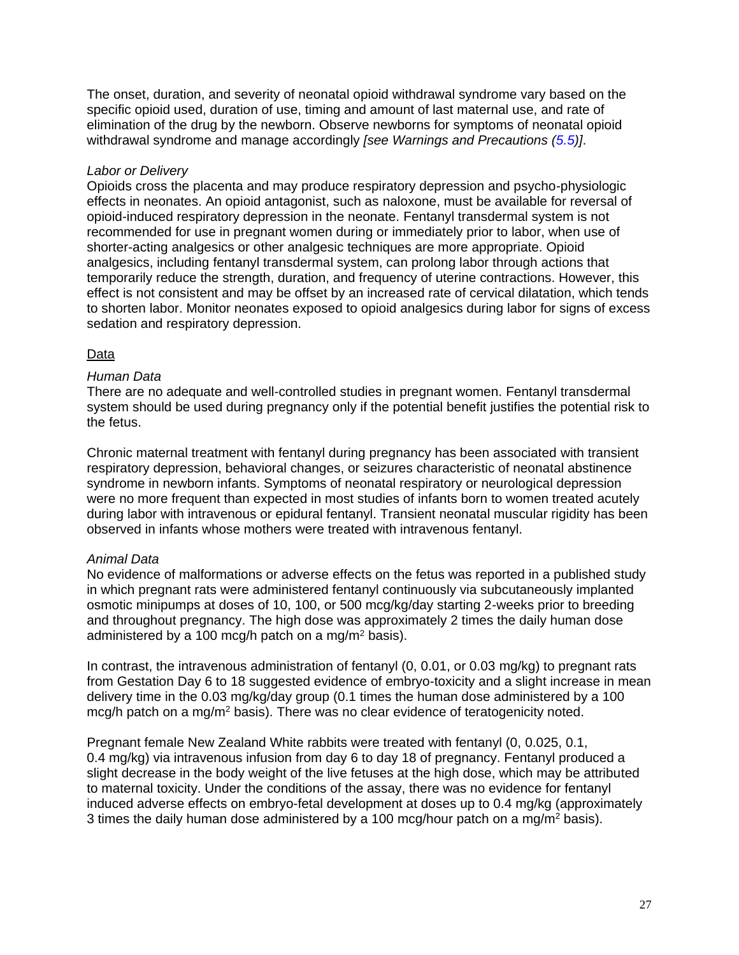The onset, duration, and severity of neonatal opioid withdrawal syndrome vary based on the specific opioid used, duration of use, timing and amount of last maternal use, and rate of elimination of the drug by the newborn. Observe newborns for symptoms of neonatal opioid withdrawal syndrome and manage accordingly *[see Warnings and Precautions [\(5.5\)](#page-14-1)]*.

### *Labor or Delivery*

Opioids cross the placenta and may produce respiratory depression and psycho-physiologic effects in neonates. An opioid antagonist, such as naloxone, must be available for reversal of opioid-induced respiratory depression in the neonate. Fentanyl transdermal system is not recommended for use in pregnant women during or immediately prior to labor, when use of shorter-acting analgesics or other analgesic techniques are more appropriate. Opioid analgesics, including fentanyl transdermal system, can prolong labor through actions that temporarily reduce the strength, duration, and frequency of uterine contractions. However, this effect is not consistent and may be offset by an increased rate of cervical dilatation, which tends to shorten labor. Monitor neonates exposed to opioid analgesics during labor for signs of excess sedation and respiratory depression.

# Data

#### *Human Data*

There are no adequate and well-controlled studies in pregnant women. Fentanyl transdermal system should be used during pregnancy only if the potential benefit justifies the potential risk to the fetus.

Chronic maternal treatment with fentanyl during pregnancy has been associated with transient respiratory depression, behavioral changes, or seizures characteristic of neonatal abstinence syndrome in newborn infants. Symptoms of neonatal respiratory or neurological depression were no more frequent than expected in most studies of infants born to women treated acutely during labor with intravenous or epidural fentanyl. Transient neonatal muscular rigidity has been observed in infants whose mothers were treated with intravenous fentanyl.

#### *Animal Data*

No evidence of malformations or adverse effects on the fetus was reported in a published study in which pregnant rats were administered fentanyl continuously via subcutaneously implanted osmotic minipumps at doses of 10, 100, or 500 mcg/kg/day starting 2-weeks prior to breeding and throughout pregnancy. The high dose was approximately 2 times the daily human dose administered by a 100 mcg/h patch on a mg/m<sup>2</sup> basis).

In contrast, the intravenous administration of fentanyl (0, 0.01, or 0.03 mg/kg) to pregnant rats from Gestation Day 6 to 18 suggested evidence of embryo-toxicity and a slight increase in mean delivery time in the 0.03 mg/kg/day group (0.1 times the human dose administered by a 100 mcg/h patch on a mg/m<sup>2</sup> basis). There was no clear evidence of teratogenicity noted.

Pregnant female New Zealand White rabbits were treated with fentanyl (0, 0.025, 0.1, 0.4 mg/kg) via intravenous infusion from day 6 to day 18 of pregnancy. Fentanyl produced a slight decrease in the body weight of the live fetuses at the high dose, which may be attributed to maternal toxicity. Under the conditions of the assay, there was no evidence for fentanyl induced adverse effects on embryo-fetal development at doses up to 0.4 mg/kg (approximately 3 times the daily human dose administered by a 100 mcg/hour patch on a mg/m<sup>2</sup> basis).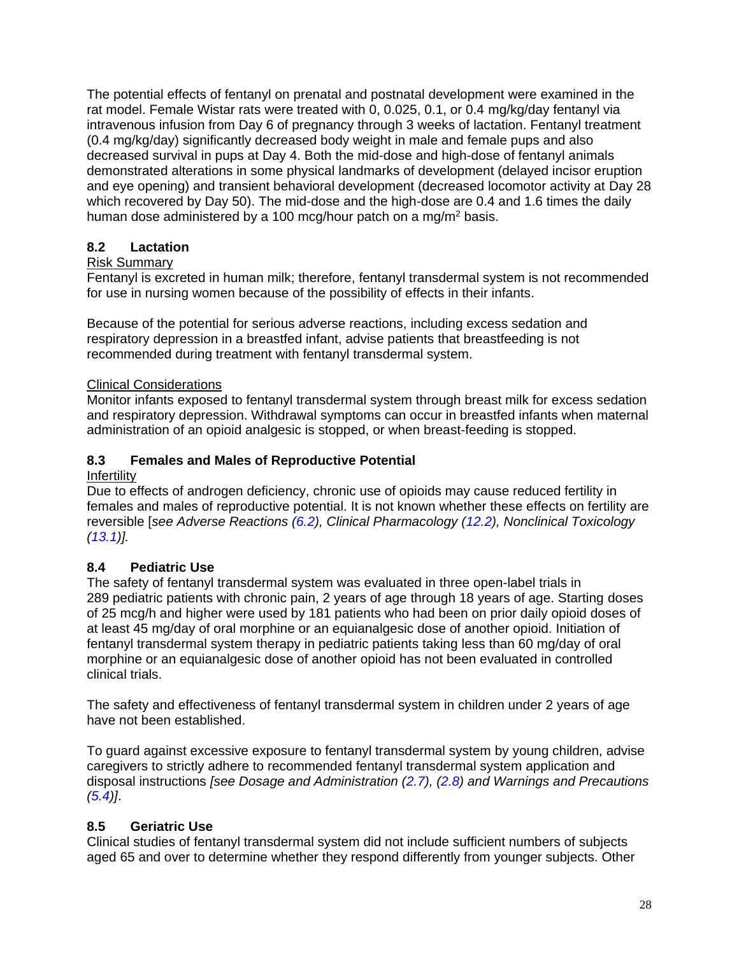The potential effects of fentanyl on prenatal and postnatal development were examined in the rat model. Female Wistar rats were treated with 0, 0.025, 0.1, or 0.4 mg/kg/day fentanyl via intravenous infusion from Day 6 of pregnancy through 3 weeks of lactation. Fentanyl treatment (0.4 mg/kg/day) significantly decreased body weight in male and female pups and also decreased survival in pups at Day 4. Both the mid-dose and high-dose of fentanyl animals demonstrated alterations in some physical landmarks of development (delayed incisor eruption and eye opening) and transient behavioral development (decreased locomotor activity at Day 28 which recovered by Day 50). The mid-dose and the high-dose are 0.4 and 1.6 times the daily human dose administered by a 100 mcg/hour patch on a mg/m<sup>2</sup> basis.

# <span id="page-27-0"></span>**8.2 Lactation**

# Risk Summary

Fentanyl is excreted in human milk; therefore, fentanyl transdermal system is not recommended for use in nursing women because of the possibility of effects in their infants.

Because of the potential for serious adverse reactions, including excess sedation and respiratory depression in a breastfed infant, advise patients that breastfeeding is not recommended during treatment with fentanyl transdermal system.

# Clinical Considerations

Monitor infants exposed to fentanyl transdermal system through breast milk for excess sedation and respiratory depression. Withdrawal symptoms can occur in breastfed infants when maternal administration of an opioid analgesic is stopped, or when breast-feeding is stopped.

# <span id="page-27-1"></span>**8.3 Females and Males of Reproductive Potential**

#### Infertility

Due to effects of androgen deficiency, chronic use of opioids may cause reduced fertility in females and males of reproductive potential. It is not known whether these effects on fertility are reversible [*see Adverse Reactions [\(6.2\)](#page-23-1), Clinical Pharmacology [\(12.2\)](#page-32-2), Nonclinical Toxicology [\(13.1\)](#page-38-1)].*

# <span id="page-27-2"></span>**8.4 Pediatric Use**

The safety of fentanyl transdermal system was evaluated in three open-label trials in 289 pediatric patients with chronic pain, 2 years of age through 18 years of age. Starting doses of 25 mcg/h and higher were used by 181 patients who had been on prior daily opioid doses of at least 45 mg/day of oral morphine or an equianalgesic dose of another opioid. Initiation of fentanyl transdermal system therapy in pediatric patients taking less than 60 mg/day of oral morphine or an equianalgesic dose of another opioid has not been evaluated in controlled clinical trials.

The safety and effectiveness of fentanyl transdermal system in children under 2 years of age have not been established.

To guard against excessive exposure to fentanyl transdermal system by young children, advise caregivers to strictly adhere to recommended fentanyl transdermal system application and disposal instructions *[see Dosage and Administration [\(2.7\)](#page-9-2), [\(2.8\)](#page-10-0) and Warnings and Precautions [\(5.4\)](#page-14-0)]*.

# <span id="page-27-3"></span>**8.5 Geriatric Use**

Clinical studies of fentanyl transdermal system did not include sufficient numbers of subjects aged 65 and over to determine whether they respond differently from younger subjects. Other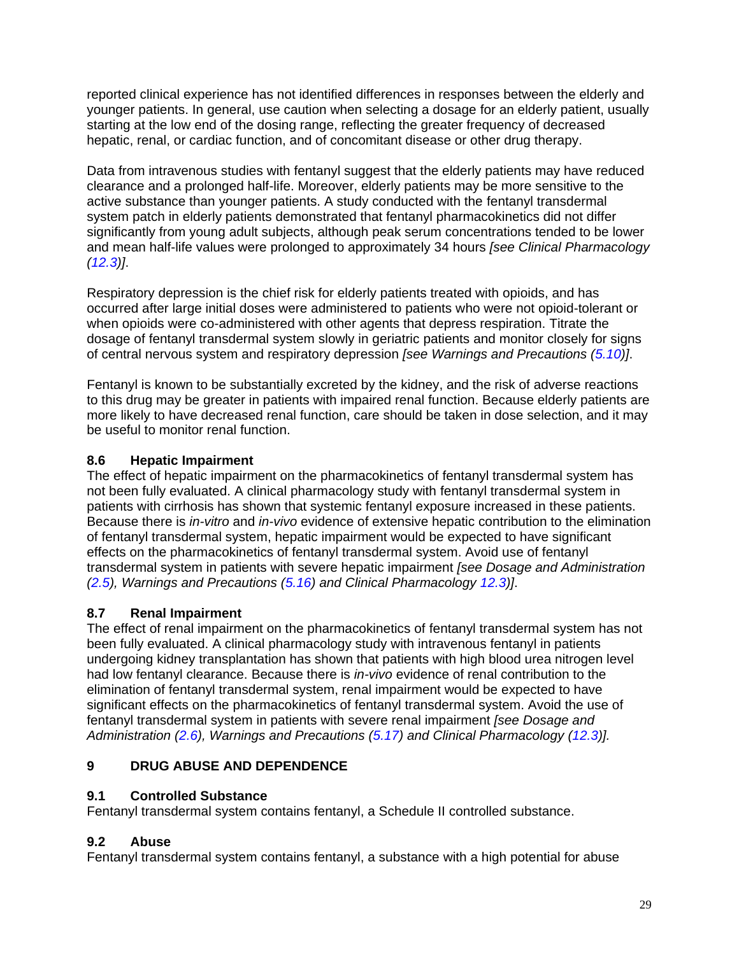reported clinical experience has not identified differences in responses between the elderly and younger patients. In general, use caution when selecting a dosage for an elderly patient, usually starting at the low end of the dosing range, reflecting the greater frequency of decreased hepatic, renal, or cardiac function, and of concomitant disease or other drug therapy.

Data from intravenous studies with fentanyl suggest that the elderly patients may have reduced clearance and a prolonged half-life. Moreover, elderly patients may be more sensitive to the active substance than younger patients. A study conducted with the fentanyl transdermal system patch in elderly patients demonstrated that fentanyl pharmacokinetics did not differ significantly from young adult subjects, although peak serum concentrations tended to be lower and mean half-life values were prolonged to approximately 34 hours *[see Clinical Pharmacology [\(12.3\)](#page-34-0)]*.

Respiratory depression is the chief risk for elderly patients treated with opioids, and has occurred after large initial doses were administered to patients who were not opioid-tolerant or when opioids were co-administered with other agents that depress respiration. Titrate the dosage of fentanyl transdermal system slowly in geriatric patients and monitor closely for signs of central nervous system and respiratory depression *[see Warnings and Precautions [\(5.10\)](#page-16-0)]*.

Fentanyl is known to be substantially excreted by the kidney, and the risk of adverse reactions to this drug may be greater in patients with impaired renal function. Because elderly patients are more likely to have decreased renal function, care should be taken in dose selection, and it may be useful to monitor renal function.

# <span id="page-28-0"></span>**8.6 Hepatic Impairment**

The effect of hepatic impairment on the pharmacokinetics of fentanyl transdermal system has not been fully evaluated. A clinical pharmacology study with fentanyl transdermal system in patients with cirrhosis has shown that systemic fentanyl exposure increased in these patients. Because there is *in-vitro* and *in-vivo* evidence of extensive hepatic contribution to the elimination of fentanyl transdermal system, hepatic impairment would be expected to have significant effects on the pharmacokinetics of fentanyl transdermal system. Avoid use of fentanyl transdermal system in patients with severe hepatic impairment *[see Dosage and Administration [\(2.5\)](#page-9-1), Warnings and Precautions [\(5.16\)](#page-18-2) and Clinical Pharmacology [12.3\)](#page-34-0)]*.

# <span id="page-28-5"></span><span id="page-28-1"></span>**8.7 Renal Impairment**

The effect of renal impairment on the pharmacokinetics of fentanyl transdermal system has not been fully evaluated. A clinical pharmacology study with intravenous fentanyl in patients undergoing kidney transplantation has shown that patients with high blood urea nitrogen level had low fentanyl clearance. Because there is *in-vivo* evidence of renal contribution to the elimination of fentanyl transdermal system, renal impairment would be expected to have significant effects on the pharmacokinetics of fentanyl transdermal system. Avoid the use of fentanyl transdermal system in patients with severe renal impairment *[see Dosage and Administration [\(2.6\)](#page-9-0), Warnings and Precautions [\(5.17\)](#page-18-3) and Clinical Pharmacology [\(12.3\)](#page-34-0)].*

# <span id="page-28-2"></span>**9 DRUG ABUSE AND DEPENDENCE**

# <span id="page-28-3"></span>**9.1 Controlled Substance**

Fentanyl transdermal system contains fentanyl, a Schedule II controlled substance.

# <span id="page-28-4"></span>**9.2 Abuse**

Fentanyl transdermal system contains fentanyl, a substance with a high potential for abuse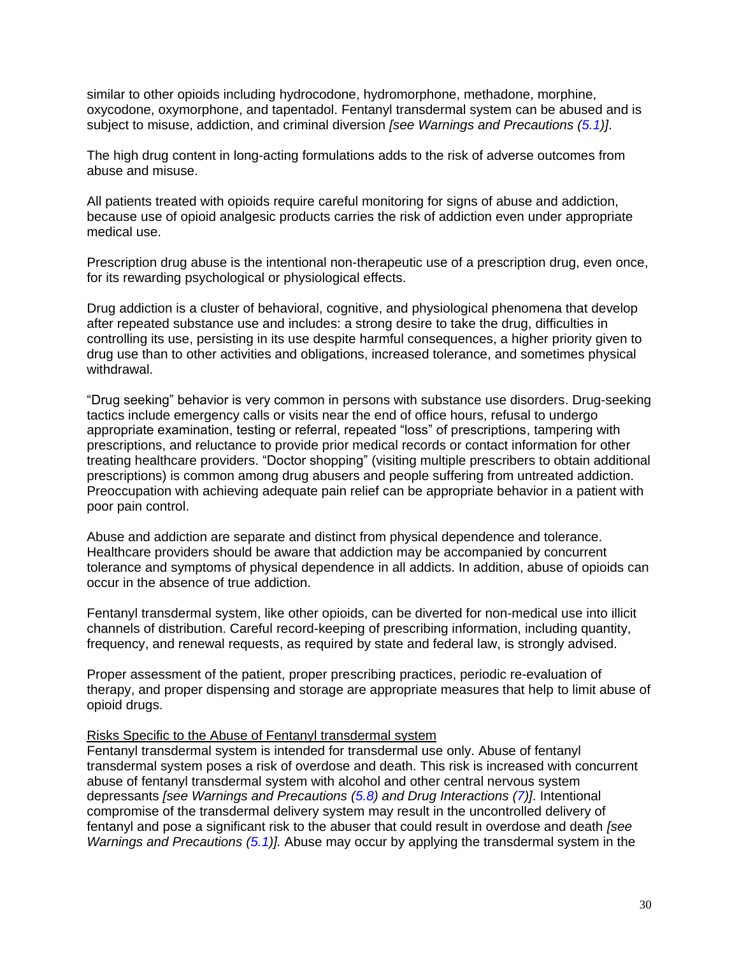similar to other opioids including hydrocodone, hydromorphone, methadone, morphine, oxycodone, oxymorphone, and tapentadol. Fentanyl transdermal system can be abused and is subject to misuse, addiction, and criminal diversion *[see Warnings and Precautions [\(5.1\)](#page-12-0)]*.

The high drug content in long-acting formulations adds to the risk of adverse outcomes from abuse and misuse.

All patients treated with opioids require careful monitoring for signs of abuse and addiction, because use of opioid analgesic products carries the risk of addiction even under appropriate medical use.

Prescription drug abuse is the intentional non-therapeutic use of a prescription drug, even once, for its rewarding psychological or physiological effects.

Drug addiction is a cluster of behavioral, cognitive, and physiological phenomena that develop after repeated substance use and includes: a strong desire to take the drug, difficulties in controlling its use, persisting in its use despite harmful consequences, a higher priority given to drug use than to other activities and obligations, increased tolerance, and sometimes physical withdrawal.

"Drug seeking" behavior is very common in persons with substance use disorders. Drug-seeking tactics include emergency calls or visits near the end of office hours, refusal to undergo appropriate examination, testing or referral, repeated "loss" of prescriptions, tampering with prescriptions, and reluctance to provide prior medical records or contact information for other treating healthcare providers. "Doctor shopping" (visiting multiple prescribers to obtain additional prescriptions) is common among drug abusers and people suffering from untreated addiction. Preoccupation with achieving adequate pain relief can be appropriate behavior in a patient with poor pain control.

Abuse and addiction are separate and distinct from physical dependence and tolerance. Healthcare providers should be aware that addiction may be accompanied by concurrent tolerance and symptoms of physical dependence in all addicts. In addition, abuse of opioids can occur in the absence of true addiction.

Fentanyl transdermal system, like other opioids, can be diverted for non-medical use into illicit channels of distribution. Careful record-keeping of prescribing information, including quantity, frequency, and renewal requests, as required by state and federal law, is strongly advised.

Proper assessment of the patient, proper prescribing practices, periodic re-evaluation of therapy, and proper dispensing and storage are appropriate measures that help to limit abuse of opioid drugs.

#### Risks Specific to the Abuse of Fentanyl transdermal system

Fentanyl transdermal system is intended for transdermal use only. Abuse of fentanyl transdermal system poses a risk of overdose and death. This risk is increased with concurrent abuse of fentanyl transdermal system with alcohol and other central nervous system depressants *[see Warnings and Precautions [\(5.8\)](#page-15-2) and Drug Interactions [\(7\)](#page-23-0)]*. Intentional compromise of the transdermal delivery system may result in the uncontrolled delivery of fentanyl and pose a significant risk to the abuser that could result in overdose and death *[see Warnings and Precautions [\(5.1\)](#page-12-0)].* Abuse may occur by applying the transdermal system in the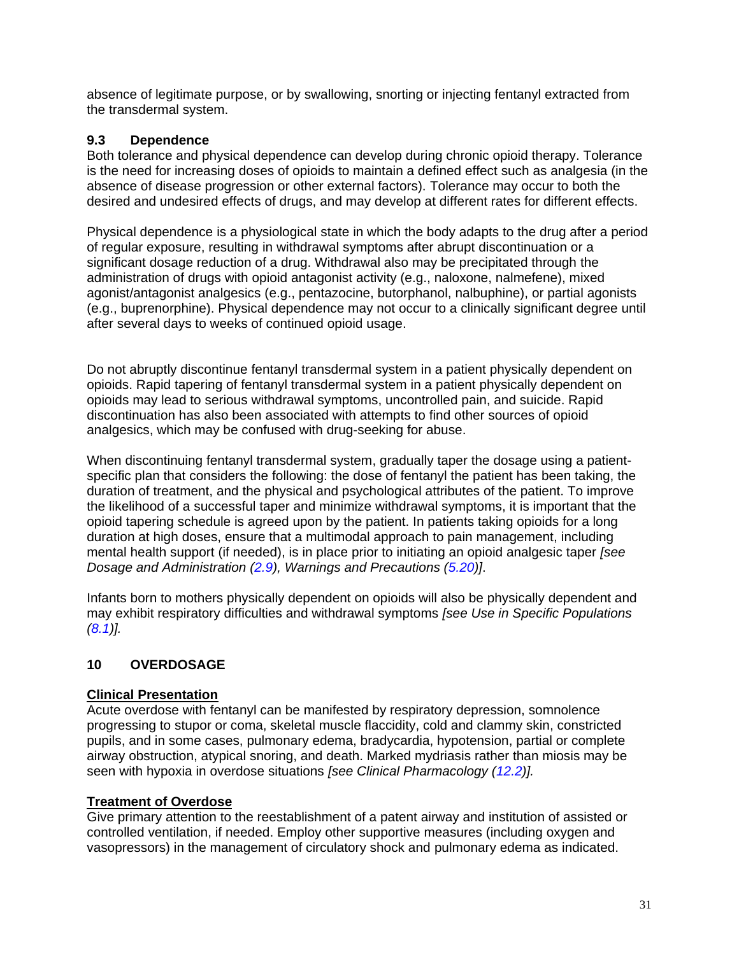absence of legitimate purpose, or by swallowing, snorting or injecting fentanyl extracted from the transdermal system.

# <span id="page-30-0"></span>**9.3 Dependence**

Both tolerance and physical dependence can develop during chronic opioid therapy. Tolerance is the need for increasing doses of opioids to maintain a defined effect such as analgesia (in the absence of disease progression or other external factors). Tolerance may occur to both the desired and undesired effects of drugs, and may develop at different rates for different effects.

Physical dependence is a physiological state in which the body adapts to the drug after a period of regular exposure, resulting in withdrawal symptoms after abrupt discontinuation or a significant dosage reduction of a drug. Withdrawal also may be precipitated through the administration of drugs with opioid antagonist activity (e.g., naloxone, nalmefene), mixed agonist/antagonist analgesics (e.g., pentazocine, butorphanol, nalbuphine), or partial agonists (e.g., buprenorphine). Physical dependence may not occur to a clinically significant degree until after several days to weeks of continued opioid usage.

Do not abruptly discontinue fentanyl transdermal system in a patient physically dependent on opioids. Rapid tapering of fentanyl transdermal system in a patient physically dependent on opioids may lead to serious withdrawal symptoms, uncontrolled pain, and suicide. Rapid discontinuation has also been associated with attempts to find other sources of opioid analgesics, which may be confused with drug-seeking for abuse.

When discontinuing fentanyl transdermal system, gradually taper the dosage using a patientspecific plan that considers the following: the dose of fentanyl the patient has been taking, the duration of treatment, and the physical and psychological attributes of the patient. To improve the likelihood of a successful taper and minimize withdrawal symptoms, it is important that the opioid tapering schedule is agreed upon by the patient. In patients taking opioids for a long duration at high doses, ensure that a multimodal approach to pain management, including mental health support (if needed), is in place prior to initiating an opioid analgesic taper *[see Dosage and Administration [\(2.9\)](#page-10-1), Warnings and Precautions [\(5.20\)](#page-18-0)]*.

Infants born to mothers physically dependent on opioids will also be physically dependent and may exhibit respiratory difficulties and withdrawal symptoms *[see Use in Specific Populations [\(8.1\)](#page-25-0)].*

# <span id="page-30-1"></span>**10 OVERDOSAGE**

# **Clinical Presentation**

Acute overdose with fentanyl can be manifested by respiratory depression, somnolence progressing to stupor or coma, skeletal muscle flaccidity, cold and clammy skin, constricted pupils, and in some cases, pulmonary edema, bradycardia, hypotension, partial or complete airway obstruction, atypical snoring, and death. Marked mydriasis rather than miosis may be seen with hypoxia in overdose situations *[see Clinical Pharmacology [\(12.2\)](#page-32-2)].*

# **Treatment of Overdose**

Give primary attention to the reestablishment of a patent airway and institution of assisted or controlled ventilation, if needed. Employ other supportive measures (including oxygen and vasopressors) in the management of circulatory shock and pulmonary edema as indicated.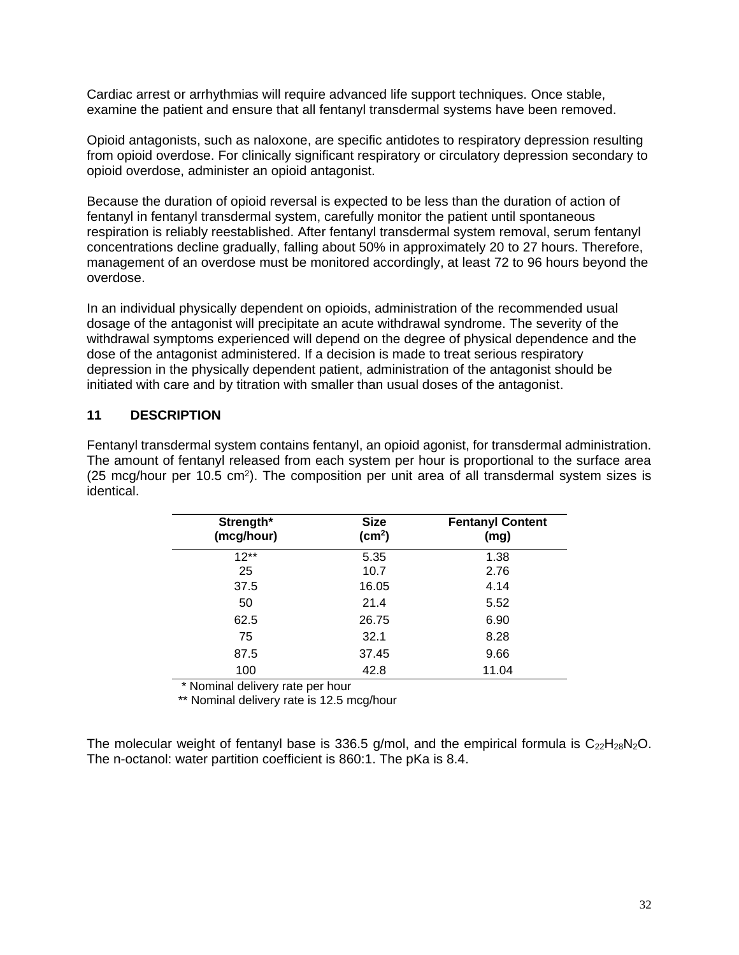Cardiac arrest or arrhythmias will require advanced life support techniques. Once stable, examine the patient and ensure that all fentanyl transdermal systems have been removed.

Opioid antagonists, such as naloxone, are specific antidotes to respiratory depression resulting from opioid overdose. For clinically significant respiratory or circulatory depression secondary to opioid overdose, administer an opioid antagonist.

Because the duration of opioid reversal is expected to be less than the duration of action of fentanyl in fentanyl transdermal system, carefully monitor the patient until spontaneous respiration is reliably reestablished. After fentanyl transdermal system removal, serum fentanyl concentrations decline gradually, falling about 50% in approximately 20 to 27 hours. Therefore, management of an overdose must be monitored accordingly, at least 72 to 96 hours beyond the overdose.

In an individual physically dependent on opioids, administration of the recommended usual dosage of the antagonist will precipitate an acute withdrawal syndrome. The severity of the withdrawal symptoms experienced will depend on the degree of physical dependence and the dose of the antagonist administered. If a decision is made to treat serious respiratory depression in the physically dependent patient, administration of the antagonist should be initiated with care and by titration with smaller than usual doses of the antagonist.

# <span id="page-31-0"></span>**11 DESCRIPTION**

Fentanyl transdermal system contains fentanyl, an opioid agonist, for transdermal administration. The amount of fentanyl released from each system per hour is proportional to the surface area (25 mcg/hour per 10.5 cm<sup>2</sup>). The composition per unit area of all transdermal system sizes is identical.

| Strength*<br>(mcg/hour) | <b>Size</b><br>(cm <sup>2</sup> ) | <b>Fentanyl Content</b><br>(mg) |
|-------------------------|-----------------------------------|---------------------------------|
| $12**$                  | 5.35                              | 1.38                            |
| 25                      | 10.7                              | 2.76                            |
| 37.5                    | 16.05                             | 4.14                            |
| 50                      | 21.4                              | 5.52                            |
| 62.5                    | 26.75                             | 6.90                            |
| 75                      | 32.1                              | 8.28                            |
| 87.5                    | 37.45                             | 9.66                            |
| 100                     | 42.8                              | 11.04                           |

\* Nominal delivery rate per hour

\*\* Nominal delivery rate is 12.5 mcg/hour

The molecular weight of fentanyl base is 336.5 g/mol, and the empirical formula is  $C_{22}H_{28}N_2O$ . The n-octanol: water partition coefficient is 860:1. The pKa is 8.4.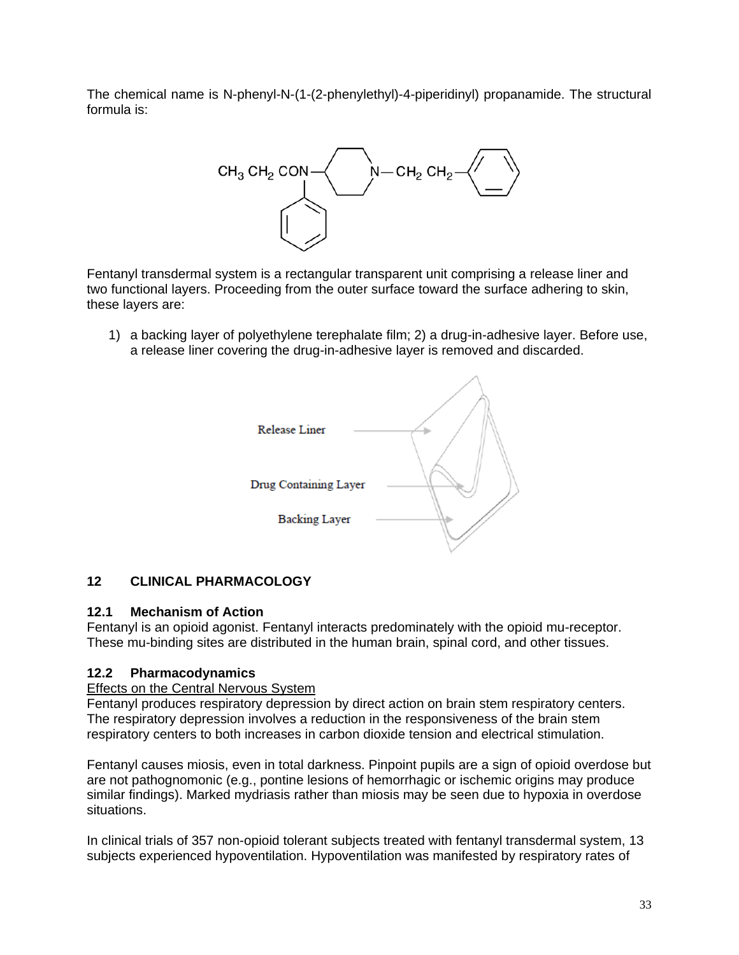The chemical name is N-phenyl-N-(1-(2-phenylethyl)-4-piperidinyl) propanamide. The structural formula is:



Fentanyl transdermal system is a rectangular transparent unit comprising a release liner and two functional layers. Proceeding from the outer surface toward the surface adhering to skin, these layers are:

1) a backing layer of polyethylene terephalate film; 2) a drug-in-adhesive layer. Before use, a release liner covering the drug-in-adhesive layer is removed and discarded.



# <span id="page-32-0"></span>**12 CLINICAL PHARMACOLOGY**

# <span id="page-32-1"></span>**12.1 Mechanism of Action**

Fentanyl is an opioid agonist. Fentanyl interacts predominately with the opioid mu-receptor. These mu-binding sites are distributed in the human brain, spinal cord, and other tissues.

# <span id="page-32-2"></span>**12.2 Pharmacodynamics**

#### Effects on the Central Nervous System

Fentanyl produces respiratory depression by direct action on brain stem respiratory centers. The respiratory depression involves a reduction in the responsiveness of the brain stem respiratory centers to both increases in carbon dioxide tension and electrical stimulation.

Fentanyl causes miosis, even in total darkness. Pinpoint pupils are a sign of opioid overdose but are not pathognomonic (e.g., pontine lesions of hemorrhagic or ischemic origins may produce similar findings). Marked mydriasis rather than miosis may be seen due to hypoxia in overdose situations.

In clinical trials of 357 non-opioid tolerant subjects treated with fentanyl transdermal system, 13 subjects experienced hypoventilation. Hypoventilation was manifested by respiratory rates of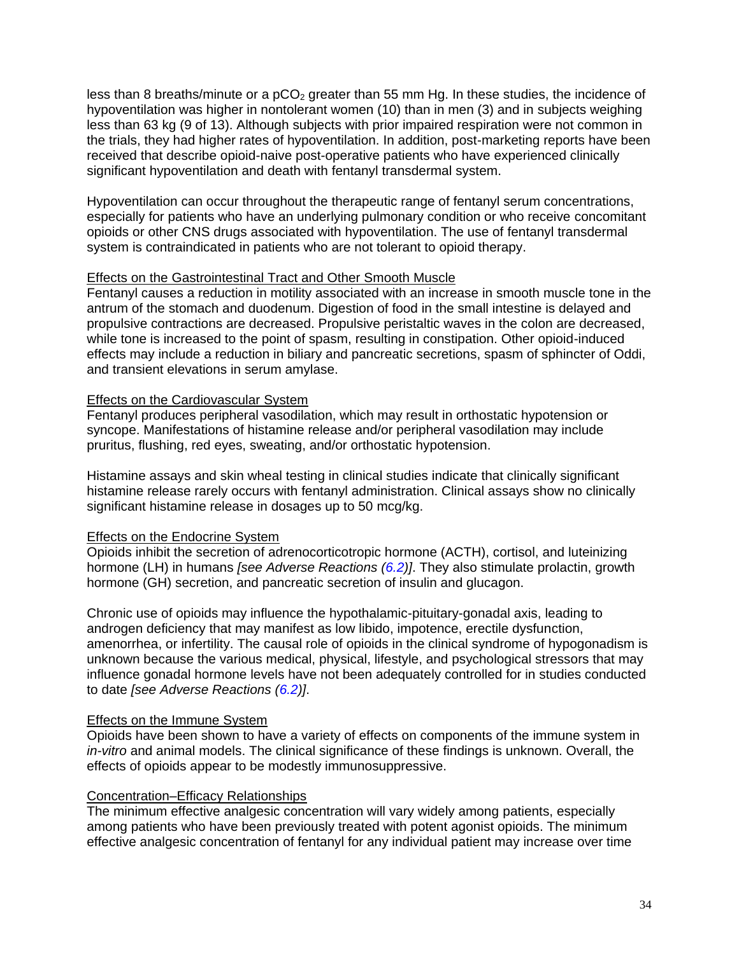less than 8 breaths/minute or a  $pCO<sub>2</sub>$  greater than 55 mm Hg. In these studies, the incidence of hypoventilation was higher in nontolerant women (10) than in men (3) and in subjects weighing less than 63 kg (9 of 13). Although subjects with prior impaired respiration were not common in the trials, they had higher rates of hypoventilation. In addition, post-marketing reports have been received that describe opioid-naive post-operative patients who have experienced clinically significant hypoventilation and death with fentanyl transdermal system.

Hypoventilation can occur throughout the therapeutic range of fentanyl serum concentrations, especially for patients who have an underlying pulmonary condition or who receive concomitant opioids or other CNS drugs associated with hypoventilation. The use of fentanyl transdermal system is contraindicated in patients who are not tolerant to opioid therapy.

#### Effects on the Gastrointestinal Tract and Other Smooth Muscle

Fentanyl causes a reduction in motility associated with an increase in smooth muscle tone in the antrum of the stomach and duodenum. Digestion of food in the small intestine is delayed and propulsive contractions are decreased. Propulsive peristaltic waves in the colon are decreased, while tone is increased to the point of spasm, resulting in constipation. Other opioid-induced effects may include a reduction in biliary and pancreatic secretions, spasm of sphincter of Oddi, and transient elevations in serum amylase.

#### Effects on the Cardiovascular System

Fentanyl produces peripheral vasodilation, which may result in orthostatic hypotension or syncope. Manifestations of histamine release and/or peripheral vasodilation may include pruritus, flushing, red eyes, sweating, and/or orthostatic hypotension.

Histamine assays and skin wheal testing in clinical studies indicate that clinically significant histamine release rarely occurs with fentanyl administration. Clinical assays show no clinically significant histamine release in dosages up to 50 mcg/kg.

# Effects on the Endocrine System

Opioids inhibit the secretion of adrenocorticotropic hormone (ACTH), cortisol, and luteinizing hormone (LH) in humans *[see Adverse Reactions [\(6.2\)](#page-23-1)]*. They also stimulate prolactin, growth hormone (GH) secretion, and pancreatic secretion of insulin and glucagon.

Chronic use of opioids may influence the hypothalamic-pituitary-gonadal axis, leading to androgen deficiency that may manifest as low libido, impotence, erectile dysfunction, amenorrhea, or infertility. The causal role of opioids in the clinical syndrome of hypogonadism is unknown because the various medical, physical, lifestyle, and psychological stressors that may influence gonadal hormone levels have not been adequately controlled for in studies conducted to date *[see Adverse Reactions [\(6.2\)](#page-23-1)]*.

# Effects on the Immune System

Opioids have been shown to have a variety of effects on components of the immune system in *in-vitro* and animal models. The clinical significance of these findings is unknown. Overall, the effects of opioids appear to be modestly immunosuppressive.

# Concentration–Efficacy Relationships

The minimum effective analgesic concentration will vary widely among patients, especially among patients who have been previously treated with potent agonist opioids. The minimum effective analgesic concentration of fentanyl for any individual patient may increase over time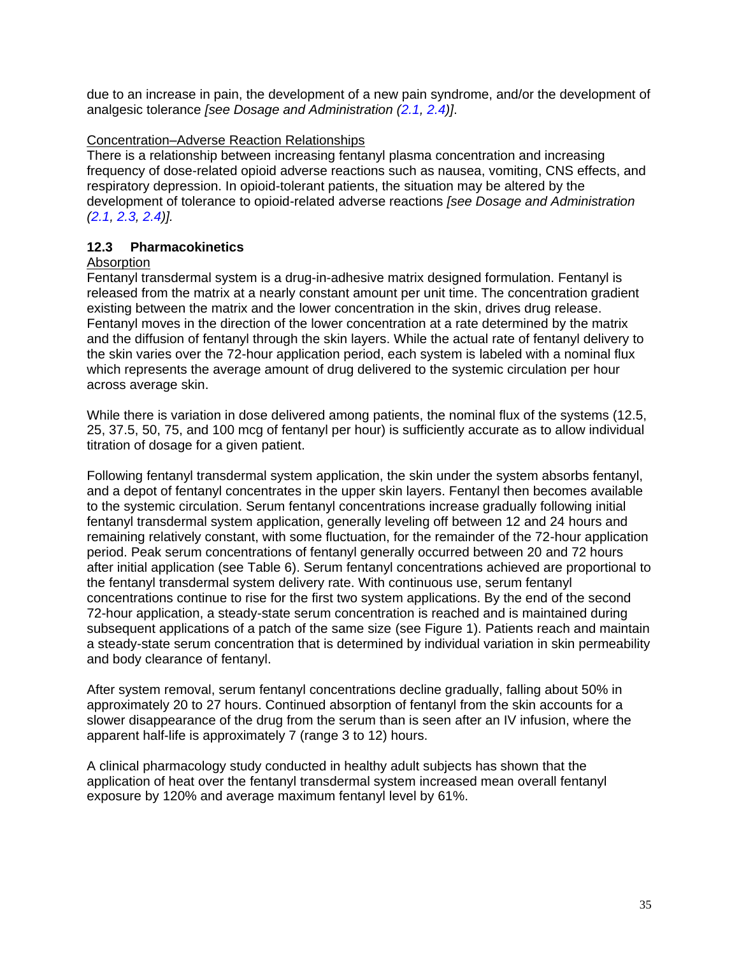due to an increase in pain, the development of a new pain syndrome, and/or the development of analgesic tolerance *[see Dosage and Administration [\(2.1,](#page-5-1) [2.4\)](#page-8-0)]*.

### Concentration–Adverse Reaction Relationships

There is a relationship between increasing fentanyl plasma concentration and increasing frequency of dose-related opioid adverse reactions such as nausea, vomiting, CNS effects, and respiratory depression. In opioid-tolerant patients, the situation may be altered by the development of tolerance to opioid-related adverse reactions *[see Dosage and Administration [\(2.1,](#page-5-1) [2.3,](#page-6-0) [2.4\)](#page-8-0)].*

# <span id="page-34-0"></span>**12.3 Pharmacokinetics**

#### Absorption

Fentanyl transdermal system is a drug-in-adhesive matrix designed formulation. Fentanyl is released from the matrix at a nearly constant amount per unit time. The concentration gradient existing between the matrix and the lower concentration in the skin, drives drug release. Fentanyl moves in the direction of the lower concentration at a rate determined by the matrix and the diffusion of fentanyl through the skin layers. While the actual rate of fentanyl delivery to the skin varies over the 72-hour application period, each system is labeled with a nominal flux which represents the average amount of drug delivered to the systemic circulation per hour across average skin.

While there is variation in dose delivered among patients, the nominal flux of the systems (12.5, 25, 37.5, 50, 75, and 100 mcg of fentanyl per hour) is sufficiently accurate as to allow individual titration of dosage for a given patient.

Following fentanyl transdermal system application, the skin under the system absorbs fentanyl, and a depot of fentanyl concentrates in the upper skin layers. Fentanyl then becomes available to the systemic circulation. Serum fentanyl concentrations increase gradually following initial fentanyl transdermal system application, generally leveling off between 12 and 24 hours and remaining relatively constant, with some fluctuation, for the remainder of the 72-hour application period. Peak serum concentrations of fentanyl generally occurred between 20 and 72 hours after initial application (see Table 6). Serum fentanyl concentrations achieved are proportional to the fentanyl transdermal system delivery rate. With continuous use, serum fentanyl concentrations continue to rise for the first two system applications. By the end of the second 72-hour application, a steady-state serum concentration is reached and is maintained during subsequent applications of a patch of the same size (see Figure 1). Patients reach and maintain a steady-state serum concentration that is determined by individual variation in skin permeability and body clearance of fentanyl.

After system removal, serum fentanyl concentrations decline gradually, falling about 50% in approximately 20 to 27 hours. Continued absorption of fentanyl from the skin accounts for a slower disappearance of the drug from the serum than is seen after an IV infusion, where the apparent half-life is approximately 7 (range 3 to 12) hours.

A clinical pharmacology study conducted in healthy adult subjects has shown that the application of heat over the fentanyl transdermal system increased mean overall fentanyl exposure by 120% and average maximum fentanyl level by 61%.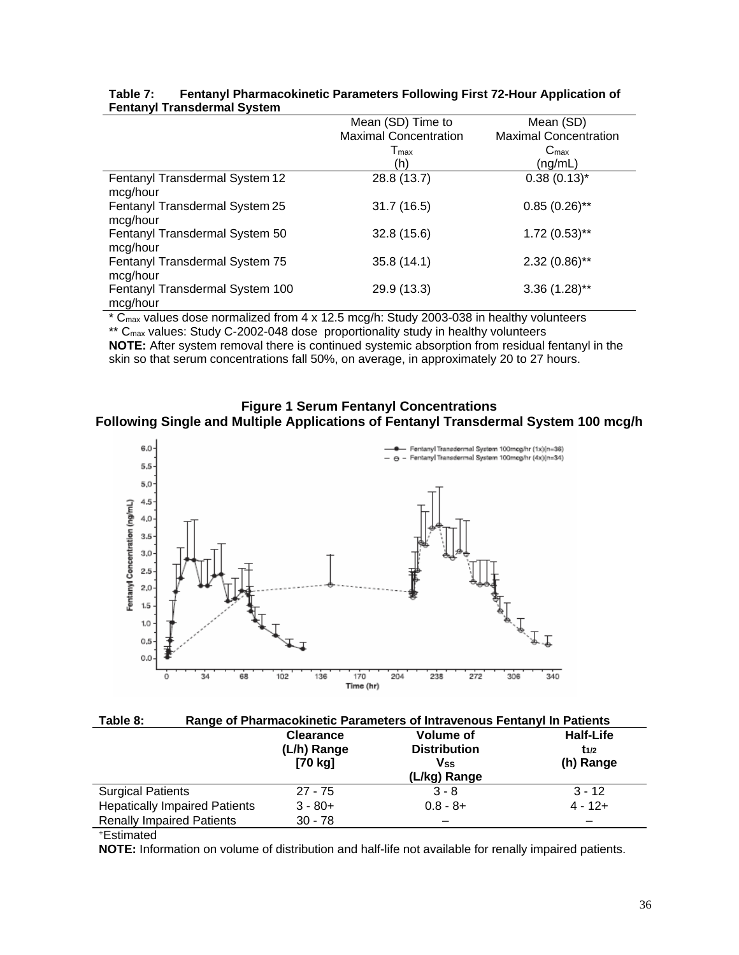|                                             | Mean (SD) Time to            | Mean (SD)                    |
|---------------------------------------------|------------------------------|------------------------------|
|                                             | <b>Maximal Concentration</b> | <b>Maximal Concentration</b> |
|                                             | $T_{\sf max}$                | $C_{\text{max}}$             |
|                                             | (h)                          | (ng/mL)                      |
| Fentanyl Transdermal System 12<br>mcg/hour  | 28.8 (13.7)                  | $0.38(0.13)^{*}$             |
| Fentanyl Transdermal System 25<br>mcg/hour  | 31.7(16.5)                   | $0.85(0.26)$ **              |
| Fentanyl Transdermal System 50<br>mcg/hour  | 32.8(15.6)                   | $1.72(0.53)$ **              |
| Fentanyl Transdermal System 75<br>mcg/hour  | 35.8(14.1)                   | $2.32(0.86)$ **              |
| Fentanyl Transdermal System 100<br>mcg/hour | 29.9 (13.3)                  | $3.36(1.28)$ **              |
|                                             |                              |                              |

#### **Table 7: Fentanyl Pharmacokinetic Parameters Following First 72-Hour Application of Fentanyl Transdermal System**

\* Cmax values dose normalized from 4 x 12.5 mcg/h: Study 2003-038 in healthy volunteers \*\* C<sub>max</sub> values: Study C-2002-048 dose proportionality study in healthy volunteers

**NOTE:** After system removal there is continued systemic absorption from residual fentanyl in the skin so that serum concentrations fall 50%, on average, in approximately 20 to 27 hours.

# **Figure 1 Serum Fentanyl Concentrations Following Single and Multiple Applications of Fentanyl Transdermal System 100 mcg/h**



| Table 8:<br>Range of Pharmacokinetic Parameters of Intravenous Fentanyl In Patients |  |
|-------------------------------------------------------------------------------------|--|
|-------------------------------------------------------------------------------------|--|

|                                      | <b>Clearance</b><br>(L/h) Range<br>[70 kg] | Volume of<br><b>Distribution</b><br><b>Vss</b><br>(L/kg) Range | <b>Half-Life</b><br>$t_{1/2}$<br>(h) Range |
|--------------------------------------|--------------------------------------------|----------------------------------------------------------------|--------------------------------------------|
| <b>Surgical Patients</b>             | $27 - 75$                                  | $3 - 8$                                                        | $3 - 12$                                   |
| <b>Hepatically Impaired Patients</b> | $3 - 80 +$                                 | $0.8 - 8 +$                                                    | $4 - 12 +$                                 |
| <b>Renally Impaired Patients</b>     | $30 - 78$                                  |                                                                |                                            |

#### <sup>+</sup>Estimated

**NOTE:** Information on volume of distribution and half-life not available for renally impaired patients.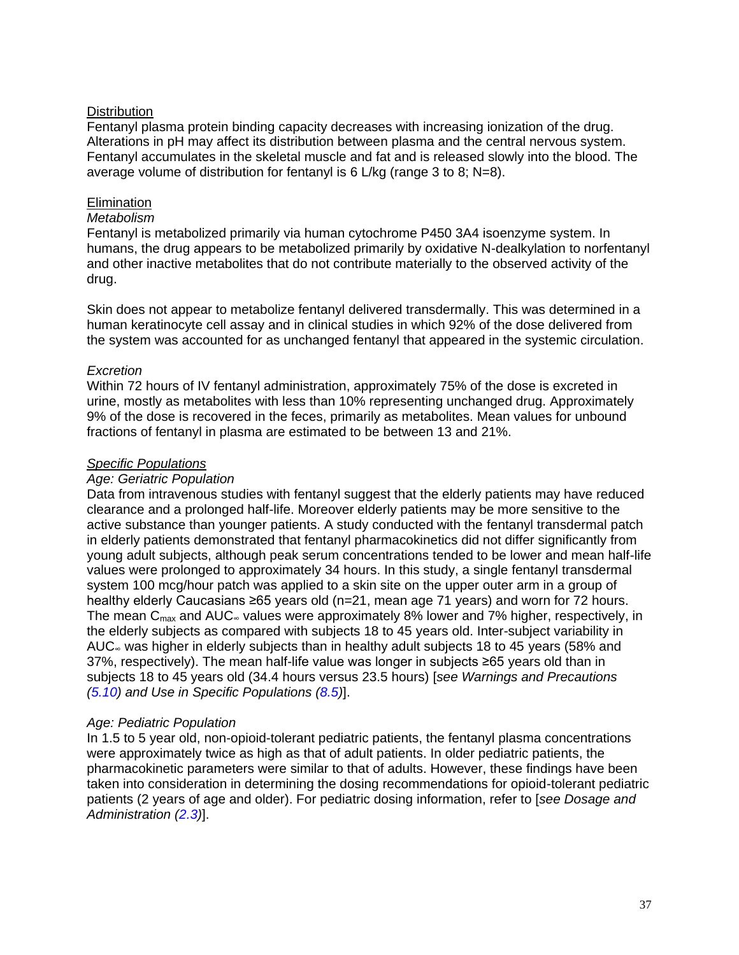### **Distribution**

Fentanyl plasma protein binding capacity decreases with increasing ionization of the drug. Alterations in pH may affect its distribution between plasma and the central nervous system. Fentanyl accumulates in the skeletal muscle and fat and is released slowly into the blood. The average volume of distribution for fentanyl is 6 L/kg (range 3 to 8; N=8).

### **Elimination**

#### *Metabolism*

Fentanyl is metabolized primarily via human cytochrome P450 3A4 isoenzyme system. In humans, the drug appears to be metabolized primarily by oxidative N-dealkylation to norfentanyl and other inactive metabolites that do not contribute materially to the observed activity of the drug.

Skin does not appear to metabolize fentanyl delivered transdermally. This was determined in a human keratinocyte cell assay and in clinical studies in which 92% of the dose delivered from the system was accounted for as unchanged fentanyl that appeared in the systemic circulation.

#### *Excretion*

Within 72 hours of IV fentanyl administration, approximately 75% of the dose is excreted in urine, mostly as metabolites with less than 10% representing unchanged drug. Approximately 9% of the dose is recovered in the feces, primarily as metabolites. Mean values for unbound fractions of fentanyl in plasma are estimated to be between 13 and 21%.

### *Specific Populations*

#### *Age: Geriatric Population*

Data from intravenous studies with fentanyl suggest that the elderly patients may have reduced clearance and a prolonged half-life. Moreover elderly patients may be more sensitive to the active substance than younger patients. A study conducted with the fentanyl transdermal patch in elderly patients demonstrated that fentanyl pharmacokinetics did not differ significantly from young adult subjects, although peak serum concentrations tended to be lower and mean half-life values were prolonged to approximately 34 hours. In this study, a single fentanyl transdermal system 100 mcg/hour patch was applied to a skin site on the upper outer arm in a group of healthy elderly Caucasians ≥65 years old (n=21, mean age 71 years) and worn for 72 hours. The mean  $C_{\text{max}}$  and AUC∞ values were approximately 8% lower and 7% higher, respectively, in the elderly subjects as compared with subjects 18 to 45 years old. Inter-subject variability in AUC<sup>∞</sup> was higher in elderly subjects than in healthy adult subjects 18 to 45 years (58% and 37%, respectively). The mean half-life value was longer in subjects ≥65 years old than in subjects 18 to 45 years old (34.4 hours versus 23.5 hours) [*see Warnings and Precautions [\(5.10\)](#page-16-0) and Use in Specific Populations [\(8.5\)](#page-27-3)*].

#### *Age: Pediatric Population*

In 1.5 to 5 year old, non-opioid-tolerant pediatric patients, the fentanyl plasma concentrations were approximately twice as high as that of adult patients. In older pediatric patients, the pharmacokinetic parameters were similar to that of adults. However, these findings have been taken into consideration in determining the dosing recommendations for opioid-tolerant pediatric patients (2 years of age and older). For pediatric dosing information, refer to [*see Dosage and Administration [\(2.3\)](#page-6-0)*].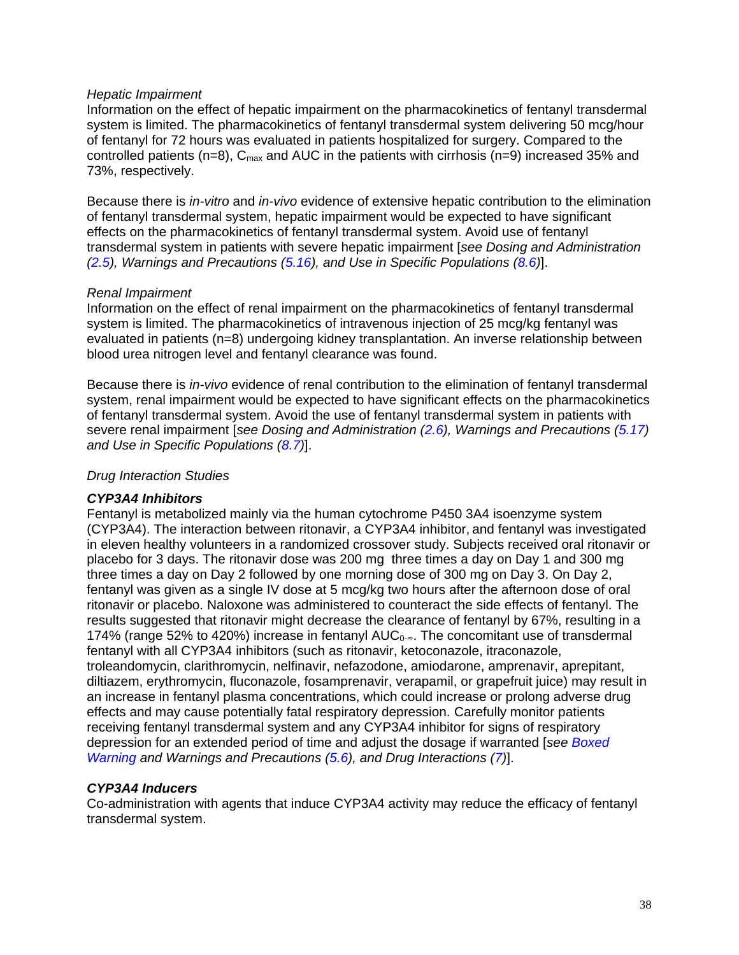#### *Hepatic Impairment*

Information on the effect of hepatic impairment on the pharmacokinetics of fentanyl transdermal system is limited. The pharmacokinetics of fentanyl transdermal system delivering 50 mcg/hour of fentanyl for 72 hours was evaluated in patients hospitalized for surgery. Compared to the controlled patients (n=8),  $C_{\text{max}}$  and AUC in the patients with cirrhosis (n=9) increased 35% and 73%, respectively.

Because there is *in-vitro* and *in-vivo* evidence of extensive hepatic contribution to the elimination of fentanyl transdermal system, hepatic impairment would be expected to have significant effects on the pharmacokinetics of fentanyl transdermal system. Avoid use of fentanyl transdermal system in patients with severe hepatic impairment [*see Dosing and Administration [\(2.5\)](#page-9-1), Warnings and Precautions [\(5.16\)](#page-18-2), and Use in Specific Populations [\(8.6\)](#page-28-0)*].

#### *Renal Impairment*

Information on the effect of renal impairment on the pharmacokinetics of fentanyl transdermal system is limited. The pharmacokinetics of intravenous injection of 25 mcg/kg fentanyl was evaluated in patients (n=8) undergoing kidney transplantation. An inverse relationship between blood urea nitrogen level and fentanyl clearance was found.

Because there is *in-vivo* evidence of renal contribution to the elimination of fentanyl transdermal system, renal impairment would be expected to have significant effects on the pharmacokinetics of fentanyl transdermal system. Avoid the use of fentanyl transdermal system in patients with severe renal impairment [*see Dosing and Administration [\(2.6\)](#page-9-0), Warnings and Precautions [\(5.17\)](#page-18-3) and Use in Specific Populations [\(8.7\)](#page-28-5)*].

#### *Drug Interaction Studies*

# *CYP3A4 Inhibitors*

Fentanyl is metabolized mainly via the human cytochrome P450 3A4 isoenzyme system (CYP3A4). The interaction between ritonavir, a CYP3A4 inhibitor, and fentanyl was investigated in eleven healthy volunteers in a randomized crossover study. Subjects received oral ritonavir or placebo for 3 days. The ritonavir dose was 200 mg three times a day on Day 1 and 300 mg three times a day on Day 2 followed by one morning dose of 300 mg on Day 3. On Day 2, fentanyl was given as a single IV dose at 5 mcg/kg two hours after the afternoon dose of oral ritonavir or placebo. Naloxone was administered to counteract the side effects of fentanyl. The results suggested that ritonavir might decrease the clearance of fentanyl by 67%, resulting in a 174% (range 52% to 420%) increase in fentanyl  $AUC_{0\infty}$ . The concomitant use of transdermal fentanyl with all CYP3A4 inhibitors (such as ritonavir, ketoconazole, itraconazole, troleandomycin, clarithromycin, nelfinavir, nefazodone, amiodarone, amprenavir, aprepitant, diltiazem, erythromycin, fluconazole, fosamprenavir, verapamil, or grapefruit juice) may result in an increase in fentanyl plasma concentrations, which could increase or prolong adverse drug effects and may cause potentially fatal respiratory depression. Carefully monitor patients receiving fentanyl transdermal system and any CYP3A4 inhibitor for signs of respiratory depression for an extended period of time and adjust the dosage if warranted [*see [Boxed](#page-3-0) [Warning](#page-3-0) and Warnings and Precautions [\(5.6\)](#page-15-0), and Drug Interactions [\(7\)](#page-23-0)*].

# *CYP3A4 Inducers*

Co-administration with agents that induce CYP3A4 activity may reduce the efficacy of fentanyl transdermal system.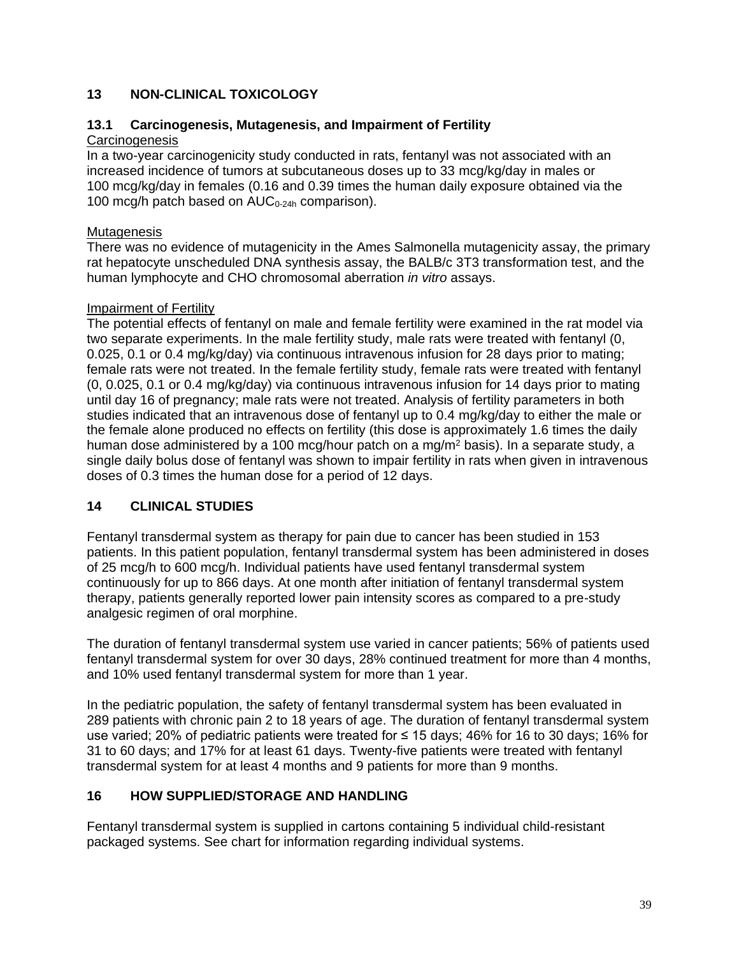# <span id="page-38-0"></span>**13 NON-CLINICAL TOXICOLOGY**

#### <span id="page-38-1"></span>**13.1 Carcinogenesis, Mutagenesis, and Impairment of Fertility Carcinogenesis**

In a two-year carcinogenicity study conducted in rats, fentanyl was not associated with an increased incidence of tumors at subcutaneous doses up to 33 mcg/kg/day in males or 100 mcg/kg/day in females (0.16 and 0.39 times the human daily exposure obtained via the 100 mcg/h patch based on  $AUC_{0-24h}$  comparison).

# Mutagenesis

There was no evidence of mutagenicity in the Ames Salmonella mutagenicity assay, the primary rat hepatocyte unscheduled DNA synthesis assay, the BALB/c 3T3 transformation test, and the human lymphocyte and CHO chromosomal aberration *in vitro* assays.

# Impairment of Fertility

The potential effects of fentanyl on male and female fertility were examined in the rat model via two separate experiments. In the male fertility study, male rats were treated with fentanyl (0, 0.025, 0.1 or 0.4 mg/kg/day) via continuous intravenous infusion for 28 days prior to mating; female rats were not treated. In the female fertility study, female rats were treated with fentanyl (0, 0.025, 0.1 or 0.4 mg/kg/day) via continuous intravenous infusion for 14 days prior to mating until day 16 of pregnancy; male rats were not treated. Analysis of fertility parameters in both studies indicated that an intravenous dose of fentanyl up to 0.4 mg/kg/day to either the male or the female alone produced no effects on fertility (this dose is approximately 1.6 times the daily human dose administered by a 100 mcg/hour patch on a mg/m<sup>2</sup> basis). In a separate study, a single daily bolus dose of fentanyl was shown to impair fertility in rats when given in intravenous doses of 0.3 times the human dose for a period of 12 days.

# <span id="page-38-2"></span>**14 CLINICAL STUDIES**

Fentanyl transdermal system as therapy for pain due to cancer has been studied in 153 patients. In this patient population, fentanyl transdermal system has been administered in doses of 25 mcg/h to 600 mcg/h. Individual patients have used fentanyl transdermal system continuously for up to 866 days. At one month after initiation of fentanyl transdermal system therapy, patients generally reported lower pain intensity scores as compared to a pre-study analgesic regimen of oral morphine.

The duration of fentanyl transdermal system use varied in cancer patients; 56% of patients used fentanyl transdermal system for over 30 days, 28% continued treatment for more than 4 months, and 10% used fentanyl transdermal system for more than 1 year.

In the pediatric population, the safety of fentanyl transdermal system has been evaluated in 289 patients with chronic pain 2 to 18 years of age. The duration of fentanyl transdermal system use varied; 20% of pediatric patients were treated for ≤ 15 days; 46% for 16 to 30 days; 16% for 31 to 60 days; and 17% for at least 61 days. Twenty-five patients were treated with fentanyl transdermal system for at least 4 months and 9 patients for more than 9 months.

# <span id="page-38-3"></span>**16 HOW SUPPLIED/STORAGE AND HANDLING**

Fentanyl transdermal system is supplied in cartons containing 5 individual child-resistant packaged systems. See chart for information regarding individual systems.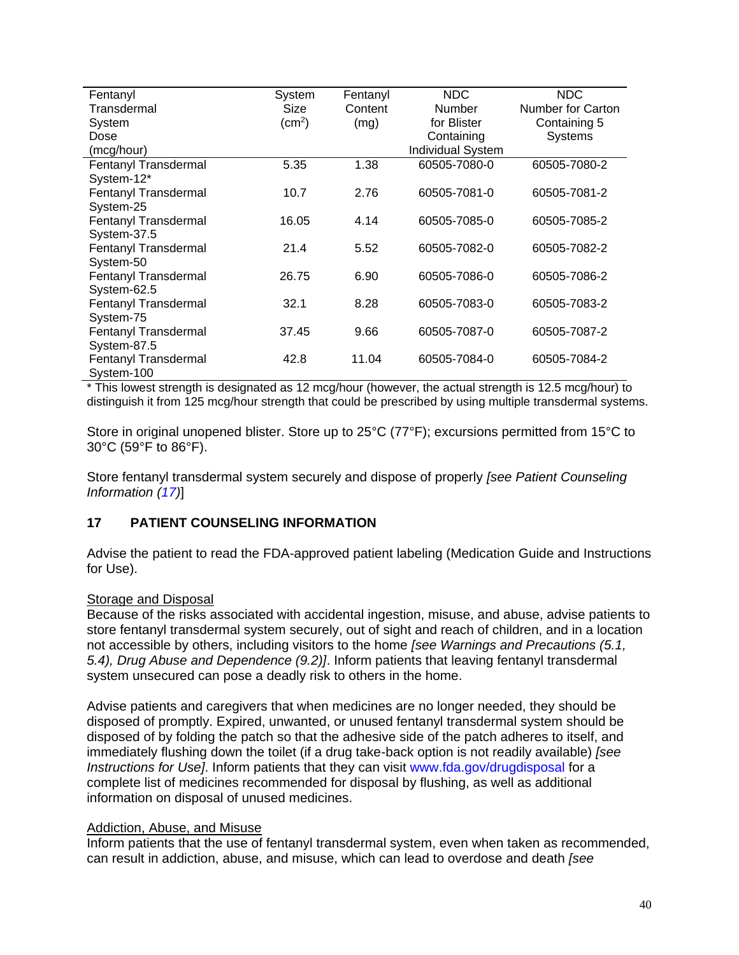| Fentanyl             | System             | Fentanyl | NDC.              | <b>NDC</b>        |
|----------------------|--------------------|----------|-------------------|-------------------|
|                      |                    |          |                   |                   |
| Transdermal          | Size               | Content  | Number            | Number for Carton |
| System               | (cm <sup>2</sup> ) | (mg)     | for Blister       | Containing 5      |
| Dose                 |                    |          | Containing        | <b>Systems</b>    |
| (mcg/hour)           |                    |          | Individual System |                   |
| Fentanyl Transdermal | 5.35               | 1.38     | 60505-7080-0      | 60505-7080-2      |
| System-12*           |                    |          |                   |                   |
| Fentanyl Transdermal | 10.7               | 2.76     | 60505-7081-0      | 60505-7081-2      |
| System-25            |                    |          |                   |                   |
| Fentanyl Transdermal | 16.05              | 4.14     | 60505-7085-0      | 60505-7085-2      |
| System-37.5          |                    |          |                   |                   |
| Fentanyl Transdermal | 21.4               | 5.52     | 60505-7082-0      | 60505-7082-2      |
| System-50            |                    |          |                   |                   |
| Fentanyl Transdermal | 26.75              | 6.90     | 60505-7086-0      | 60505-7086-2      |
| System-62.5          |                    |          |                   |                   |
| Fentanyl Transdermal | 32.1               | 8.28     | 60505-7083-0      | 60505-7083-2      |
| System-75            |                    |          |                   |                   |
| Fentanyl Transdermal | 37.45              | 9.66     | 60505-7087-0      | 60505-7087-2      |
| System-87.5          |                    |          |                   |                   |
| Fentanyl Transdermal | 42.8               | 11.04    | 60505-7084-0      | 60505-7084-2      |
| System-100           |                    |          |                   |                   |

\* This lowest strength is designated as 12 mcg/hour (however, the actual strength is 12.5 mcg/hour) to distinguish it from 125 mcg/hour strength that could be prescribed by using multiple transdermal systems.

Store in original unopened blister. Store up to 25°C (77°F); excursions permitted from 15°C to 30°C (59°F to 86°F).

Store fentanyl transdermal system securely and dispose of properly *[see Patient Counseling Information [\(17\)](#page-39-0)*]

# <span id="page-39-0"></span>**17 PATIENT COUNSELING INFORMATION**

Advise the patient to read the FDA-approved patient labeling (Medication Guide and Instructions for Use).

#### Storage and Disposal

Because of the risks associated with accidental ingestion, misuse, and abuse, advise patients to store fentanyl transdermal system securely, out of sight and reach of children, and in a location not accessible by others, including visitors to the home *[see Warnings and Precautions (5.1, 5.4), Drug Abuse and Dependence (9.2)]*. Inform patients that leaving fentanyl transdermal system unsecured can pose a deadly risk to others in the home.

Advise patients and caregivers that when medicines are no longer needed, they should be disposed of promptly. Expired, unwanted, or unused fentanyl transdermal system should be disposed of by folding the patch so that the adhesive side of the patch adheres to itself, and immediately flushing down the toilet (if a drug take-back option is not readily available) *[see Instructions for Use]*. Inform patients that they can visit www.fda.gov/drugdisposal for a complete list of medicines recommended for disposal by flushing, as well as additional information on disposal of unused medicines.

#### Addiction, Abuse, and Misuse

Inform patients that the use of fentanyl transdermal system, even when taken as recommended, can result in addiction, abuse, and misuse, which can lead to overdose and death *[see*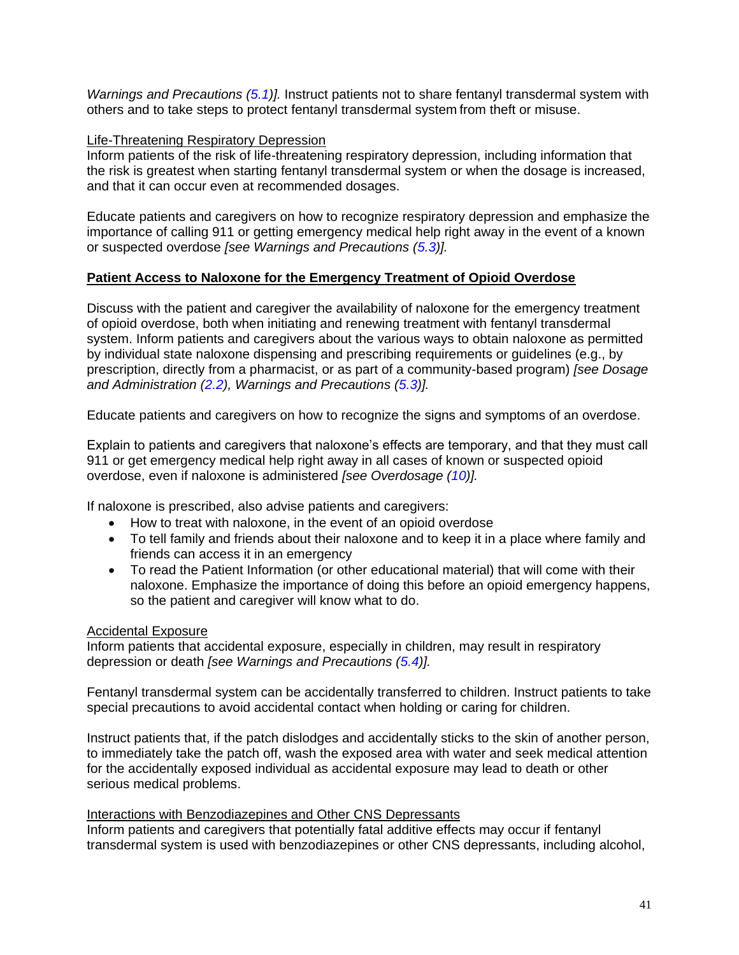*Warnings and Precautions [\(5.1\)](#page-12-0)].* Instruct patients not to share fentanyl transdermal system with others and to take steps to protect fentanyl transdermal system from theft or misuse.

# Life-Threatening Respiratory Depression

Inform patients of the risk of life-threatening respiratory depression, including information that the risk is greatest when starting fentanyl transdermal system or when the dosage is increased, and that it can occur even at recommended dosages.

Educate patients and caregivers on how to recognize respiratory depression and emphasize the importance of calling 911 or getting emergency medical help right away in the event of a known or suspected overdose *[see Warnings and Precautions [\(5.3\)](#page-13-1)].*

# **Patient Access to Naloxone for the Emergency Treatment of Opioid Overdose**

Discuss with the patient and caregiver the availability of naloxone for the emergency treatment of opioid overdose, both when initiating and renewing treatment with fentanyl transdermal system. Inform patients and caregivers about the various ways to obtain naloxone as permitted by individual state naloxone dispensing and prescribing requirements or guidelines (e.g., by prescription, directly from a pharmacist, or as part of a community-based program) *[see Dosage and Administration [\(2.2\)](#page-5-2), Warnings and Precautions [\(5.3\)](#page-13-1)].* 

Educate patients and caregivers on how to recognize the signs and symptoms of an overdose.

Explain to patients and caregivers that naloxone's effects are temporary, and that they must call 911 or get emergency medical help right away in all cases of known or suspected opioid overdose, even if naloxone is administered *[see Overdosage [\(10\)](#page-30-1)].*

If naloxone is prescribed, also advise patients and caregivers:

- How to treat with naloxone, in the event of an opioid overdose
- To tell family and friends about their naloxone and to keep it in a place where family and friends can access it in an emergency
- To read the Patient Information (or other educational material) that will come with their naloxone. Emphasize the importance of doing this before an opioid emergency happens, so the patient and caregiver will know what to do.

# Accidental Exposure

Inform patients that accidental exposure, especially in children, may result in respiratory depression or death *[see Warnings and Precautions [\(5.4\)](#page-14-0)].* 

Fentanyl transdermal system can be accidentally transferred to children. Instruct patients to take special precautions to avoid accidental contact when holding or caring for children.

Instruct patients that, if the patch dislodges and accidentally sticks to the skin of another person, to immediately take the patch off, wash the exposed area with water and seek medical attention for the accidentally exposed individual as accidental exposure may lead to death or other serious medical problems.

# Interactions with Benzodiazepines and Other CNS Depressants

Inform patients and caregivers that potentially fatal additive effects may occur if fentanyl transdermal system is used with benzodiazepines or other CNS depressants, including alcohol,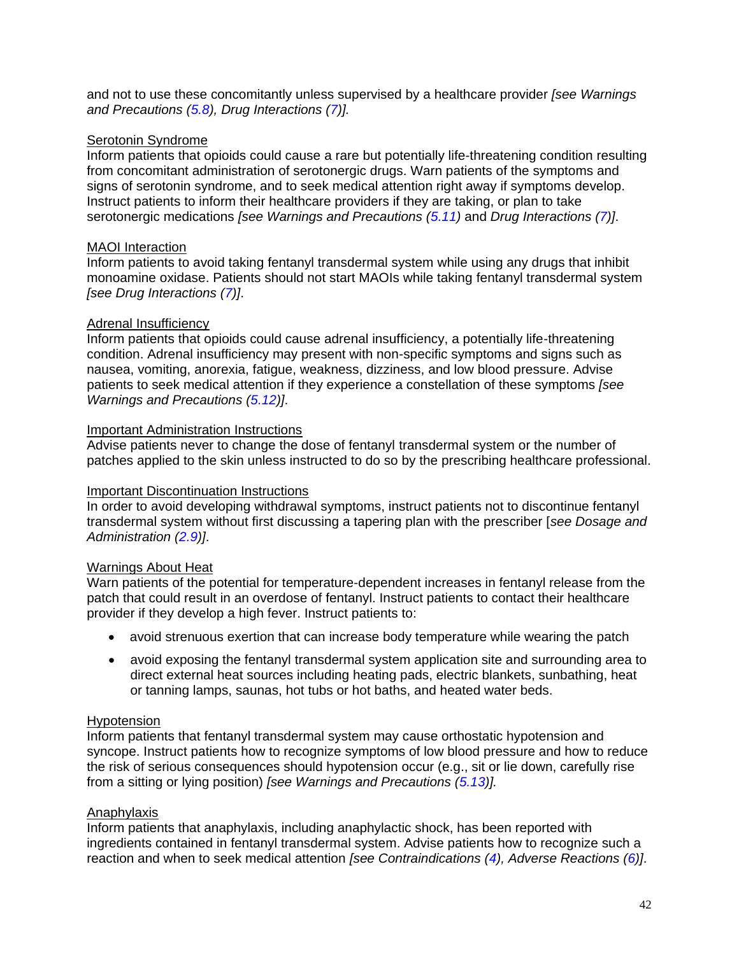and not to use these concomitantly unless supervised by a healthcare provider *[see Warnings and Precautions [\(5.8\)](#page-15-2), Drug Interactions [\(7\)](#page-23-0)].*

# Serotonin Syndrome

Inform patients that opioids could cause a rare but potentially life-threatening condition resulting from concomitant administration of serotonergic drugs. Warn patients of the symptoms and signs of serotonin syndrome, and to seek medical attention right away if symptoms develop. Instruct patients to inform their healthcare providers if they are taking, or plan to take serotonergic medications *[see Warnings and Precautions [\(5.11\)](#page-17-0)* and *Drug Interactions [\(7\)](#page-23-0)]*.

#### MAOI Interaction

Inform patients to avoid taking fentanyl transdermal system while using any drugs that inhibit monoamine oxidase. Patients should not start MAOIs while taking fentanyl transdermal system *[see Drug Interactions [\(7\)](#page-23-0)]*.

### **Adrenal Insufficiency**

Inform patients that opioids could cause adrenal insufficiency, a potentially life-threatening condition. Adrenal insufficiency may present with non-specific symptoms and signs such as nausea, vomiting, anorexia, fatigue, weakness, dizziness, and low blood pressure. Advise patients to seek medical attention if they experience a constellation of these symptoms *[see Warnings and Precautions [\(5.12\)](#page-17-1)]*.

#### Important Administration Instructions

Advise patients never to change the dose of fentanyl transdermal system or the number of patches applied to the skin unless instructed to do so by the prescribing healthcare professional.

#### Important Discontinuation Instructions

In order to avoid developing withdrawal symptoms, instruct patients not to discontinue fentanyl transdermal system without first discussing a tapering plan with the prescriber [*see Dosage and Administration [\(2.9\)](#page-10-1)]*.

#### Warnings About Heat

Warn patients of the potential for temperature-dependent increases in fentanyl release from the patch that could result in an overdose of fentanyl. Instruct patients to contact their healthcare provider if they develop a high fever. Instruct patients to:

- avoid strenuous exertion that can increase body temperature while wearing the patch
- avoid exposing the fentanyl transdermal system application site and surrounding area to direct external heat sources including heating pads, electric blankets, sunbathing, heat or tanning lamps, saunas, hot tubs or hot baths, and heated water beds.

#### Hypotension

Inform patients that fentanyl transdermal system may cause orthostatic hypotension and syncope. Instruct patients how to recognize symptoms of low blood pressure and how to reduce the risk of serious consequences should hypotension occur (e.g., sit or lie down, carefully rise from a sitting or lying position) *[see Warnings and Precautions [\(5.13\)](#page-17-2)].*

# Anaphylaxis

Inform patients that anaphylaxis, including anaphylactic shock, has been reported with ingredients contained in fentanyl transdermal system. Advise patients how to recognize such a reaction and when to seek medical attention *[see Contraindications [\(4\)](#page-11-1), Adverse Reactions [\(6\)](#page-19-0)]*.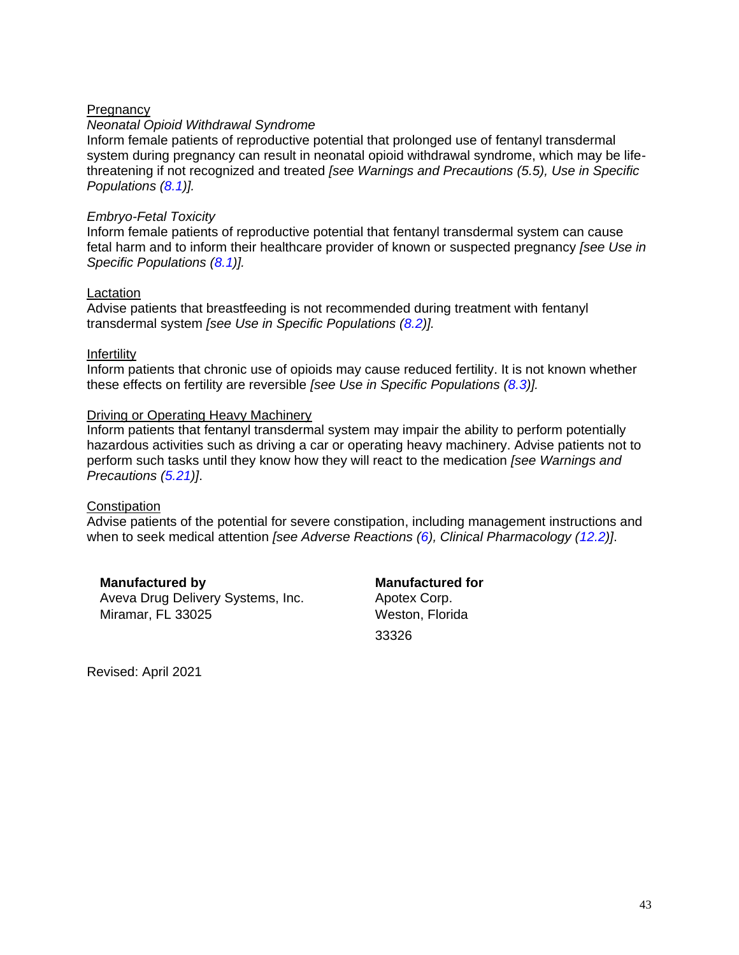### **Pregnancy**

#### *Neonatal Opioid Withdrawal Syndrome*

Inform female patients of reproductive potential that prolonged use of fentanyl transdermal system during pregnancy can result in neonatal opioid withdrawal syndrome, which may be lifethreatening if not recognized and treated *[see Warnings and Precautions (5.5), Use in Specific Populations [\(8.1\)](#page-25-0)].*

#### *Embryo-Fetal Toxicity*

Inform female patients of reproductive potential that fentanyl transdermal system can cause fetal harm and to inform their healthcare provider of known or suspected pregnancy *[see Use in Specific Populations [\(8.1\)](#page-25-0)].*

#### **Lactation**

Advise patients that breastfeeding is not recommended during treatment with fentanyl transdermal system *[see Use in Specific Populations [\(8.2\)](#page-27-0)].*

#### Infertility

Inform patients that chronic use of opioids may cause reduced fertility. It is not known whether these effects on fertility are reversible *[see Use in Specific Populations [\(8.3\)](#page-27-1)].*

#### Driving or Operating Heavy Machinery

Inform patients that fentanyl transdermal system may impair the ability to perform potentially hazardous activities such as driving a car or operating heavy machinery. Advise patients not to perform such tasks until they know how they will react to the medication *[see Warnings and Precautions [\(5.21\)](#page-19-1)]*.

#### **Constipation**

Advise patients of the potential for severe constipation, including management instructions and when to seek medical attention *[see Adverse Reactions [\(6\)](#page-19-0), Clinical Pharmacology [\(12.2\)](#page-32-2)]*.

**Manufactured by Manufactured for** Aveva Drug Delivery Systems, Inc. **And Audiomedia Apotex Corp.** Miramar, FL 33025 Weston, Florida

33326

Revised: April 2021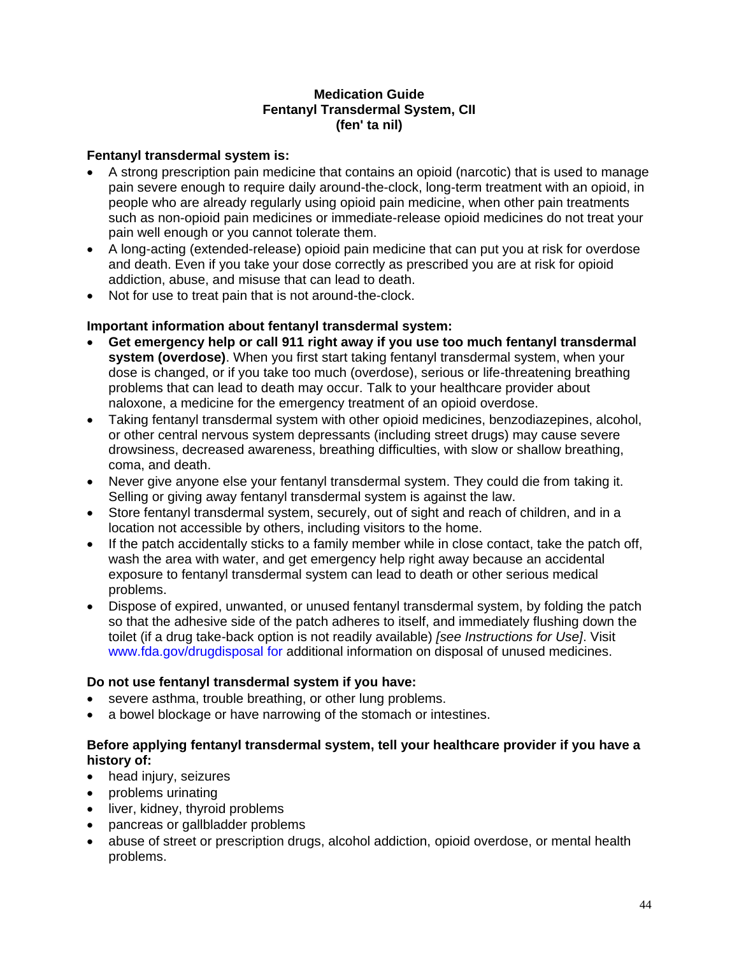#### **Medication Guide Fentanyl Transdermal System, CII (fen' ta nil)**

# **Fentanyl transdermal system is:**

- A strong prescription pain medicine that contains an opioid (narcotic) that is used to manage pain severe enough to require daily around-the-clock, long-term treatment with an opioid, in people who are already regularly using opioid pain medicine, when other pain treatments such as non-opioid pain medicines or immediate-release opioid medicines do not treat your pain well enough or you cannot tolerate them.
- A long-acting (extended-release) opioid pain medicine that can put you at risk for overdose and death. Even if you take your dose correctly as prescribed you are at risk for opioid addiction, abuse, and misuse that can lead to death.
- Not for use to treat pain that is not around-the-clock.

# **Important information about fentanyl transdermal system:**

- **Get emergency help or call 911 right away if you use too much fentanyl transdermal system (overdose)**. When you first start taking fentanyl transdermal system, when your dose is changed, or if you take too much (overdose), serious or life-threatening breathing problems that can lead to death may occur. Talk to your healthcare provider about naloxone, a medicine for the emergency treatment of an opioid overdose.
- Taking fentanyl transdermal system with other opioid medicines, benzodiazepines, alcohol, or other central nervous system depressants (including street drugs) may cause severe drowsiness, decreased awareness, breathing difficulties, with slow or shallow breathing, coma, and death.
- Never give anyone else your fentanyl transdermal system. They could die from taking it. Selling or giving away fentanyl transdermal system is against the law.
- Store fentanyl transdermal system, securely, out of sight and reach of children, and in a location not accessible by others, including visitors to the home.
- If the patch accidentally sticks to a family member while in close contact, take the patch off, wash the area with water, and get emergency help right away because an accidental exposure to fentanyl transdermal system can lead to death or other serious medical problems.
- Dispose of expired, unwanted, or unused fentanyl transdermal system, by folding the patch so that the adhesive side of the patch adheres to itself, and immediately flushing down the toilet (if a drug take-back option is not readily available) *[see Instructions for Use]*. Visit [www.fda.gov/drugdisposal](http://www.fda.gov/drugdisposal) for additional information on disposal of unused medicines.

# **Do not use fentanyl transdermal system if you have:**

- severe asthma, trouble breathing, or other lung problems.
- a bowel blockage or have narrowing of the stomach or intestines.

# **Before applying fentanyl transdermal system, tell your healthcare provider if you have a history of:**

- head injury, seizures
- problems urinating
- liver, kidney, thyroid problems
- pancreas or gallbladder problems
- abuse of street or prescription drugs, alcohol addiction, opioid overdose, or mental health problems.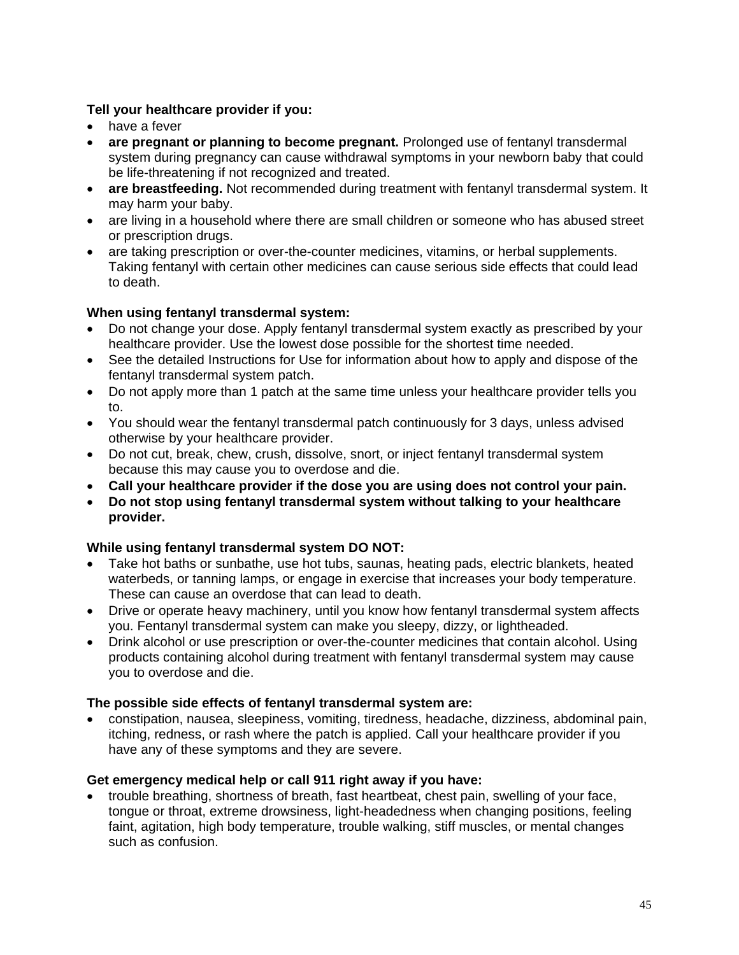# **Tell your healthcare provider if you:**

- have a fever
- **are pregnant or planning to become pregnant.** Prolonged use of fentanyl transdermal system during pregnancy can cause withdrawal symptoms in your newborn baby that could be life-threatening if not recognized and treated.
- **are breastfeeding.** Not recommended during treatment with fentanyl transdermal system. It may harm your baby.
- are living in a household where there are small children or someone who has abused street or prescription drugs.
- are taking prescription or over-the-counter medicines, vitamins, or herbal supplements. Taking fentanyl with certain other medicines can cause serious side effects that could lead to death.

# **When using fentanyl transdermal system:**

- Do not change your dose. Apply fentanyl transdermal system exactly as prescribed by your healthcare provider. Use the lowest dose possible for the shortest time needed.
- See the detailed Instructions for Use for information about how to apply and dispose of the fentanyl transdermal system patch.
- Do not apply more than 1 patch at the same time unless your healthcare provider tells you to.
- You should wear the fentanyl transdermal patch continuously for 3 days, unless advised otherwise by your healthcare provider.
- Do not cut, break, chew, crush, dissolve, snort, or inject fentanyl transdermal system because this may cause you to overdose and die.
- **Call your healthcare provider if the dose you are using does not control your pain.**
- **Do not stop using fentanyl transdermal system without talking to your healthcare provider.**

# **While using fentanyl transdermal system DO NOT:**

- Take hot baths or sunbathe, use hot tubs, saunas, heating pads, electric blankets, heated waterbeds, or tanning lamps, or engage in exercise that increases your body temperature. These can cause an overdose that can lead to death.
- Drive or operate heavy machinery, until you know how fentanyl transdermal system affects you. Fentanyl transdermal system can make you sleepy, dizzy, or lightheaded.
- Drink alcohol or use prescription or over-the-counter medicines that contain alcohol. Using products containing alcohol during treatment with fentanyl transdermal system may cause you to overdose and die.

# **The possible side effects of fentanyl transdermal system are:**

• constipation, nausea, sleepiness, vomiting, tiredness, headache, dizziness, abdominal pain, itching, redness, or rash where the patch is applied. Call your healthcare provider if you have any of these symptoms and they are severe.

# **Get emergency medical help or call 911 right away if you have:**

• trouble breathing, shortness of breath, fast heartbeat, chest pain, swelling of your face, tongue or throat, extreme drowsiness, light-headedness when changing positions, feeling faint, agitation, high body temperature, trouble walking, stiff muscles, or mental changes such as confusion.